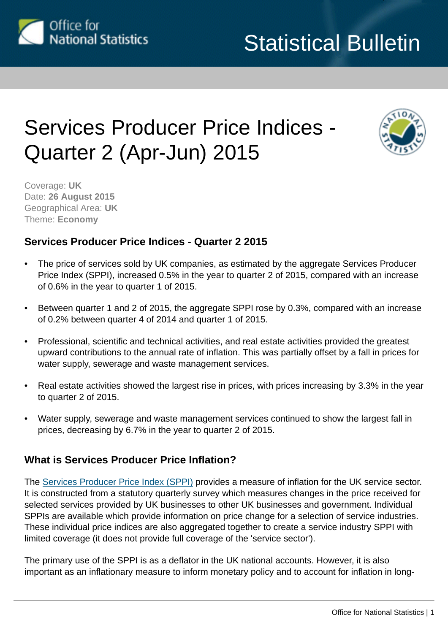

# Services Producer Price Indices - Quarter 2 (Apr-Jun) 2015



Coverage: **UK** Date: **26 August 2015** Geographical Area: **UK** Theme: **Economy**

# **Services Producer Price Indices - Quarter 2 2015**

- The price of services sold by UK companies, as estimated by the aggregate Services Producer Price Index (SPPI), increased 0.5% in the year to quarter 2 of 2015, compared with an increase of 0.6% in the year to quarter 1 of 2015.
- Between quarter 1 and 2 of 2015, the aggregate SPPI rose by 0.3%, compared with an increase of 0.2% between quarter 4 of 2014 and quarter 1 of 2015.
- Professional, scientific and technical activities, and real estate activities provided the greatest upward contributions to the annual rate of inflation. This was partially offset by a fall in prices for water supply, sewerage and waste management services.
- Real estate activities showed the largest rise in prices, with prices increasing by 3.3% in the year to quarter 2 of 2015.
- Water supply, sewerage and waste management services continued to show the largest fall in prices, decreasing by 6.7% in the year to quarter 2 of 2015.

# **What is Services Producer Price Inflation?**

The [Services Producer Price Index \(SPPI\)](http://www.ons.gov.uk:80/ons/rel/ppi2/services-producer-price-indices/index.html) provides a measure of inflation for the UK service sector. It is constructed from a statutory quarterly survey which measures changes in the price received for selected services provided by UK businesses to other UK businesses and government. Individual SPPIs are available which provide information on price change for a selection of service industries. These individual price indices are also aggregated together to create a service industry SPPI with limited coverage (it does not provide full coverage of the 'service sector').

The primary use of the SPPI is as a deflator in the UK national accounts. However, it is also important as an inflationary measure to inform monetary policy and to account for inflation in long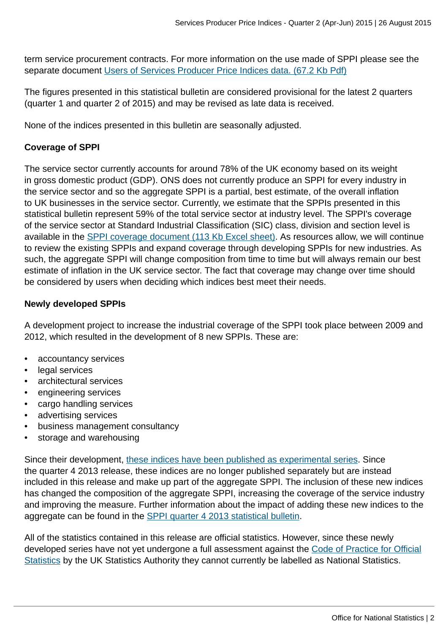term service procurement contracts. For more information on the use made of SPPI please see the separate document [Users of Services Producer Price Indices data. \(67.2 Kb Pdf\)](http://www.ons.gov.uk:80/ons/guide-method/user-guidance/prices/sppi/users-of-sppi-data.pdf)

The figures presented in this statistical bulletin are considered provisional for the latest 2 quarters (quarter 1 and quarter 2 of 2015) and may be revised as late data is received.

None of the indices presented in this bulletin are seasonally adjusted.

#### **Coverage of SPPI**

The service sector currently accounts for around 78% of the UK economy based on its weight in gross domestic product (GDP). ONS does not currently produce an SPPI for every industry in the service sector and so the aggregate SPPI is a partial, best estimate, of the overall inflation to UK businesses in the service sector. Currently, we estimate that the SPPIs presented in this statistical bulletin represent 59% of the total service sector at industry level. The SPPI's coverage of the service sector at Standard Industrial Classification (SIC) class, division and section level is available in the [SPPI coverage document \(113 Kb Excel sheet\)](http://www.ons.gov.uk:80/ons/guide-method/user-guidance/prices/sppi/sppi--service-sector-coverage-document.xls). As resources allow, we will continue to review the existing SPPIs and expand coverage through developing SPPIs for new industries. As such, the aggregate SPPI will change composition from time to time but will always remain our best estimate of inflation in the UK service sector. The fact that coverage may change over time should be considered by users when deciding which indices best meet their needs.

#### **Newly developed SPPIs**

A development project to increase the industrial coverage of the SPPI took place between 2009 and 2012, which resulted in the development of 8 new SPPIs. These are:

- accountancy services
- legal services
- architectural services
- engineering services
- cargo handling services
- advertising services
- business management consultancy
- storage and warehousing

Since their development, [these indices have been published as experimental series](http://www.ons.gov.uk:80/ons/rel/ppi2/services-producer-price-indices/the-development-of-price-indices-for-professional-business-services--cargo-handling-and-storage-and-warehousing--quarter-3-2013/experimental-sppis-q3-2013-article.html). Since the quarter 4 2013 release, these indices are no longer published separately but are instead included in this release and make up part of the aggregate SPPI. The inclusion of these new indices has changed the composition of the aggregate SPPI, increasing the coverage of the service industry and improving the measure. Further information about the impact of adding these new indices to the aggregate can be found in the [SPPI quarter 4 2013 statistical bulletin.](http://www.ons.gov.uk:80/ons/rel/ppi2/services-producer-price-indices/quarter-4-2013/stb-services-producer-price-index--quarter-4-2013.html)

All of the statistics contained in this release are official statistics. However, since these newly developed series have not yet undergone a full assessment against the [Code of Practice for Official](http://www.statisticsauthority.gov.uk/assessment/code-of-practice/index.html) [Statistics](http://www.statisticsauthority.gov.uk/assessment/code-of-practice/index.html) by the UK Statistics Authority they cannot currently be labelled as National Statistics.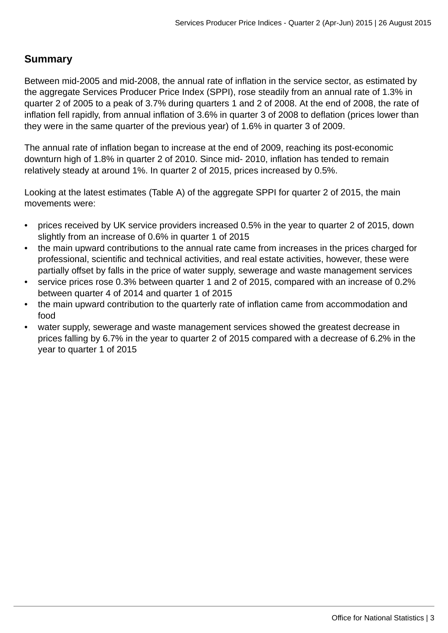# **Summary**

Between mid-2005 and mid-2008, the annual rate of inflation in the service sector, as estimated by the aggregate Services Producer Price Index (SPPI), rose steadily from an annual rate of 1.3% in quarter 2 of 2005 to a peak of 3.7% during quarters 1 and 2 of 2008. At the end of 2008, the rate of inflation fell rapidly, from annual inflation of 3.6% in quarter 3 of 2008 to deflation (prices lower than they were in the same quarter of the previous year) of 1.6% in quarter 3 of 2009.

The annual rate of inflation began to increase at the end of 2009, reaching its post-economic downturn high of 1.8% in quarter 2 of 2010. Since mid- 2010, inflation has tended to remain relatively steady at around 1%. In quarter 2 of 2015, prices increased by 0.5%.

Looking at the latest estimates (Table A) of the aggregate SPPI for quarter 2 of 2015, the main movements were:

- prices received by UK service providers increased 0.5% in the year to quarter 2 of 2015, down slightly from an increase of 0.6% in quarter 1 of 2015
- the main upward contributions to the annual rate came from increases in the prices charged for professional, scientific and technical activities, and real estate activities, however, these were partially offset by falls in the price of water supply, sewerage and waste management services
- service prices rose 0.3% between quarter 1 and 2 of 2015, compared with an increase of 0.2% between quarter 4 of 2014 and quarter 1 of 2015
- the main upward contribution to the quarterly rate of inflation came from accommodation and food
- water supply, sewerage and waste management services showed the greatest decrease in prices falling by 6.7% in the year to quarter 2 of 2015 compared with a decrease of 6.2% in the year to quarter 1 of 2015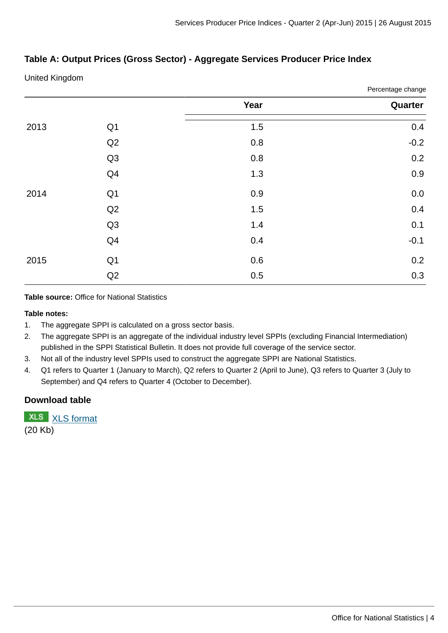Percentage change

#### **Table A: Output Prices (Gross Sector) - Aggregate Services Producer Price Index**

United Kingdom

|      |                | Fercentage change |         |  |
|------|----------------|-------------------|---------|--|
|      |                | Year              | Quarter |  |
| 2013 | Q1             | 1.5               | 0.4     |  |
|      | Q <sub>2</sub> | 0.8               | $-0.2$  |  |
|      | Q <sub>3</sub> | 0.8               | 0.2     |  |
|      | Q4             | 1.3               | 0.9     |  |
| 2014 | Q1             | 0.9               | $0.0\,$ |  |
|      | Q <sub>2</sub> | 1.5               | 0.4     |  |
|      | Q <sub>3</sub> | $1.4\,$           | 0.1     |  |
|      | Q <sub>4</sub> | 0.4               | $-0.1$  |  |
| 2015 | Q1             | 0.6               | 0.2     |  |
|      | Q <sub>2</sub> | 0.5               | 0.3     |  |

**Table source:** Office for National Statistics

#### **Table notes:**

- 1. The aggregate SPPI is calculated on a gross sector basis.
- 2. The aggregate SPPI is an aggregate of the individual industry level SPPIs (excluding Financial Intermediation) published in the SPPI Statistical Bulletin. It does not provide full coverage of the service sector.
- 3. Not all of the industry level SPPIs used to construct the aggregate SPPI are National Statistics.
- 4. Q1 refers to Quarter 1 (January to March), Q2 refers to Quarter 2 (April to June), Q3 refers to Quarter 3 (July to September) and Q4 refers to Quarter 4 (October to December).

#### **Download table**

**XLS** [XLS format](http://www.ons.gov.uk:80/ons/rel/ppi2/services-producer-price-index/quarter-2-2015/prt-table-a.xls) (20 Kb)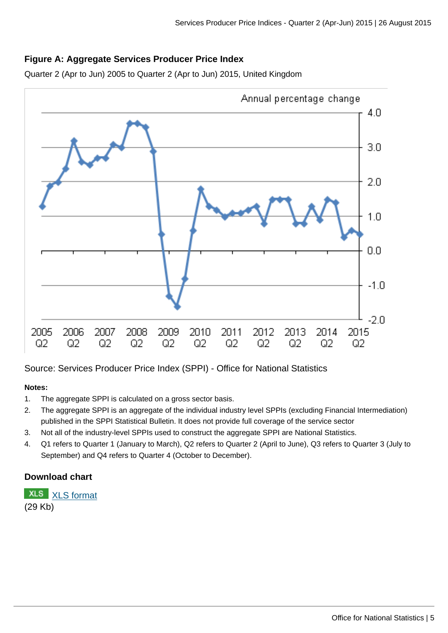#### **Figure A: Aggregate Services Producer Price Index**

Quarter 2 (Apr to Jun) 2005 to Quarter 2 (Apr to Jun) 2015, United Kingdom



Source: Services Producer Price Index (SPPI) - Office for National Statistics

#### **Notes:**

- 1. The aggregate SPPI is calculated on a gross sector basis.
- 2. The aggregate SPPI is an aggregate of the individual industry level SPPIs (excluding Financial Intermediation) published in the SPPI Statistical Bulletin. It does not provide full coverage of the service sector
- 3. Not all of the industry-level SPPIs used to construct the aggregate SPPI are National Statistics.
- 4. Q1 refers to Quarter 1 (January to March), Q2 refers to Quarter 2 (April to June), Q3 refers to Quarter 3 (July to September) and Q4 refers to Quarter 4 (October to December).

#### **Download chart**

**XLS** [XLS format](http://www.ons.gov.uk:80/ons/rel/ppi2/services-producer-price-index/quarter-2-2015/chd-fig-a.xls)

(29 Kb)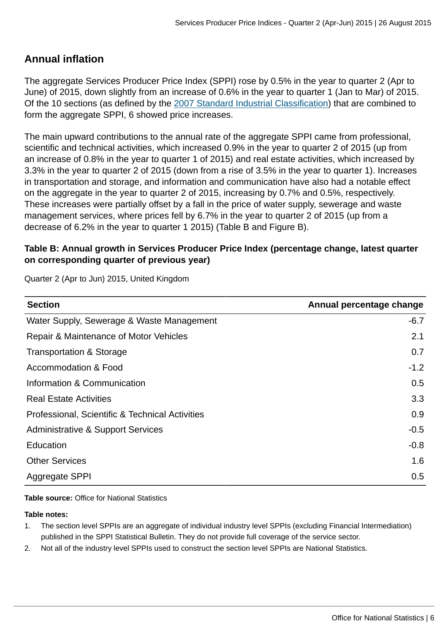# **Annual inflation**

The aggregate Services Producer Price Index (SPPI) rose by 0.5% in the year to quarter 2 (Apr to June) of 2015, down slightly from an increase of 0.6% in the year to quarter 1 (Jan to Mar) of 2015. Of the 10 sections (as defined by the [2007 Standard Industrial Classification\)](http://www.ons.gov.uk:80/ons/guide-method/classifications/current-standard-classifications/standard-industrial-classification/index.html) that are combined to form the aggregate SPPI, 6 showed price increases.

The main upward contributions to the annual rate of the aggregate SPPI came from professional, scientific and technical activities, which increased 0.9% in the year to quarter 2 of 2015 (up from an increase of 0.8% in the year to quarter 1 of 2015) and real estate activities, which increased by 3.3% in the year to quarter 2 of 2015 (down from a rise of 3.5% in the year to quarter 1). Increases in transportation and storage, and information and communication have also had a notable effect on the aggregate in the year to quarter 2 of 2015, increasing by 0.7% and 0.5%, respectively. These increases were partially offset by a fall in the price of water supply, sewerage and waste management services, where prices fell by 6.7% in the year to quarter 2 of 2015 (up from a decrease of 6.2% in the year to quarter 1 2015) (Table B and Figure B).

### **Table B: Annual growth in Services Producer Price Index (percentage change, latest quarter on corresponding quarter of previous year)**

| <b>Section</b>                                  | Annual percentage change |
|-------------------------------------------------|--------------------------|
| Water Supply, Sewerage & Waste Management       | $-6.7$                   |
| Repair & Maintenance of Motor Vehicles          | 2.1                      |
| <b>Transportation &amp; Storage</b>             | 0.7                      |
| Accommodation & Food                            | $-1.2$                   |
| Information & Communication                     | 0.5                      |
| <b>Real Estate Activities</b>                   | 3.3                      |
| Professional, Scientific & Technical Activities | 0.9                      |
| Administrative & Support Services               | $-0.5$                   |
| Education                                       | $-0.8$                   |
| <b>Other Services</b>                           | 1.6                      |
| Aggregate SPPI                                  | 0.5                      |

Quarter 2 (Apr to Jun) 2015, United Kingdom

**Table source:** Office for National Statistics

#### **Table notes:**

- 1. The section level SPPIs are an aggregate of individual industry level SPPIs (excluding Financial Intermediation) published in the SPPI Statistical Bulletin. They do not provide full coverage of the service sector.
- 2. Not all of the industry level SPPIs used to construct the section level SPPIs are National Statistics.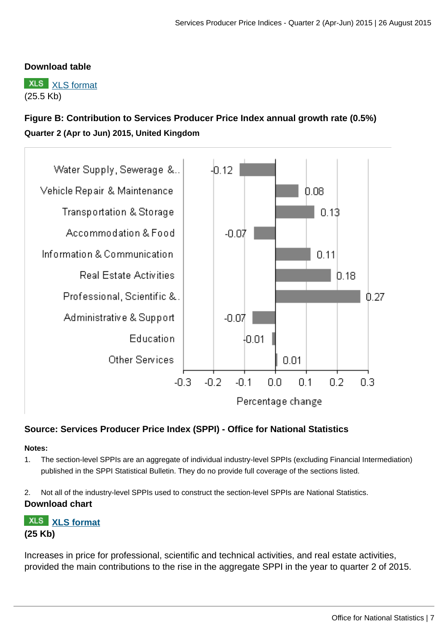#### **Download table**

**XLS** [XLS format](http://www.ons.gov.uk:80/ons/rel/ppi2/services-producer-price-index/quarter-2-2015/prt-table-b.xls) (25.5 Kb)

# **Figure B: Contribution to Services Producer Price Index annual growth rate (0.5%) Quarter 2 (Apr to Jun) 2015, United Kingdom**



#### **Source: Services Producer Price Index (SPPI) - Office for National Statistics**

#### **Notes:**

- 1. The section-level SPPIs are an aggregate of individual industry-level SPPIs (excluding Financial Intermediation) published in the SPPI Statistical Bulletin. They do no provide full coverage of the sections listed.
- 2. Not all of the industry-level SPPIs used to construct the section-level SPPIs are National Statistics. **Download chart**

# **[XLS format](http://www.ons.gov.uk:80/ons/rel/ppi2/services-producer-price-index/quarter-2-2015/chd-fig-b.xls) (25 Kb)**

Increases in price for professional, scientific and technical activities, and real estate activities, provided the main contributions to the rise in the aggregate SPPI in the year to quarter 2 of 2015.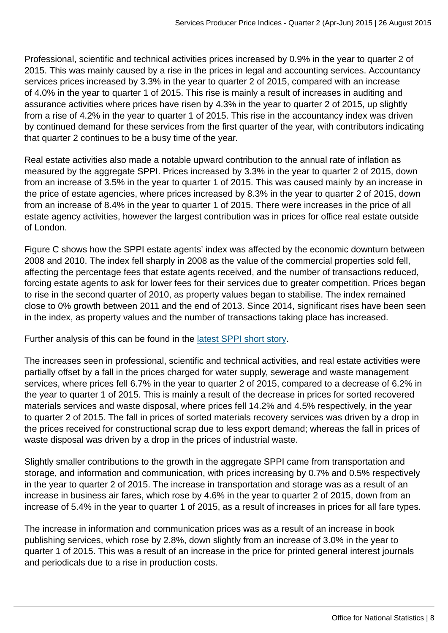Professional, scientific and technical activities prices increased by 0.9% in the year to quarter 2 of 2015. This was mainly caused by a rise in the prices in legal and accounting services. Accountancy services prices increased by 3.3% in the year to quarter 2 of 2015, compared with an increase of 4.0% in the year to quarter 1 of 2015. This rise is mainly a result of increases in auditing and assurance activities where prices have risen by 4.3% in the year to quarter 2 of 2015, up slightly from a rise of 4.2% in the year to quarter 1 of 2015. This rise in the accountancy index was driven by continued demand for these services from the first quarter of the year, with contributors indicating that quarter 2 continues to be a busy time of the year.

Real estate activities also made a notable upward contribution to the annual rate of inflation as measured by the aggregate SPPI. Prices increased by 3.3% in the year to quarter 2 of 2015, down from an increase of 3.5% in the year to quarter 1 of 2015. This was caused mainly by an increase in the price of estate agencies, where prices increased by 8.3% in the year to quarter 2 of 2015, down from an increase of 8.4% in the year to quarter 1 of 2015. There were increases in the price of all estate agency activities, however the largest contribution was in prices for office real estate outside of London.

Figure C shows how the SPPI estate agents' index was affected by the economic downturn between 2008 and 2010. The index fell sharply in 2008 as the value of the commercial properties sold fell, affecting the percentage fees that estate agents received, and the number of transactions reduced, forcing estate agents to ask for lower fees for their services due to greater competition. Prices began to rise in the second quarter of 2010, as property values began to stabilise. The index remained close to 0% growth between 2011 and the end of 2013. Since 2014, significant rises have been seen in the index, as property values and the number of transactions taking place has increased.

Further analysis of this can be found in the [latest SPPI short story](http://www.ons.gov.uk:80/ons/rel/ppi2/services-producer-price-index/quarter-2-2015/sum-real-estate-agencies---what-is-driving-the-increase-in-the-sppi-.html).

The increases seen in professional, scientific and technical activities, and real estate activities were partially offset by a fall in the prices charged for water supply, sewerage and waste management services, where prices fell 6.7% in the year to quarter 2 of 2015, compared to a decrease of 6.2% in the year to quarter 1 of 2015. This is mainly a result of the decrease in prices for sorted recovered materials services and waste disposal, where prices fell 14.2% and 4.5% respectively, in the year to quarter 2 of 2015. The fall in prices of sorted materials recovery services was driven by a drop in the prices received for constructional scrap due to less export demand; whereas the fall in prices of waste disposal was driven by a drop in the prices of industrial waste.

Slightly smaller contributions to the growth in the aggregate SPPI came from transportation and storage, and information and communication, with prices increasing by 0.7% and 0.5% respectively in the year to quarter 2 of 2015. The increase in transportation and storage was as a result of an increase in business air fares, which rose by 4.6% in the year to quarter 2 of 2015, down from an increase of 5.4% in the year to quarter 1 of 2015, as a result of increases in prices for all fare types.

The increase in information and communication prices was as a result of an increase in book publishing services, which rose by 2.8%, down slightly from an increase of 3.0% in the year to quarter 1 of 2015. This was a result of an increase in the price for printed general interest journals and periodicals due to a rise in production costs.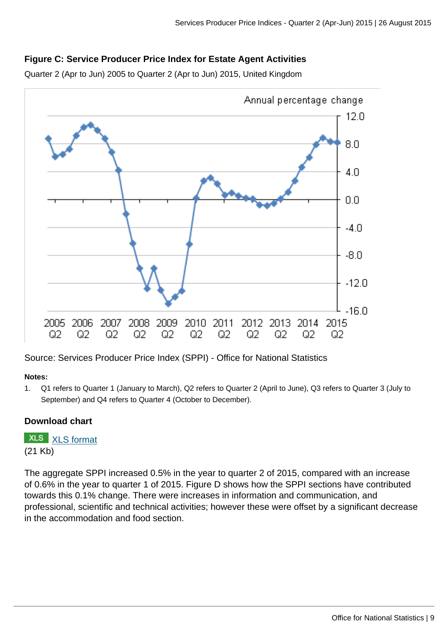#### **Figure C: Service Producer Price Index for Estate Agent Activities**

Quarter 2 (Apr to Jun) 2005 to Quarter 2 (Apr to Jun) 2015, United Kingdom



Source: Services Producer Price Index (SPPI) - Office for National Statistics

#### **Notes:**

1. Q1 refers to Quarter 1 (January to March), Q2 refers to Quarter 2 (April to June), Q3 refers to Quarter 3 (July to September) and Q4 refers to Quarter 4 (October to December).

#### **Download chart**

**XLS** [XLS format](http://www.ons.gov.uk:80/ons/rel/ppi2/services-producer-price-index/quarter-2-2015/chd-figure-c.xls) (21 Kb)

The aggregate SPPI increased 0.5% in the year to quarter 2 of 2015, compared with an increase of 0.6% in the year to quarter 1 of 2015. Figure D shows how the SPPI sections have contributed towards this 0.1% change. There were increases in information and communication, and professional, scientific and technical activities; however these were offset by a significant decrease in the accommodation and food section.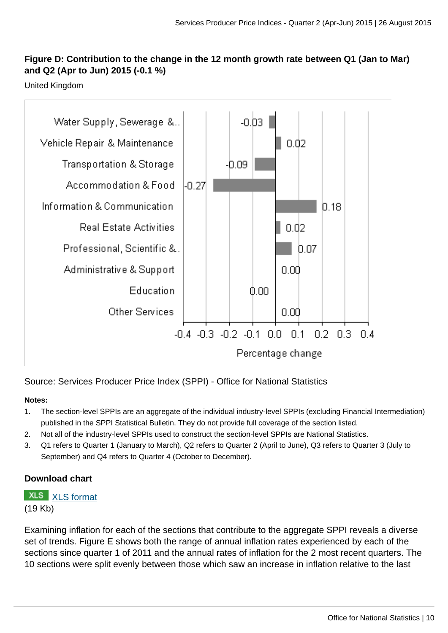### **Figure D: Contribution to the change in the 12 month growth rate between Q1 (Jan to Mar) and Q2 (Apr to Jun) 2015 (-0.1 %)**

United Kingdom



Source: Services Producer Price Index (SPPI) - Office for National Statistics

#### **Notes:**

- 1. The section-level SPPIs are an aggregate of the individual industry-level SPPIs (excluding Financial Intermediation) published in the SPPI Statistical Bulletin. They do not provide full coverage of the section listed.
- 2. Not all of the industry-level SPPIs used to construct the section-level SPPIs are National Statistics.
- 3. Q1 refers to Quarter 1 (January to March), Q2 refers to Quarter 2 (April to June), Q3 refers to Quarter 3 (July to September) and Q4 refers to Quarter 4 (October to December).

#### **Download chart**

**XLS** [XLS format](http://www.ons.gov.uk:80/ons/rel/ppi2/services-producer-price-index/quarter-2-2015/chd-fig-d.xls) (19 Kb)

Examining inflation for each of the sections that contribute to the aggregate SPPI reveals a diverse set of trends. Figure E shows both the range of annual inflation rates experienced by each of the sections since quarter 1 of 2011 and the annual rates of inflation for the 2 most recent quarters. The 10 sections were split evenly between those which saw an increase in inflation relative to the last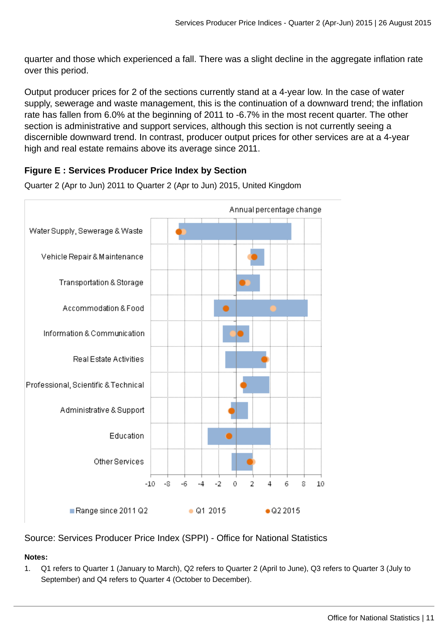quarter and those which experienced a fall. There was a slight decline in the aggregate inflation rate over this period.

Output producer prices for 2 of the sections currently stand at a 4-year low. In the case of water supply, sewerage and waste management, this is the continuation of a downward trend; the inflation rate has fallen from 6.0% at the beginning of 2011 to -6.7% in the most recent quarter. The other section is administrative and support services, although this section is not currently seeing a discernible downward trend. In contrast, producer output prices for other services are at a 4-year high and real estate remains above its average since 2011.

### **Figure E : Services Producer Price Index by Section**



Quarter 2 (Apr to Jun) 2011 to Quarter 2 (Apr to Jun) 2015, United Kingdom

Source: Services Producer Price Index (SPPI) - Office for National Statistics

#### **Notes:**

1. Q1 refers to Quarter 1 (January to March), Q2 refers to Quarter 2 (April to June), Q3 refers to Quarter 3 (July to September) and Q4 refers to Quarter 4 (October to December).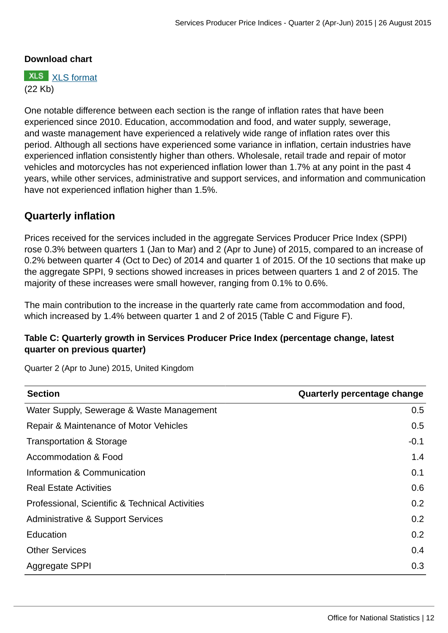#### **Download chart**

**XLS** [XLS format](http://www.ons.gov.uk:80/ons/rel/ppi2/services-producer-price-index/quarter-2-2015/cht-fig-e.xls) (22 Kb)

One notable difference between each section is the range of inflation rates that have been experienced since 2010. Education, accommodation and food, and water supply, sewerage, and waste management have experienced a relatively wide range of inflation rates over this period. Although all sections have experienced some variance in inflation, certain industries have experienced inflation consistently higher than others. Wholesale, retail trade and repair of motor vehicles and motorcycles has not experienced inflation lower than 1.7% at any point in the past 4 years, while other services, administrative and support services, and information and communication have not experienced inflation higher than 1.5%.

# **Quarterly inflation**

Prices received for the services included in the aggregate Services Producer Price Index (SPPI) rose 0.3% between quarters 1 (Jan to Mar) and 2 (Apr to June) of 2015, compared to an increase of 0.2% between quarter 4 (Oct to Dec) of 2014 and quarter 1 of 2015. Of the 10 sections that make up the aggregate SPPI, 9 sections showed increases in prices between quarters 1 and 2 of 2015. The majority of these increases were small however, ranging from 0.1% to 0.6%.

The main contribution to the increase in the quarterly rate came from accommodation and food, which increased by 1.4% between quarter 1 and 2 of 2015 (Table C and Figure F).

#### **Table C: Quarterly growth in Services Producer Price Index (percentage change, latest quarter on previous quarter)**

Quarter 2 (Apr to June) 2015, United Kingdom

| <b>Section</b>                                  | Quarterly percentage change |
|-------------------------------------------------|-----------------------------|
| Water Supply, Sewerage & Waste Management       | 0.5                         |
| Repair & Maintenance of Motor Vehicles          | 0.5                         |
| Transportation & Storage                        | $-0.1$                      |
| Accommodation & Food                            | 1.4                         |
| Information & Communication                     | 0.1                         |
| <b>Real Estate Activities</b>                   | 0.6                         |
| Professional, Scientific & Technical Activities | 0.2                         |
| Administrative & Support Services               | $0.2^{\circ}$               |
| Education                                       | 0.2                         |
| <b>Other Services</b>                           | 0.4                         |
| Aggregate SPPI                                  | 0.3                         |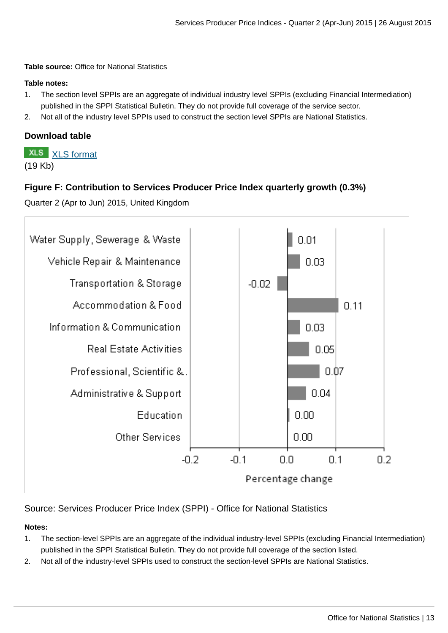**Table source:** Office for National Statistics

#### **Table notes:**

- 1. The section level SPPIs are an aggregate of individual industry level SPPIs (excluding Financial Intermediation) published in the SPPI Statistical Bulletin. They do not provide full coverage of the service sector.
- 2. Not all of the industry level SPPIs used to construct the section level SPPIs are National Statistics.

#### **Download table**

**XLS** [XLS format](http://www.ons.gov.uk:80/ons/rel/ppi2/services-producer-price-index/quarter-2-2015/prt-table-c.xls) (19 Kb)

#### **Figure F: Contribution to Services Producer Price Index quarterly growth (0.3%)**

Quarter 2 (Apr to Jun) 2015, United Kingdom



Source: Services Producer Price Index (SPPI) - Office for National Statistics

#### **Notes:**

- 1. The section-level SPPIs are an aggregate of the individual industry-level SPPIs (excluding Financial Intermediation) published in the SPPI Statistical Bulletin. They do not provide full coverage of the section listed.
- 2. Not all of the industry-level SPPIs used to construct the section-level SPPIs are National Statistics.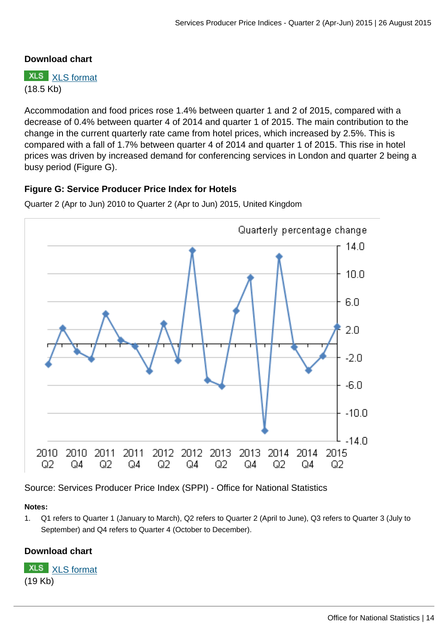#### **Download chart**

**XLS** [XLS format](http://www.ons.gov.uk:80/ons/rel/ppi2/services-producer-price-index/quarter-2-2015/chd-figure-f.xls) (18.5 Kb)

Accommodation and food prices rose 1.4% between quarter 1 and 2 of 2015, compared with a decrease of 0.4% between quarter 4 of 2014 and quarter 1 of 2015. The main contribution to the change in the current quarterly rate came from hotel prices, which increased by 2.5%. This is compared with a fall of 1.7% between quarter 4 of 2014 and quarter 1 of 2015. This rise in hotel prices was driven by increased demand for conferencing services in London and quarter 2 being a busy period (Figure G).

#### **Figure G: Service Producer Price Index for Hotels**



Quarter 2 (Apr to Jun) 2010 to Quarter 2 (Apr to Jun) 2015, United Kingdom

Source: Services Producer Price Index (SPPI) - Office for National Statistics

#### **Notes:**

1. Q1 refers to Quarter 1 (January to March), Q2 refers to Quarter 2 (April to June), Q3 refers to Quarter 3 (July to September) and Q4 refers to Quarter 4 (October to December).

## **Download chart**

**XLS** [XLS format](http://www.ons.gov.uk:80/ons/rel/ppi2/services-producer-price-index/quarter-2-2015/chd-fig-g.xls) (19 Kb)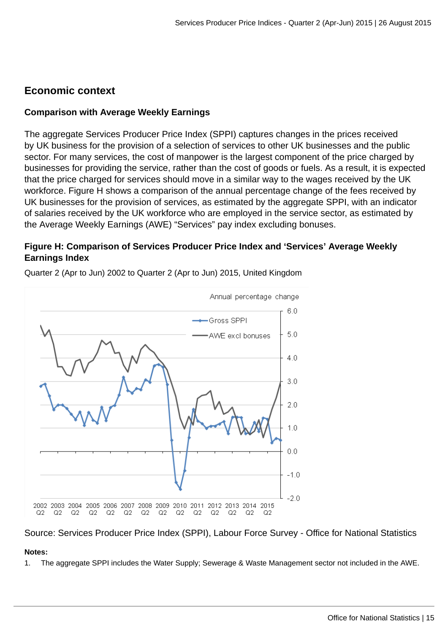# **Economic context**

#### **Comparison with Average Weekly Earnings**

The aggregate Services Producer Price Index (SPPI) captures changes in the prices received by UK business for the provision of a selection of services to other UK businesses and the public sector. For many services, the cost of manpower is the largest component of the price charged by businesses for providing the service, rather than the cost of goods or fuels. As a result, it is expected that the price charged for services should move in a similar way to the wages received by the UK workforce. Figure H shows a comparison of the annual percentage change of the fees received by UK businesses for the provision of services, as estimated by the aggregate SPPI, with an indicator of salaries received by the UK workforce who are employed in the service sector, as estimated by the Average Weekly Earnings (AWE) "Services" pay index excluding bonuses.

### **Figure H: Comparison of Services Producer Price Index and 'Services' Average Weekly Earnings Index**



Quarter 2 (Apr to Jun) 2002 to Quarter 2 (Apr to Jun) 2015, United Kingdom

#### Source: Services Producer Price Index (SPPI), Labour Force Survey - Office for National Statistics

#### **Notes:**

1. The aggregate SPPI includes the Water Supply; Sewerage & Waste Management sector not included in the AWE.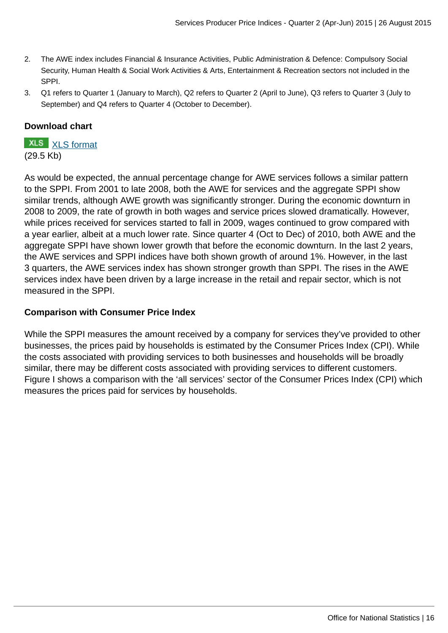- 2. The AWE index includes Financial & Insurance Activities, Public Administration & Defence: Compulsory Social Security, Human Health & Social Work Activities & Arts, Entertainment & Recreation sectors not included in the SPPI.
- 3. Q1 refers to Quarter 1 (January to March), Q2 refers to Quarter 2 (April to June), Q3 refers to Quarter 3 (July to September) and Q4 refers to Quarter 4 (October to December).

#### **Download chart**

**XLS** [XLS format](http://www.ons.gov.uk:80/ons/rel/ppi2/services-producer-price-index/quarter-2-2015/chd-fig-h.xls) (29.5 Kb)

As would be expected, the annual percentage change for AWE services follows a similar pattern to the SPPI. From 2001 to late 2008, both the AWE for services and the aggregate SPPI show similar trends, although AWE growth was significantly stronger. During the economic downturn in 2008 to 2009, the rate of growth in both wages and service prices slowed dramatically. However, while prices received for services started to fall in 2009, wages continued to grow compared with a year earlier, albeit at a much lower rate. Since quarter 4 (Oct to Dec) of 2010, both AWE and the aggregate SPPI have shown lower growth that before the economic downturn. In the last 2 years, the AWE services and SPPI indices have both shown growth of around 1%. However, in the last 3 quarters, the AWE services index has shown stronger growth than SPPI. The rises in the AWE services index have been driven by a large increase in the retail and repair sector, which is not measured in the SPPI.

#### **Comparison with Consumer Price Index**

While the SPPI measures the amount received by a company for services they've provided to other businesses, the prices paid by households is estimated by the Consumer Prices Index (CPI). While the costs associated with providing services to both businesses and households will be broadly similar, there may be different costs associated with providing services to different customers. Figure I shows a comparison with the 'all services' sector of the Consumer Prices Index (CPI) which measures the prices paid for services by households.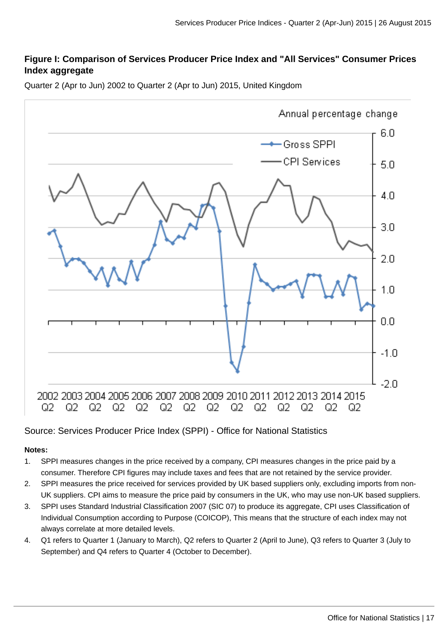### **Figure I: Comparison of Services Producer Price Index and "All Services" Consumer Prices Index aggregate**



Quarter 2 (Apr to Jun) 2002 to Quarter 2 (Apr to Jun) 2015, United Kingdom

# Source: Services Producer Price Index (SPPI) - Office for National Statistics

#### **Notes:**

- 1. SPPI measures changes in the price received by a company, CPI measures changes in the price paid by a consumer. Therefore CPI figures may include taxes and fees that are not retained by the service provider.
- 2. SPPI measures the price received for services provided by UK based suppliers only, excluding imports from non-UK suppliers. CPI aims to measure the price paid by consumers in the UK, who may use non-UK based suppliers.
- 3. SPPI uses Standard Industrial Classification 2007 (SIC 07) to produce its aggregate, CPI uses Classification of Individual Consumption according to Purpose (COICOP), This means that the structure of each index may not always correlate at more detailed levels.
- 4. Q1 refers to Quarter 1 (January to March), Q2 refers to Quarter 2 (April to June), Q3 refers to Quarter 3 (July to September) and Q4 refers to Quarter 4 (October to December).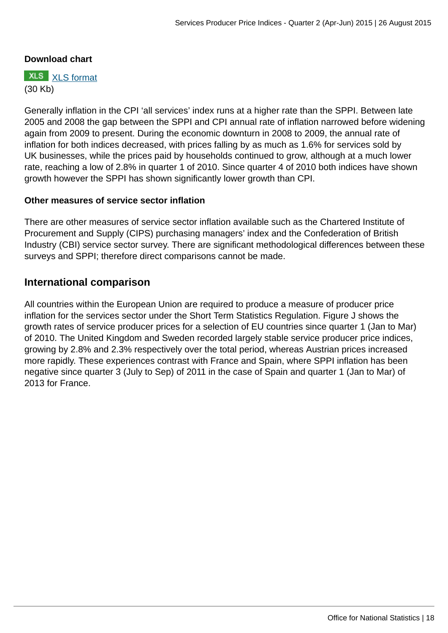#### **Download chart**

**XLS** [XLS format](http://www.ons.gov.uk:80/ons/rel/ppi2/services-producer-price-index/quarter-2-2015/chd-fig-i.xls) (30 Kb)

Generally inflation in the CPI 'all services' index runs at a higher rate than the SPPI. Between late 2005 and 2008 the gap between the SPPI and CPI annual rate of inflation narrowed before widening again from 2009 to present. During the economic downturn in 2008 to 2009, the annual rate of inflation for both indices decreased, with prices falling by as much as 1.6% for services sold by UK businesses, while the prices paid by households continued to grow, although at a much lower rate, reaching a low of 2.8% in quarter 1 of 2010. Since quarter 4 of 2010 both indices have shown growth however the SPPI has shown significantly lower growth than CPI.

#### **Other measures of service sector inflation**

There are other measures of service sector inflation available such as the Chartered Institute of Procurement and Supply (CIPS) purchasing managers' index and the Confederation of British Industry (CBI) service sector survey. There are significant methodological differences between these surveys and SPPI; therefore direct comparisons cannot be made.

#### **International comparison**

All countries within the European Union are required to produce a measure of producer price inflation for the services sector under the Short Term Statistics Regulation. Figure J shows the growth rates of service producer prices for a selection of EU countries since quarter 1 (Jan to Mar) of 2010. The United Kingdom and Sweden recorded largely stable service producer price indices, growing by 2.8% and 2.3% respectively over the total period, whereas Austrian prices increased more rapidly. These experiences contrast with France and Spain, where SPPI inflation has been negative since quarter 3 (July to Sep) of 2011 in the case of Spain and quarter 1 (Jan to Mar) of 2013 for France.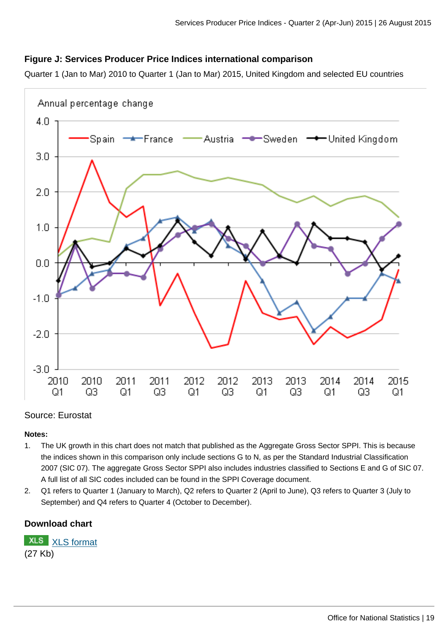#### **Figure J: Services Producer Price Indices international comparison**

Quarter 1 (Jan to Mar) 2010 to Quarter 1 (Jan to Mar) 2015, United Kingdom and selected EU countries



#### Source: Eurostat

#### **Notes:**

- 1. The UK growth in this chart does not match that published as the Aggregate Gross Sector SPPI. This is because the indices shown in this comparison only include sections G to N, as per the Standard Industrial Classification 2007 (SIC 07). The aggregate Gross Sector SPPI also includes industries classified to Sections E and G of SIC 07. A full list of all SIC codes included can be found in the SPPI Coverage document.
- 2. Q1 refers to Quarter 1 (January to March), Q2 refers to Quarter 2 (April to June), Q3 refers to Quarter 3 (July to September) and Q4 refers to Quarter 4 (October to December).

#### **Download chart**

[XLS format](http://www.ons.gov.uk:80/ons/rel/ppi2/services-producer-price-index/quarter-2-2015/chd-fig-j.xls) (27 Kb)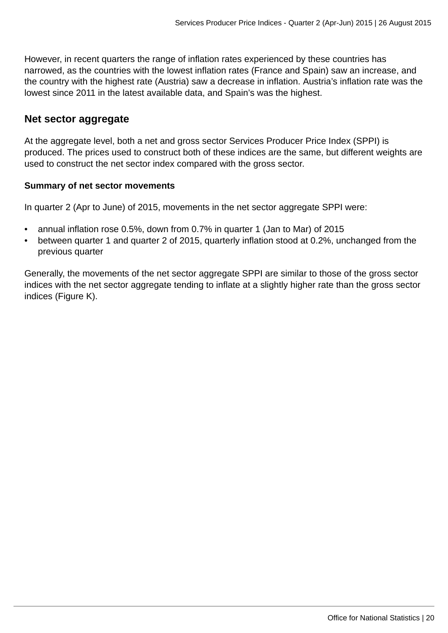However, in recent quarters the range of inflation rates experienced by these countries has narrowed, as the countries with the lowest inflation rates (France and Spain) saw an increase, and the country with the highest rate (Austria) saw a decrease in inflation. Austria's inflation rate was the lowest since 2011 in the latest available data, and Spain's was the highest.

### **Net sector aggregate**

At the aggregate level, both a net and gross sector Services Producer Price Index (SPPI) is produced. The prices used to construct both of these indices are the same, but different weights are used to construct the net sector index compared with the gross sector.

#### **Summary of net sector movements**

In quarter 2 (Apr to June) of 2015, movements in the net sector aggregate SPPI were:

- annual inflation rose 0.5%, down from 0.7% in quarter 1 (Jan to Mar) of 2015
- between quarter 1 and quarter 2 of 2015, quarterly inflation stood at 0.2%, unchanged from the previous quarter

Generally, the movements of the net sector aggregate SPPI are similar to those of the gross sector indices with the net sector aggregate tending to inflate at a slightly higher rate than the gross sector indices (Figure K).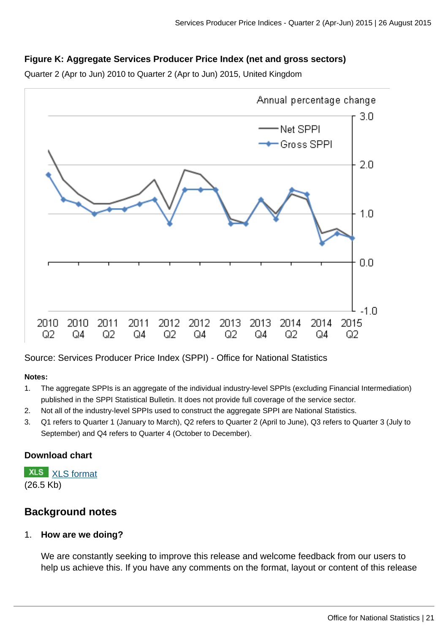## **Figure K: Aggregate Services Producer Price Index (net and gross sectors)**

Quarter 2 (Apr to Jun) 2010 to Quarter 2 (Apr to Jun) 2015, United Kingdom



Source: Services Producer Price Index (SPPI) - Office for National Statistics

#### **Notes:**

- 1. The aggregate SPPIs is an aggregate of the individual industry-level SPPIs (excluding Financial Intermediation) published in the SPPI Statistical Bulletin. It does not provide full coverage of the service sector.
- 2. Not all of the industry-level SPPIs used to construct the aggregate SPPI are National Statistics.
- 3. Q1 refers to Quarter 1 (January to March), Q2 refers to Quarter 2 (April to June), Q3 refers to Quarter 3 (July to September) and Q4 refers to Quarter 4 (October to December).

#### **Download chart**

**XLS** [XLS format](http://www.ons.gov.uk:80/ons/rel/ppi2/services-producer-price-index/quarter-2-2015/chd-fig-k.xls) (26.5 Kb)

# **Background notes**

#### 1. **How are we doing?**

We are constantly seeking to improve this release and welcome feedback from our users to help us achieve this. If you have any comments on the format, layout or content of this release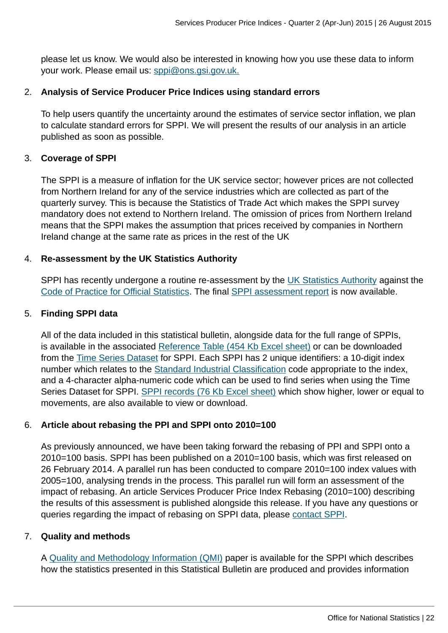please let us know. We would also be interested in knowing how you use these data to inform your work. Please email us: [sppi@ons.gsi.gov.uk.](mailto:sppi@ons.gsi.gov.uk)

#### 2. **Analysis of Service Producer Price Indices using standard errors**

To help users quantify the uncertainty around the estimates of service sector inflation, we plan to calculate standard errors for SPPI. We will present the results of our analysis in an article published as soon as possible.

#### 3. **Coverage of SPPI**

The SPPI is a measure of inflation for the UK service sector; however prices are not collected from Northern Ireland for any of the service industries which are collected as part of the quarterly survey. This is because the Statistics of Trade Act which makes the SPPI survey mandatory does not extend to Northern Ireland. The omission of prices from Northern Ireland means that the SPPI makes the assumption that prices received by companies in Northern Ireland change at the same rate as prices in the rest of the UK

#### 4. **Re-assessment by the UK Statistics Authority**

SPPI has recently undergone a routine re-assessment by the [UK Statistics Authority](http://www.ons.gov.uk:80/ons/external-links/stats-authority/statistics-authority-s-website.html) against the [Code of Practice for Official Statistics](http://www.ons.gov.uk:80/ons/external-links/stats-authority/uk-statistics-authority-code-of-practice.html). The final [SPPI assessment report](http://www.statisticsauthority.gov.uk/assessment/assessment/assessment-reports/assessment-report-290---services-producer-price-indices.pdf) is now available.

#### 5. **Finding SPPI data**

All of the data included in this statistical bulletin, alongside data for the full range of SPPIs, is available in the associated [Reference Table \(454 Kb Excel sheet\)](http://www.ons.gov.uk:80/ons/rel/ppi2/services-producer-price-index/q4-2014/rft-services-producer-price-index--quarter-4-2014.xls) or can be downloaded from the [Time Series Dataset](http://www.ons.gov.uk:80/ons/rel/ppi2/services-producer-price-index/q4-2014/tsd-services-producer-price-index---quarter-4-2014.html) for SPPI. Each SPPI has 2 unique identifiers: a 10-digit index number which relates to the [Standard Industrial Classification](http://www.ons.gov.uk:80/ons/guide-method/classifications/current-standard-classifications/standard-industrial-classification/index.html) code appropriate to the index, and a 4-character alpha-numeric code which can be used to find series when using the Time Series Dataset for SPPI. [SPPI records \(76 Kb Excel sheet\)](http://www.ons.gov.uk:80/ons/rel/ppi2/services-producer-price-index/q4-2014/sppi-records--quarter-4-2014.xls) which show higher, lower or equal to movements, are also available to view or download.

#### 6. **Article about rebasing the PPI and SPPI onto 2010=100**

As previously announced, we have been taking forward the rebasing of PPI and SPPI onto a 2010=100 basis. SPPI has been published on a 2010=100 basis, which was first released on 26 February 2014. A parallel run has been conducted to compare 2010=100 index values with 2005=100, analysing trends in the process. This parallel run will form an assessment of the impact of rebasing. An article Services Producer Price Index Rebasing (2010=100) describing the results of this assessment is published alongside this release. If you have any questions or queries regarding the impact of rebasing on SPPI data, please [contact SPPI.](mailto:sppi@ons.gsi.gov.uk)

#### 7. **Quality and methods**

A [Quality and Methodology Information \(QMI\)](http://www.ons.gov.uk/ons/guide-method/method-quality/quality/quality-information/business-statistics/summary-quality-report-for-services-producer-price-indices.pdf) paper is available for the SPPI which describes how the statistics presented in this Statistical Bulletin are produced and provides information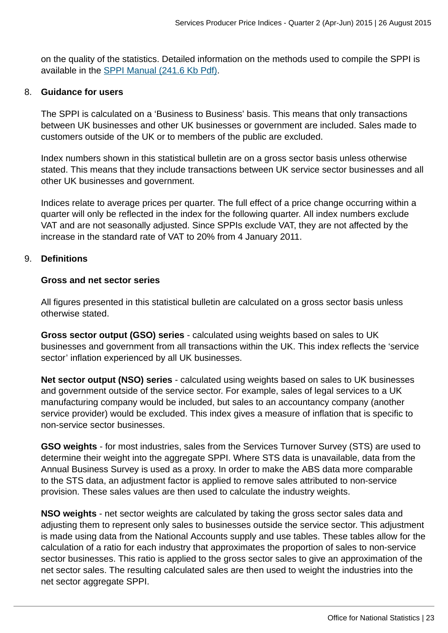on the quality of the statistics. Detailed information on the methods used to compile the SPPI is available in the [SPPI Manual \(241.6 Kb Pdf\)](http://www.ons.gov.uk:80/ons/guide-method/user-guidance/prices/sppi/sppi-methods-and-guidance---march-2014.pdf).

#### 8. **Guidance for users**

The SPPI is calculated on a 'Business to Business' basis. This means that only transactions between UK businesses and other UK businesses or government are included. Sales made to customers outside of the UK or to members of the public are excluded.

Index numbers shown in this statistical bulletin are on a gross sector basis unless otherwise stated. This means that they include transactions between UK service sector businesses and all other UK businesses and government.

Indices relate to average prices per quarter. The full effect of a price change occurring within a quarter will only be reflected in the index for the following quarter. All index numbers exclude VAT and are not seasonally adjusted. Since SPPIs exclude VAT, they are not affected by the increase in the standard rate of VAT to 20% from 4 January 2011.

#### 9. **Definitions**

#### **Gross and net sector series**

All figures presented in this statistical bulletin are calculated on a gross sector basis unless otherwise stated.

**Gross sector output (GSO) series** - calculated using weights based on sales to UK businesses and government from all transactions within the UK. This index reflects the 'service sector' inflation experienced by all UK businesses.

**Net sector output (NSO) series** - calculated using weights based on sales to UK businesses and government outside of the service sector. For example, sales of legal services to a UK manufacturing company would be included, but sales to an accountancy company (another service provider) would be excluded. This index gives a measure of inflation that is specific to non-service sector businesses.

**GSO weights** - for most industries, sales from the Services Turnover Survey (STS) are used to determine their weight into the aggregate SPPI. Where STS data is unavailable, data from the Annual Business Survey is used as a proxy. In order to make the ABS data more comparable to the STS data, an adjustment factor is applied to remove sales attributed to non-service provision. These sales values are then used to calculate the industry weights.

**NSO weights** - net sector weights are calculated by taking the gross sector sales data and adjusting them to represent only sales to businesses outside the service sector. This adjustment is made using data from the National Accounts supply and use tables. These tables allow for the calculation of a ratio for each industry that approximates the proportion of sales to non-service sector businesses. This ratio is applied to the gross sector sales to give an approximation of the net sector sales. The resulting calculated sales are then used to weight the industries into the net sector aggregate SPPI.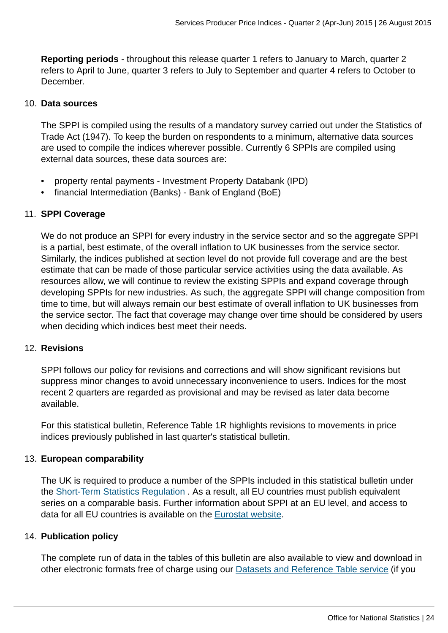**Reporting periods** - throughout this release quarter 1 refers to January to March, quarter 2 refers to April to June, quarter 3 refers to July to September and quarter 4 refers to October to December.

#### 10. **Data sources**

The SPPI is compiled using the results of a mandatory survey carried out under the Statistics of Trade Act (1947). To keep the burden on respondents to a minimum, alternative data sources are used to compile the indices wherever possible. Currently 6 SPPIs are compiled using external data sources, these data sources are:

- property rental payments Investment Property Databank (IPD)
- financial Intermediation (Banks) Bank of England (BoE)

#### 11. **SPPI Coverage**

We do not produce an SPPI for every industry in the service sector and so the aggregate SPPI is a partial, best estimate, of the overall inflation to UK businesses from the service sector. Similarly, the indices published at section level do not provide full coverage and are the best estimate that can be made of those particular service activities using the data available. As resources allow, we will continue to review the existing SPPIs and expand coverage through developing SPPIs for new industries. As such, the aggregate SPPI will change composition from time to time, but will always remain our best estimate of overall inflation to UK businesses from the service sector. The fact that coverage may change over time should be considered by users when deciding which indices best meet their needs.

#### 12. **Revisions**

SPPI follows our policy for revisions and corrections and will show significant revisions but suppress minor changes to avoid unnecessary inconvenience to users. Indices for the most recent 2 quarters are regarded as provisional and may be revised as later data become available.

For this statistical bulletin, Reference Table 1R highlights revisions to movements in price indices previously published in last quarter's statistical bulletin.

#### 13. **European comparability**

The UK is required to produce a number of the SPPIs included in this statistical bulletin under the [Short-Term Statistics Regulation](http://eur-lex.europa.eu/LexUriServ/LexUriServ.do?uri=CELEX:31998R1165:EN:NOT) . As a result, all EU countries must publish equivalent series on a comparable basis. Further information about SPPI at an EU level, and access to data for all EU countries is available on the [Eurostat website.](http://epp.eurostat.ec.europa.eu/statistics_explained/index.php/Services_producer_price_index_overview)

#### 14. **Publication policy**

The complete run of data in the tables of this bulletin are also available to view and download in other electronic formats free of charge using our [Datasets and Reference Table service](http://www.ons.gov.uk/ons/datasets-and-tables/index.html) (if you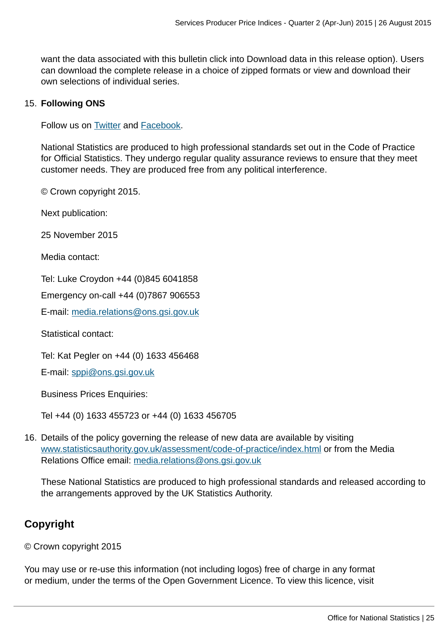want the data associated with this bulletin click into Download data in this release option). Users can download the complete release in a choice of zipped formats or view and download their own selections of individual series.

#### 15. **Following ONS**

Follow us on **Twitter** and **Facebook**.

National Statistics are produced to high professional standards set out in the Code of Practice for Official Statistics. They undergo regular quality assurance reviews to ensure that they meet customer needs. They are produced free from any political interference.

© Crown copyright 2015.

Next publication:

25 November 2015

Media contact:

Tel: Luke Croydon +44 (0)845 6041858

Emergency on-call +44 (0)7867 906553

E-mail: [media.relations@ons.gsi.gov.uk](mailto:media.relations@ons.gsi.gov.uk)

Statistical contact:

Tel: Kat Pegler on +44 (0) 1633 456468

E-mail: [sppi@ons.gsi.gov.uk](mailto:sppi@ons.gsi.gov.uk)

Business Prices Enquiries:

Tel +44 (0) 1633 455723 or +44 (0) 1633 456705

16. Details of the policy governing the release of new data are available by visiting [www.statisticsauthority.gov.uk/assessment/code-of-practice/index.html](http://www.statisticsauthority.gov.uk/assessment/code-of-practice/index.html) or from the Media Relations Office email: [media.relations@ons.gsi.gov.uk](mailto:media.relations@ons.gsi.gov.uk)

These National Statistics are produced to high professional standards and released according to the arrangements approved by the UK Statistics Authority.

## **Copyright**

© Crown copyright 2015

You may use or re-use this information (not including logos) free of charge in any format or medium, under the terms of the Open Government Licence. To view this licence, visit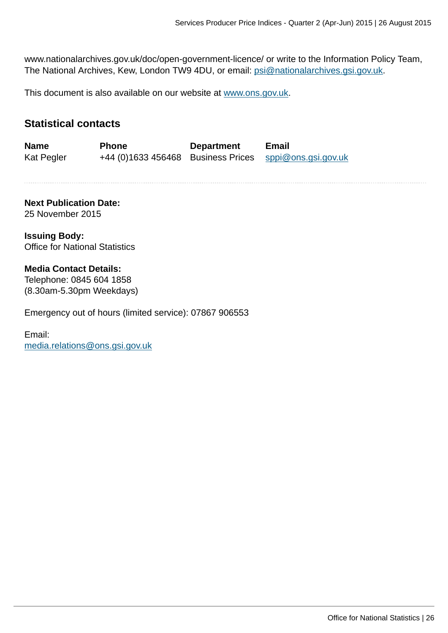www.nationalarchives.gov.uk/doc/open-government-licence/ or write to the Information Policy Team, The National Archives, Kew, London TW9 4DU, or email: [psi@nationalarchives.gsi.gov.uk](mailto:psi@nationalarchives.gsi.gov.uk).

This document is also available on our website at [www.ons.gov.uk.](http://www.ons.gov.uk/)

## **Statistical contacts**

**Name Phone Department Email** Kat Pegler +44 (0)1633 456468 Business Prices [sppi@ons.gsi.gov.uk](mailto:sppi@ons.gsi.gov.uk)

**Next Publication Date:** 25 November 2015

**Issuing Body:** Office for National Statistics

#### **Media Contact Details:**

Telephone: 0845 604 1858 (8.30am-5.30pm Weekdays)

Emergency out of hours (limited service): 07867 906553

Email: [media.relations@ons.gsi.gov.uk](mailto:media.relations@ons.gsi.gov.uk)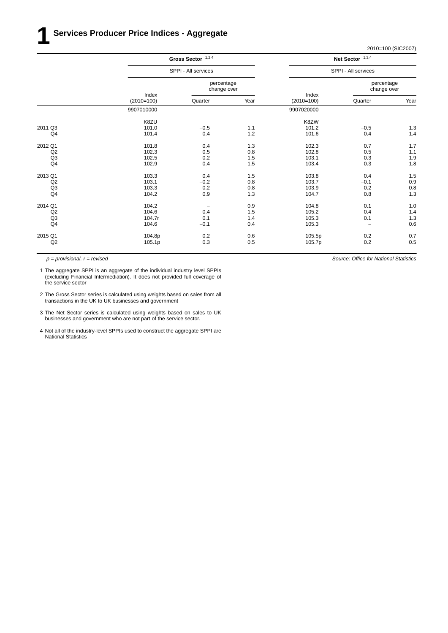|                | Gross Sector $1,2,4$<br>SPPI - All services |                           |      |                       | Net Sector $1,3,4$        |       |
|----------------|---------------------------------------------|---------------------------|------|-----------------------|---------------------------|-------|
|                |                                             |                           |      | SPPI - All services   |                           |       |
|                | Index<br>$(2010=100)$                       | percentage<br>change over |      |                       | percentage<br>change over |       |
|                |                                             | Quarter                   | Year | Index<br>$(2010=100)$ | Quarter                   | Year  |
|                | 9907010000                                  |                           |      | 9907020000            |                           |       |
|                | K8ZU                                        |                           |      | K8ZW                  |                           |       |
| 2011 Q3        | 101.0                                       | $-0.5$                    | 1.1  | 101.2                 | $-0.5$                    | $1.3$ |
| Q4             | 101.4                                       | 0.4                       | 1.2  | 101.6                 | 0.4                       | 1.4   |
| 2012 Q1        | 101.8                                       | 0.4                       | 1.3  | 102.3                 | 0.7                       | 1.7   |
| Q2             | 102.3                                       | 0.5                       | 0.8  | 102.8                 | 0.5                       | 1.1   |
| Q <sub>3</sub> | 102.5                                       | 0.2                       | 1.5  | 103.1                 | 0.3                       | 1.9   |
| Q <sub>4</sub> | 102.9                                       | 0.4                       | 1.5  | 103.4                 | 0.3                       | 1.8   |
| 2013 Q1        | 103.3                                       | 0.4                       | 1.5  | 103.8                 | 0.4                       | 1.5   |
| Q2             | 103.1                                       | $-0.2$                    | 0.8  | 103.7                 | $-0.1$                    | 0.9   |
| Q <sub>3</sub> | 103.3                                       | 0.2                       | 0.8  | 103.9                 | 0.2                       | 0.8   |
| Q <sub>4</sub> | 104.2                                       | 0.9                       | 1.3  | 104.7                 | 0.8                       | 1.3   |
| 2014 Q1        | 104.2                                       | $\qquad \qquad -$         | 0.9  | 104.8                 | 0.1                       | 1.0   |
| Q2             | 104.6                                       | 0.4                       | 1.5  | 105.2                 | 0.4                       | 1.4   |
| Q <sub>3</sub> | 104.7r                                      | 0.1                       | 1.4  | 105.3                 | 0.1                       | 1.3   |
| Q <sub>4</sub> | 104.6                                       | $-0.1$                    | 0.4  | 105.3                 | $\qquad \qquad -$         | 0.6   |
| 2015 Q1        | 104.8p                                      | 0.2                       | 0.6  | 105.5p                | 0.2                       | 0.7   |
| Q2             | 105.1p                                      | 0.3                       | 0.5  | 105.7p                | 0.2                       | 0.5   |
|                |                                             |                           |      |                       |                           |       |

*p = provisional. r = revised*

1 The aggregate SPPI is an aggregate of the individual industry level SPPIs (excluding Financial Intermediation). It does not provided full coverage of the service sector

- 2 The Gross Sector series is calculated using weights based on sales from all transactions in the UK to UK businesses and government
- 3 The Net Sector series is calculated using weights based on sales to UK businesses and government who are not part of the service sector.
- 4 Not all of the industry-level SPPIs used to construct the aggregate SPPI are National Statistics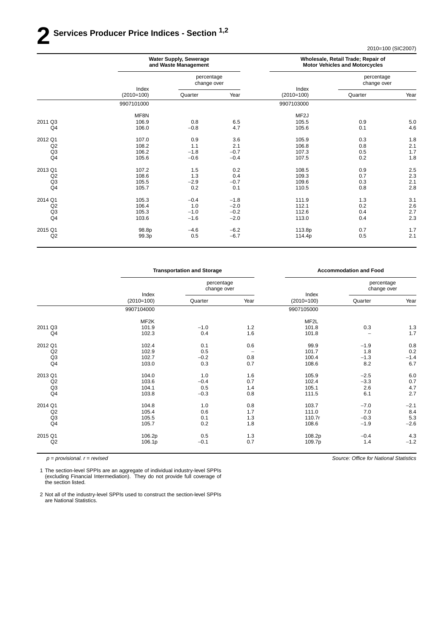# **2 Ser vices Producer Price Indices - Section 1,2**

2010=100 (SIC2007)

| <b>Water Supply, Sewerage</b><br>and Waste Management |                           |        | Wholesale, Retail Trade; Repair of<br><b>Motor Vehicles and Motorcycles</b> |                           |         |
|-------------------------------------------------------|---------------------------|--------|-----------------------------------------------------------------------------|---------------------------|---------|
|                                                       | percentage<br>change over |        |                                                                             | percentage<br>change over |         |
| $(2010=100)$                                          | Quarter                   | Year   | $(2010=100)$                                                                | Quarter                   | Year    |
| 9907101000                                            |                           |        | 9907103000                                                                  |                           |         |
| MF8N                                                  |                           |        | MF <sub>2</sub> J                                                           |                           |         |
| 106.9                                                 |                           |        |                                                                             |                           | $5.0\,$ |
| 106.0                                                 | $-0.8$                    | 4.7    | 105.6                                                                       | 0.1                       | 4.6     |
| 107.0                                                 | 0.9                       | 3.6    | 105.9                                                                       | 0.3                       | 1.8     |
| 108.2                                                 | 1.1                       | 2.1    | 106.8                                                                       | 0.8                       | 2.1     |
| 106.2                                                 | $-1.8$                    | $-0.7$ | 107.3                                                                       | 0.5                       | 1.7     |
| 105.6                                                 | $-0.6$                    | $-0.4$ | 107.5                                                                       | 0.2                       | 1.8     |
| 107.2                                                 | 1.5                       | 0.2    | 108.5                                                                       | 0.9                       | 2.5     |
| 108.6                                                 | 1.3                       | 0.4    | 109.3                                                                       | 0.7                       | 2.3     |
| 105.5                                                 | $-2.9$                    | $-0.7$ | 109.6                                                                       | 0.3                       | 2.1     |
| 105.7                                                 | 0.2                       | 0.1    | 110.5                                                                       | 0.8                       | 2.8     |
| 105.3                                                 | $-0.4$                    | $-1.8$ | 111.9                                                                       | 1.3                       | 3.1     |
| 106.4                                                 | 1.0                       |        | 112.1                                                                       | 0.2                       | 2.6     |
| 105.3                                                 | $-1.0$                    | $-0.2$ | 112.6                                                                       | 0.4                       | 2.7     |
| 103.6                                                 | $-1.6$                    | $-2.0$ | 113.0                                                                       | 0.4                       | 2.3     |
| 98.8p                                                 | $-4.6$                    | $-6.2$ | 113.8p                                                                      | 0.7                       | 1.7     |
| 99.3p                                                 | 0.5                       | $-6.7$ | 114.4p                                                                      | 0.5                       | 2.1     |
|                                                       | Index                     | 0.8    | 6.5<br>$-2.0$                                                               | Index<br>105.5            | 0.9     |

|                | <b>Transportation and Storage</b> |                           |                          |                       | <b>Accommodation and Food</b> |        |
|----------------|-----------------------------------|---------------------------|--------------------------|-----------------------|-------------------------------|--------|
|                | Index<br>$(2010=100)$             | percentage<br>change over |                          |                       | percentage<br>change over     |        |
|                |                                   | Quarter                   | Year                     | Index<br>$(2010=100)$ | Quarter                       | Year   |
|                | 9907104000                        |                           |                          | 9907105000            |                               |        |
|                | MF2K                              |                           |                          | MF2L                  |                               |        |
| 2011 Q3        | 101.9                             | $-1.0$                    | 1.2                      | 101.8                 | 0.3                           | 1.3    |
| Q4             | 102.3                             | 0.4                       | 1.6                      | 101.8                 |                               | 1.7    |
| 2012 Q1        | 102.4                             | 0.1                       | 0.6                      | 99.9                  | $-1.9$                        | 0.8    |
| Q2             | 102.9                             | 0.5                       | $\overline{\phantom{m}}$ | 101.7                 | 1.8                           | 0.2    |
| Q <sub>3</sub> | 102.7                             | $-0.2$                    | 0.8                      | 100.4                 | $-1.3$                        | $-1.4$ |
| Q <sub>4</sub> | 103.0                             | 0.3                       | 0.7                      | 108.6                 | 8.2                           | 6.7    |
| 2013 Q1        | 104.0                             | 1.0                       | 1.6                      | 105.9                 | $-2.5$                        | 6.0    |
| Q2             | 103.6                             | $-0.4$                    | 0.7                      | 102.4                 | $-3.3$                        | 0.7    |
| Q3             | 104.1                             | 0.5                       | 1.4                      | 105.1                 | 2.6                           | 4.7    |
| Q <sub>4</sub> | 103.8                             | $-0.3$                    | 0.8                      | 111.5                 | 6.1                           | 2.7    |
| 2014 Q1        | 104.8                             | 1.0                       | 0.8                      | 103.7                 | $-7.0$                        | $-2.1$ |
| Q2             | 105.4                             | 0.6                       | 1.7                      | 111.0                 | 7.0                           | 8.4    |
| Q3             | 105.5                             | 0.1                       | 1.3                      | 110.7r                | $-0.3$                        | 5.3    |
| Q <sub>4</sub> | 105.7                             | 0.2                       | 1.8                      | 108.6                 | $-1.9$                        | $-2.6$ |
| 2015 Q1        | 106.2p                            | 0.5                       | 1.3                      | 108.2p                | $-0.4$                        | 4.3    |
| Q2             | 106.1p                            | $-0.1$                    | 0.7                      | 109.7p                | 1.4                           | $-1.2$ |
|                |                                   |                           |                          |                       |                               |        |

*p = provisional. r = revised*

1 The section-level SPPIs are an aggregate of individual industry-level SPPIs (excluding Financial Intermediation). They do not provide full coverage of the section listed.

2 Not all of the industry-level SPPIs used to construct the section-level SPPIs are National Statistics.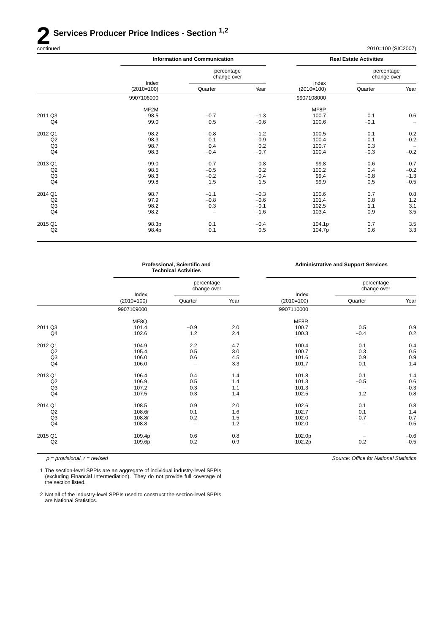# **2 Services Producer Price Indices - Section** <sup>1,2</sup> continued

| continued | 2010=100 (SIC2007)<br>$\sim$ $\sim$ |
|-----------|-------------------------------------|
|-----------|-------------------------------------|

| Index<br>$(2010=100)$ |         |                                      |                           | percentage<br>change over |                               |
|-----------------------|---------|--------------------------------------|---------------------------|---------------------------|-------------------------------|
|                       | Quarter | Year                                 | $(2010=100)$              | Quarter                   | Year                          |
| 9907106000            |         |                                      | 9907108000                |                           |                               |
| MF2M                  |         |                                      | MF8P                      |                           |                               |
| 98.5                  | $-0.7$  | $-1.3$                               | 100.7                     | 0.1                       | 0.6                           |
| 99.0                  | 0.5     | $-0.6$                               | 100.6                     | $-0.1$                    | -                             |
| 98.2                  | $-0.8$  | $-1.2$                               | 100.5                     | $-0.1$                    | $-0.2$                        |
| 98.3                  | 0.1     | $-0.9$                               | 100.4                     | $-0.1$                    | $-0.2$                        |
| 98.7                  | 0.4     | 0.2                                  | 100.7                     | 0.3                       | $\qquad \qquad -$             |
| 98.3                  | $-0.4$  | $-0.7$                               | 100.4                     | $-0.3$                    | $-0.2$                        |
| 99.0                  | 0.7     | 0.8                                  | 99.8                      | $-0.6$                    | $-0.7$                        |
| 98.5                  | $-0.5$  | 0.2                                  | 100.2                     | 0.4                       | $-0.2$                        |
| 98.3                  | $-0.2$  | $-0.4$                               | 99.4                      | $-0.8$                    | $-1.3$                        |
| 99.8                  | 1.5     | 1.5                                  | 99.9                      | 0.5                       | $-0.5$                        |
| 98.7                  | $-1.1$  | $-0.3$                               | 100.6                     | 0.7                       | 0.8                           |
| 97.9                  | $-0.8$  | $-0.6$                               | 101.4                     | 0.8                       | 1.2                           |
| 98.2                  | 0.3     | $-0.1$                               | 102.5                     | 1.1                       | 3.1                           |
| 98.2                  | ۰       | $-1.6$                               | 103.4                     | 0.9                       | 3.5                           |
| 98.3p                 | 0.1     | $-0.4$                               | 104.1p                    | 0.7                       | 3.5                           |
| 98.4p                 | 0.1     | 0.5                                  | 104.7p                    | 0.6                       | 3.3                           |
|                       |         | <b>Information and Communication</b> | percentage<br>change over | Index                     | <b>Real Estate Activities</b> |

|                | Professional, Scientific and<br><b>Technical Activities</b> |                           |      | <b>Administrative and Support Services</b> |                           |        |
|----------------|-------------------------------------------------------------|---------------------------|------|--------------------------------------------|---------------------------|--------|
|                |                                                             | percentage<br>change over |      |                                            | percentage<br>change over |        |
|                | Index<br>$(2010=100)$                                       | Quarter                   | Year | Index<br>$(2010=100)$                      | Quarter                   | Year   |
|                | 9907109000                                                  |                           |      | 9907110000                                 |                           |        |
|                | MF8Q                                                        |                           |      | MF8R                                       |                           |        |
| 2011 Q3        | 101.4                                                       | $-0.9$                    | 2.0  | 100.7                                      | 0.5                       | 0.9    |
| Q4             | 102.6                                                       | 1.2                       | 2.4  | 100.3                                      | $-0.4$                    | 0.2    |
| 2012 Q1        | 104.9                                                       | 2.2                       | 4.7  | 100.4                                      | 0.1                       | 0.4    |
| Q2             | 105.4                                                       | 0.5                       | 3.0  | 100.7                                      | 0.3                       | 0.5    |
| Q <sub>3</sub> | 106.0                                                       | 0.6                       | 4.5  | 101.6                                      | 0.9                       | 0.9    |
| Q <sub>4</sub> | 106.0                                                       | $\overline{\phantom{0}}$  | 3.3  | 101.7                                      | 0.1                       | 1.4    |
| 2013 Q1        | 106.4                                                       | 0.4                       | 1.4  | 101.8                                      | 0.1                       | 1.4    |
| Q2             | 106.9                                                       | 0.5                       | 1.4  | 101.3                                      | $-0.5$                    | 0.6    |
| Q <sub>3</sub> | 107.2                                                       | 0.3                       | 1.1  | 101.3                                      | $\overline{\phantom{0}}$  | $-0.3$ |
| Q <sub>4</sub> | 107.5                                                       | 0.3                       | 1.4  | 102.5                                      | 1.2                       | 0.8    |
| 2014 Q1        | 108.5                                                       | 0.9                       | 2.0  | 102.6                                      | 0.1                       | 0.8    |
| Q2             | 108.6r                                                      | 0.1                       | 1.6  | 102.7                                      | 0.1                       | 1.4    |
| Q3             | 108.8r                                                      | 0.2                       | 1.5  | 102.0                                      | $-0.7$                    | 0.7    |
| Q <sub>4</sub> | 108.8                                                       |                           | 1.2  | 102.0                                      |                           | $-0.5$ |
| 2015 Q1        | 109.4p                                                      | 0.6                       | 0.8  | 102.0p                                     |                           | $-0.6$ |
| Q2             | 109.6p                                                      | 0.2                       | 0.9  | 102.2p                                     | 0.2                       | $-0.5$ |
|                |                                                             |                           |      |                                            |                           |        |

*p = provisional. r = revised*

1 The section-level SPPIs are an aggregate of individual industry-level SPPIs (excluding Financial Intermediation). They do not provide full coverage of the section listed.

2 Not all of the industry-level SPPIs used to construct the section-level SPPIs are National Statistics.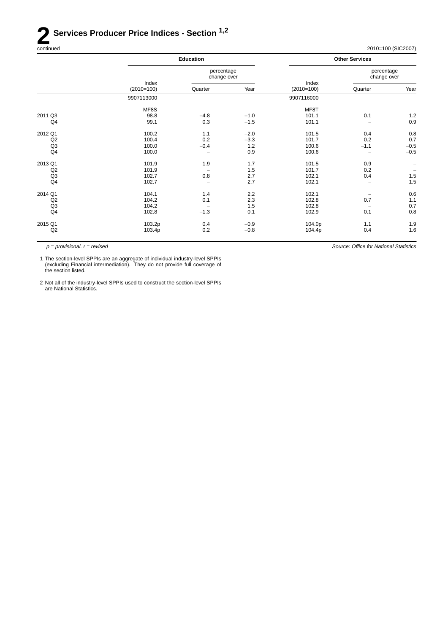# **2 Services Producer Price Indices - Section** <sup>1,2</sup> continued

2010=100 (SIC2007)

|                | <b>Education</b>      |                           |        |                       | <b>Other Services</b>     |                          |
|----------------|-----------------------|---------------------------|--------|-----------------------|---------------------------|--------------------------|
|                | Index<br>$(2010=100)$ | percentage<br>change over |        |                       | percentage<br>change over |                          |
|                |                       | Quarter                   | Year   | Index<br>$(2010=100)$ | Quarter                   | Year                     |
|                | 9907113000            |                           |        | 9907116000            |                           |                          |
|                | MF8S                  |                           |        | MF8T                  |                           |                          |
| 2011 Q3        | 98.8                  | $-4.8$                    | $-1.0$ | 101.1                 | 0.1                       | $1.2$                    |
| Q <sub>4</sub> | 99.1                  | 0.3                       | $-1.5$ | 101.1                 | $\overline{\phantom{0}}$  | 0.9                      |
| 2012 Q1        | 100.2                 | 1.1                       | $-2.0$ | 101.5                 | 0.4                       | 0.8                      |
| Q2             | 100.4                 | 0.2                       | $-3.3$ | 101.7                 | 0.2                       | 0.7                      |
| Q <sub>3</sub> | 100.0                 | $-0.4$                    | 1.2    | 100.6                 | $-1.1$                    | $-0.5$                   |
| Q <sub>4</sub> | 100.0                 | -                         | 0.9    | 100.6                 | -                         | $-0.5$                   |
| 2013 Q1        | 101.9                 | 1.9                       | 1.7    | 101.5                 | 0.9                       |                          |
| Q2             | 101.9                 |                           | 1.5    | 101.7                 | 0.2                       | $\overline{\phantom{a}}$ |
| Q <sub>3</sub> | 102.7                 | 0.8                       | 2.7    | 102.1                 | 0.4                       | $1.5\,$                  |
| Q <sub>4</sub> | 102.7                 | $\qquad \qquad -$         | 2.7    | 102.1                 |                           | 1.5                      |
| 2014 Q1        | 104.1                 | 1.4                       | 2.2    | 102.1                 |                           | 0.6                      |
| Q2             | 104.2                 | 0.1                       | 2.3    | 102.8                 | 0.7                       | $1.1$                    |
|                |                       |                           |        |                       | $\overline{\phantom{a}}$  | 0.7                      |
| Q <sub>4</sub> | 102.8                 | $-1.3$                    | 0.1    | 102.9                 | 0.1                       | 0.8                      |
| 2015 Q1        | 103.2p                | 0.4                       | $-0.9$ | 104.0p                | 1.1                       | 1.9                      |
| Q2             | 103.4p                | 0.2                       | $-0.8$ | 104.4p                | 0.4                       | 1.6                      |
| Q <sub>3</sub> | 104.2                 |                           | 1.5    | 102.8                 |                           |                          |

*p = provisional. r = revised*

1 The section-level SPPIs are an aggregate of individual industry-level SPPIs (excluding Financial intermediation). They do not provide full coverage of the section listed.

2 Not all of the industry-level SPPIs used to construct the section-level SPPIs are National Statistics.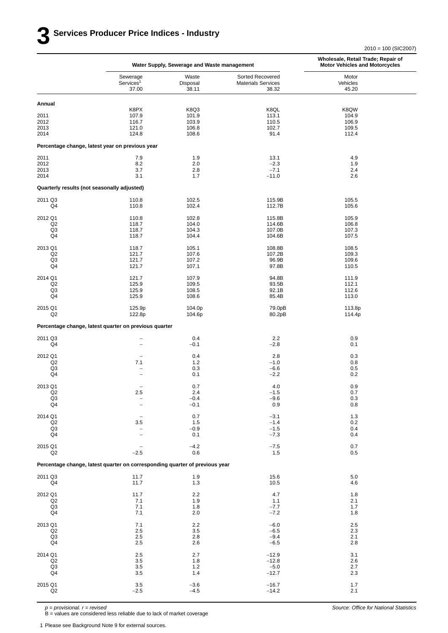|                                                                             |                                            | Water Supply, Sewerage and Waste management |                                                        | Wholesale, Retail Trade; Repair of<br><b>Motor Vehicles and Motorcycles</b> |  |  |
|-----------------------------------------------------------------------------|--------------------------------------------|---------------------------------------------|--------------------------------------------------------|-----------------------------------------------------------------------------|--|--|
|                                                                             | Sewerage<br>Services <sup>1</sup><br>37.00 | Waste<br>Disposal<br>38.11                  | Sorted Recovered<br><b>Materials Services</b><br>38.32 | Motor<br>Vehicles<br>45.20                                                  |  |  |
| Annual                                                                      |                                            |                                             |                                                        |                                                                             |  |  |
| 2011                                                                        | K8PX<br>107.9                              | K8Q3<br>101.9                               | K8QL<br>113.1                                          | K8QW<br>104.9                                                               |  |  |
| 2012                                                                        | 116.7                                      | 103.9                                       | 110.5                                                  | 106.9                                                                       |  |  |
| 2013<br>2014                                                                | 121.0<br>124.8                             | 106.8<br>108.6                              | 102.7<br>91.4                                          | 109.5<br>112.4                                                              |  |  |
| Percentage change, latest year on previous year                             |                                            |                                             |                                                        |                                                                             |  |  |
| 2011                                                                        | 7.9                                        | 1.9                                         | 13.1                                                   | 4.9                                                                         |  |  |
| 2012<br>2013                                                                | 8.2<br>3.7                                 | 2.0<br>2.8                                  | $-2.3$<br>$-7.1$                                       | 1.9<br>2.4                                                                  |  |  |
| 2014                                                                        | 3.1                                        | 1.7                                         | $-11.0$                                                | 2.6                                                                         |  |  |
| Quarterly results (not seasonally adjusted)                                 |                                            |                                             |                                                        |                                                                             |  |  |
| 2011 Q3                                                                     | 110.8                                      | 102.5                                       | 115.9B                                                 | 105.5                                                                       |  |  |
| Q4                                                                          | 110.8                                      | 102.4                                       | 112.7B                                                 | 105.6                                                                       |  |  |
| 2012 Q1                                                                     | 110.8                                      | 102.8                                       | 115.8B                                                 | 105.9                                                                       |  |  |
| Q <sub>2</sub><br>Q3                                                        | 118.7<br>118.7                             | 104.0<br>104.3                              | 114.6B<br>107.0B                                       | 106.8<br>107.3                                                              |  |  |
| Q4                                                                          | 118.7                                      | 104.4                                       | 104.6B                                                 | 107.5                                                                       |  |  |
| 2013 Q1                                                                     | 118.7                                      | 105.1                                       | 108.8B                                                 | 108.5                                                                       |  |  |
| Q <sub>2</sub><br>Q3                                                        | 121.7<br>121.7                             | 107.6<br>107.2                              | 107.2B<br>96.9B                                        | 109.3<br>109.6                                                              |  |  |
| Q4                                                                          | 121.7                                      | 107.1                                       | 97.8B                                                  | 110.5                                                                       |  |  |
| 2014 Q1                                                                     | 121.7                                      | 107.9                                       | 94.8B                                                  | 111.9                                                                       |  |  |
| Q <sub>2</sub><br>Q3                                                        | 125.9<br>125.9                             | 109.5<br>108.5                              | 93.5B<br>92.1B                                         | 112.1<br>112.6                                                              |  |  |
| Q4                                                                          | 125.9                                      | 108.6                                       | 85.4B                                                  | 113.0                                                                       |  |  |
| 2015 Q1<br>Q <sub>2</sub>                                                   | 125.9p<br>122.8p                           | 104.0p<br>104.6p                            | 79.0pB<br>80.2pB                                       | 113.8p<br>114.4p                                                            |  |  |
| Percentage change, latest quarter on previous quarter                       |                                            |                                             |                                                        |                                                                             |  |  |
| 2011 Q3                                                                     | $\overline{\phantom{0}}$                   | 0.4                                         | 2.2                                                    | 0.9                                                                         |  |  |
| Q4                                                                          | $\overline{\phantom{a}}$                   | $-0.1$                                      | $-2.8$                                                 | 0.1                                                                         |  |  |
| 2012 Q1<br>Q <sub>2</sub>                                                   | 7.1                                        | 0.4<br>1.2                                  | 2.8<br>$-1.0$                                          | 0.3<br>0.8                                                                  |  |  |
| Q <sub>3</sub>                                                              | $\overline{\phantom{m}}$                   | 0.3                                         | $-6.6$                                                 | 0.5                                                                         |  |  |
| Q4                                                                          | $\overline{\phantom{a}}$                   | 0.1                                         | $-2.2$                                                 | 0.2                                                                         |  |  |
| 2013 Q1                                                                     | $\qquad \qquad -$                          | 0.7                                         | 4.0                                                    | 0.9                                                                         |  |  |
| Q2<br>Q3                                                                    | 2.5                                        | 2.4<br>$-0.4$                               | $-1.5$<br>$-9.6$                                       | 0.7<br>0.3                                                                  |  |  |
| $\mathsf{Q}4$                                                               |                                            | $-0.1$                                      | 0.9                                                    | $0.8\,$                                                                     |  |  |
| 2014 Q1                                                                     | $\qquad \qquad -$                          | $0.7\,$                                     | $-3.1$                                                 | 1.3                                                                         |  |  |
| Q2<br>Q <sub>3</sub>                                                        | $3.5\,$                                    | 1.5<br>$-0.9$                               | $-1.4$<br>$-1.5$                                       | 0.2<br>0.4                                                                  |  |  |
| Q4                                                                          |                                            | 0.1                                         | $-7.3$                                                 | 0.4                                                                         |  |  |
| 2015 Q1                                                                     |                                            | $-4.2$                                      | $-7.5$                                                 | 0.7                                                                         |  |  |
| Q2                                                                          | $-2.5$                                     | 0.6                                         | 1.5                                                    | 0.5                                                                         |  |  |
| Percentage change, latest quarter on corresponding quarter of previous year |                                            |                                             |                                                        |                                                                             |  |  |
| 2011 Q3<br>Q4                                                               | 11.7<br>11.7                               | 1.9<br>1.3                                  | 15.6<br>10.5                                           | 5.0<br>4.6                                                                  |  |  |
| 2012 Q1                                                                     | 11.7                                       | 2.2                                         | 4.7                                                    | 1.8                                                                         |  |  |
| Q2<br>Q3                                                                    | 7.1<br>7.1                                 | 1.9<br>1.8                                  | 1.1<br>$-7.7$                                          | 2.1<br>1.7                                                                  |  |  |
| Q4                                                                          | 7.1                                        | 2.0                                         | $-7.2$                                                 | 1.8                                                                         |  |  |
| 2013 Q1                                                                     | 7.1                                        | 2.2                                         | $-6.0$                                                 | 2.5                                                                         |  |  |
| Q2<br>Q <sub>3</sub>                                                        | 2.5<br>2.5                                 | $3.5\,$<br>2.8                              | $-6.5$<br>$-9.4$                                       | 2.3<br>2.1                                                                  |  |  |
| Q4                                                                          | 2.5                                        | 2.6                                         | $-6.5$                                                 | 2.8                                                                         |  |  |
| 2014 Q1                                                                     | 2.5                                        | 2.7                                         | $-12.9$                                                | 3.1                                                                         |  |  |
| Q2<br>Q <sub>3</sub>                                                        | 3.5<br>$3.5\,$                             | 1.8<br>$1.2$                                | $-12.8$<br>$-5.0$                                      | 2.6<br>2.7                                                                  |  |  |
| Q4                                                                          | $3.5\,$                                    | 1.4                                         | $-12.7$                                                | 2.3                                                                         |  |  |
| 2015 Q1                                                                     | $3.5\,$                                    | $-3.6$                                      | $-16.7$                                                | 1.7                                                                         |  |  |
| Q2                                                                          | $-2.5$                                     | $-4.5$                                      | $-14.2$                                                | 2.1                                                                         |  |  |

*p = provisional. r = revised*

B = values are considered less reliable due to lack of market coverage

1 Please see Background Note 9 for external sources.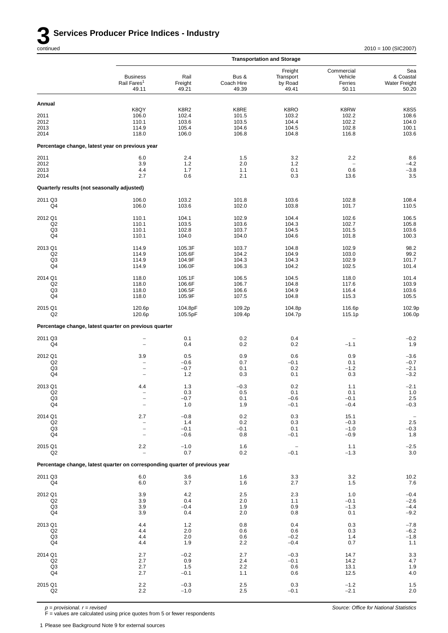|                                  |                                                                             |                          |                              | <b>Transportation and Storage</b>        |                                           |                                                   |
|----------------------------------|-----------------------------------------------------------------------------|--------------------------|------------------------------|------------------------------------------|-------------------------------------------|---------------------------------------------------|
|                                  | <b>Business</b><br>Rail Fares <sup>1</sup><br>49.11                         | Rail<br>Freight<br>49.21 | Bus &<br>Coach Hire<br>49.39 | Freight<br>Transport<br>by Road<br>49.41 | Commercial<br>Vehicle<br>Ferries<br>50.11 | Sea<br>& Coastal<br><b>Water Freight</b><br>50.20 |
| Annual                           |                                                                             |                          |                              |                                          |                                           |                                                   |
|                                  | K8QY                                                                        | K8R2                     | K8RE                         | K8RO                                     | K8RW                                      | <b>K8S5</b>                                       |
| 2011<br>2012                     | 106.0<br>110.1                                                              | 102.4<br>103.6           | 101.5<br>103.5               | 103.2<br>104.4                           | 102.2<br>102.2                            | 108.6<br>104.0                                    |
| 2013                             | 114.9                                                                       | 105.4                    | 104.6                        | 104.5                                    | 102.8                                     | 100.1                                             |
| 2014                             | 118.0                                                                       | 106.0                    | 106.8                        | 104.8                                    | 116.8                                     | 103.6                                             |
|                                  | Percentage change, latest year on previous year                             |                          |                              |                                          |                                           |                                                   |
| 2011                             | 6.0                                                                         | 2.4                      | 1.5                          | 3.2                                      | 2.2                                       | 8.6                                               |
| 2012                             | 3.9                                                                         | 1.2                      | 2.0                          | 1.2                                      |                                           | $-4.2$                                            |
| 2013<br>2014                     | 4.4<br>2.7                                                                  | 1.7<br>0.6               | 1.1<br>2.1                   | 0.1<br>0.3                               | 0.6<br>13.6                               | $-3.8$<br>3.5                                     |
|                                  | Quarterly results (not seasonally adjusted)                                 |                          |                              |                                          |                                           |                                                   |
|                                  |                                                                             |                          |                              |                                          |                                           |                                                   |
| 2011 Q3<br>Q4                    | 106.0<br>106.0                                                              | 103.2<br>103.6           | 101.8<br>102.0               | 103.6<br>103.8                           | 102.8<br>101.7                            | 108.4<br>110.5                                    |
| 2012 Q1                          | 110.1                                                                       | 104.1                    | 102.9                        | 104.4                                    | 102.6                                     | 106.5                                             |
| Q <sub>2</sub>                   | 110.1                                                                       | 103.5                    | 103.6                        | 104.3                                    | 102.7                                     | 105.8                                             |
| Q3                               | 110.1                                                                       | 102.8                    | 103.7                        | 104.5                                    | 101.5                                     | 103.6                                             |
| Q4                               | 110.1                                                                       | 104.0                    | 104.0                        | 104.6                                    | 101.8                                     | 100.3                                             |
| 2013 Q1                          | 114.9                                                                       | 105.3F                   | 103.7                        | 104.8                                    | 102.9                                     | 98.2                                              |
| Q <sub>2</sub>                   | 114.9                                                                       | 105.6F                   | 104.2                        | 104.9                                    | 103.0                                     | 99.2                                              |
| Q3<br>Q4                         | 114.9<br>114.9                                                              | 104.9F<br>106.0F         | 104.3<br>106.3               | 104.3<br>104.2                           | 102.9<br>102.5                            | 101.7<br>101.4                                    |
| 2014 Q1                          | 118.0                                                                       | 105.1F                   | 106.5                        | 104.5                                    | 118.0                                     | 101.4                                             |
| Q2                               | 118.0                                                                       | 106.6F                   | 106.7                        | 104.8                                    | 117.6                                     | 103.9                                             |
| Q3                               | 118.0                                                                       | 106.5F                   | 106.6                        | 104.9                                    | 116.4                                     | 103.6                                             |
| Q4                               | 118.0                                                                       | 105.9F                   | 107.5                        | 104.8                                    | 115.3                                     | 105.5                                             |
| 2015 Q1<br>Q <sub>2</sub>        | 120.6p<br>120.6p                                                            | 104.8pF<br>105.5pF       | 109.2p<br>109.4p             | 104.8p<br>104.7p                         | 116.6p<br>115.1p                          | 102.9p<br>106.0p                                  |
|                                  | Percentage change, latest quarter on previous quarter                       |                          |                              |                                          |                                           |                                                   |
| 2011 Q3                          | -                                                                           | 0.1                      | 0.2                          | 0.4                                      |                                           | $-0.2$                                            |
| Q4                               | $\overline{\phantom{0}}$                                                    | 0.4                      | 0.2                          | 0.2                                      | $-1.1$                                    | 1.9                                               |
| 2012 Q1                          | 3.9                                                                         | 0.5                      | 0.9                          | 0.6                                      | 0.9                                       | $-3.6$                                            |
| Q <sub>2</sub>                   | $\hspace{1.0cm} - \hspace{1.0cm}$                                           | $-0.6$                   | 0.7                          | $-0.1$                                   | 0.1                                       | $-0.7$                                            |
| Q3<br>Q4                         | $\overline{\phantom{0}}$<br>$\qquad \qquad -$                               | $-0.7$<br>1.2            | 0.1<br>0.3                   | 0.2<br>0.1                               | $-1.2$<br>0.3                             | $-2.1$<br>$-3.2$                                  |
| 2013 Q1                          | 4.4                                                                         | 1.3                      | $-0.3$                       | 0.2                                      | 1.1                                       | $-2.1$                                            |
| Q2                               |                                                                             | 0.3                      | 0.5                          | 0.1                                      | 0.1                                       | 1.0                                               |
| Q3<br>Q4                         | $\qquad \qquad -$<br>$\overline{\phantom{0}}$                               | $-0.7$<br>1.0            | 0.1<br>1.9                   | $-0.6$<br>$-0.1$                         | $-0.1$<br>$-0.4$                          | $2.5\,$<br>$-0.3$                                 |
|                                  |                                                                             |                          |                              |                                          |                                           |                                                   |
| 2014 Q1                          | 2.7                                                                         | $-0.8$                   | 0.2                          | 0.3                                      | 15.1                                      | $\overline{\phantom{a}}$<br>2.5                   |
| Q <sub>2</sub><br>Q <sub>3</sub> | $\overline{\phantom{0}}$<br>-                                               | 1.4<br>$-0.1$            | 0.2<br>$-0.1$                | 0.3<br>0.1                               | $-0.3$<br>$-1.0$                          | $-0.3$                                            |
| Q4                               | $\overline{\phantom{a}}$                                                    | $-0.6$                   | 0.8                          | $-0.1$                                   | $-0.9$                                    | 1.8                                               |
| 2015 Q1                          | 2.2                                                                         | $-1.0$                   | 1.6                          | $\qquad \qquad -$                        | 1.1                                       | $-2.5$                                            |
| Q <sub>2</sub>                   | $\overline{\phantom{0}}$                                                    | 0.7                      | 0.2                          | $-0.1$                                   | $-1.3$                                    | $3.0\,$                                           |
|                                  | Percentage change, latest quarter on corresponding quarter of previous year |                          |                              |                                          |                                           |                                                   |
| 2011 Q3<br>Q4                    | 6.0<br>6.0                                                                  | 3.6<br>3.7               | 1.6<br>1.6                   | 3.3<br>2.7                               | 3.2<br>1.5                                | 10.2<br>7.6                                       |
| 2012 Q1                          | 3.9                                                                         | 4.2                      | 2.5                          | 2.3                                      | 1.0                                       | $-0.4$                                            |
| Q <sub>2</sub>                   | 3.9                                                                         | 0.4                      | 2.0                          | 1.1                                      | $-0.1$                                    | $-2.6$                                            |
| Q3<br>Q4                         | 3.9<br>3.9                                                                  | $-0.4$<br>0.4            | 1.9<br>2.0                   | 0.9<br>0.8                               | $-1.3$<br>0.1                             | $-4.4$<br>$-9.2$                                  |
|                                  |                                                                             |                          |                              |                                          |                                           |                                                   |
| 2013 Q1<br>Q <sub>2</sub>        | 4.4<br>4.4                                                                  | 1.2<br>2.0               | 0.8<br>0.6                   | 0.4<br>0.6                               | 0.3<br>0.3                                | $-7.8$<br>$-6.2$                                  |
| Q <sub>3</sub>                   | 4.4                                                                         | 2.0                      | 0.6                          | $-0.2$                                   | 1.4                                       | $-1.8$                                            |
| Q4                               | 4.4                                                                         | 1.9                      | 2.2                          | $-0.4$                                   | 0.7                                       | 1.1                                               |
| 2014 Q1                          | 2.7                                                                         | $-0.2$                   | 2.7                          | $-0.3$                                   | 14.7                                      | $3.3\,$                                           |
| Q <sub>2</sub>                   | 2.7                                                                         | 0.9                      | 2.4                          | $-0.1$                                   | 14.2                                      | 4.7                                               |
| Q3<br>Q4                         | 2.7<br>2.7                                                                  | 1.5<br>$-0.1$            | 2.2<br>1.1                   | 0.6<br>0.6                               | 13.1<br>12.5                              | 1.9<br>$4.0$                                      |
|                                  |                                                                             |                          |                              |                                          |                                           |                                                   |
| 2015 Q1<br>Q2                    | 2.2<br>2.2                                                                  | $-0.3$<br>$-1.0$         | 2.5<br>2.5                   | 0.3<br>$-0.1$                            | $-1.2$<br>$-2.1$                          | $1.5$<br>2.0                                      |

*p = provisional. r = revised*

F = values are calculated using price quotes from 5 or fewer respondents

1 Please see Background Note 9 for external sources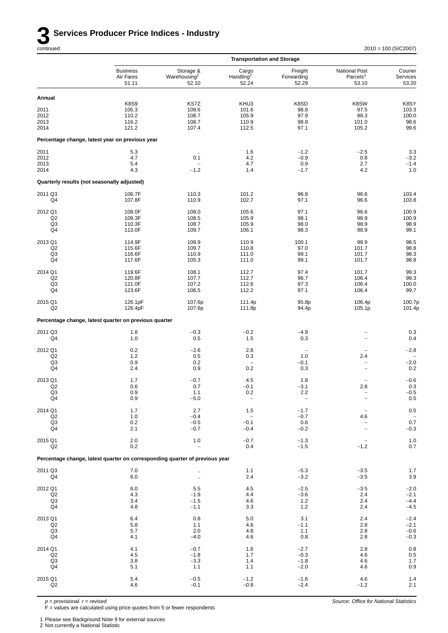

*Source: Office for National Statistics*

|                                             |                                                                             |                                                | <b>Transportation and Storage</b>       |                                |                                                       |                                           |
|---------------------------------------------|-----------------------------------------------------------------------------|------------------------------------------------|-----------------------------------------|--------------------------------|-------------------------------------------------------|-------------------------------------------|
|                                             | <b>Business</b><br>Air Fares<br>51.11                                       | Storage &<br>Warehousing <sup>2</sup><br>52.10 | Cargo<br>Handling <sup>2</sup><br>52.24 | Freight<br>Forwarding<br>52.29 | <b>National Post</b><br>Parcels <sup>1</sup><br>53.10 | Courier<br>Services<br>53.20              |
| Annual                                      |                                                                             |                                                |                                         |                                |                                                       |                                           |
| 2011<br>2012<br>2013                        | <b>K8S9</b><br>105.3<br>110.2<br>116.2                                      | KS7Z<br>108.6<br>108.7<br>108.7                | KHU3<br>101.6<br>105.9<br>110.9         | K8SD<br>98.8<br>97.9<br>98.8   | K8SW<br>97.5<br>98.3<br>101.0                         | K8SY<br>103.3<br>100.0<br>98.6            |
| 2014                                        | 121.2                                                                       | 107.4                                          | 112.5                                   | 97.1                           | 105.2                                                 | 99.6                                      |
|                                             | Percentage change, latest year on previous year                             |                                                |                                         |                                |                                                       |                                           |
| 2011                                        | 5.3                                                                         |                                                | 1.6                                     | $-1.2$                         | $-2.5$                                                | 3.3                                       |
| 2012<br>2013                                | 4.7<br>5.4                                                                  | 0.1                                            | 4.2<br>4.7                              | $-0.9$<br>0.9                  | 0.8<br>2.7                                            | $-3.2$<br>$-1.4$                          |
| 2014                                        | 4.3                                                                         | $-1.2$                                         | 1.4                                     | $-1.7$                         | 4.2                                                   | 1.0                                       |
| Quarterly results (not seasonally adjusted) |                                                                             |                                                |                                         |                                |                                                       |                                           |
| 2011 Q3<br>Q4                               | 106.7F<br>107.8F                                                            | 110.3<br>110.9                                 | 101.2<br>102.7                          | 96.8<br>97.1                   | 96.6<br>96.6                                          | 103.4<br>103.8                            |
| 2012 Q1                                     | 108.0F                                                                      | 108.0                                          | 105.6                                   | 97.1                           | 96.6                                                  | 100.9                                     |
| Q2<br>Q3                                    | 109.3F<br>110.3F                                                            | 108.5<br>108.7                                 | 105.9<br>105.9                          | 98.1<br>98.0                   | 98.9<br>98.9                                          | 100.9<br>98.9                             |
| Q4                                          | 113.0F                                                                      | 109.7                                          | 106.1                                   | 98.3                           | 98.9                                                  | 99.1                                      |
| 2013 Q1                                     | 114.9F                                                                      | 108.9                                          | 110.9                                   | 100.1                          | 98.9                                                  | 98.5                                      |
| Q2<br>Q3                                    | 115.6F<br>116.6F                                                            | 109.7<br>110.9                                 | 110.8<br>111.0                          | 97.0<br>99.1                   | 101.7<br>101.7                                        | 98.8<br>98.3                              |
| Q4                                          | 117.6F                                                                      | 105.3                                          | 111.0                                   | 99.1                           | 101.7                                                 | 98.8                                      |
| 2014 Q1                                     | 119.6F                                                                      | 108.1                                          | 112.7                                   | 97.4                           | 101.7                                                 | 99.3                                      |
| Q <sub>2</sub><br>Q3                        | 120.8F<br>121.0F                                                            | 107.7<br>107.2                                 | 112.7<br>112.6                          | 96.7<br>97.3                   | 106.4<br>106.4                                        | 99.3<br>100.0                             |
| Q4                                          | 123.6F                                                                      | 106.5                                          | 112.2                                   | 97.1                           | 106.4                                                 | 99.7                                      |
| 2015 Q1<br>Q <sub>2</sub>                   | 126.1pF<br>126.4pF                                                          | 107.6p<br>107.6p                               | 111.4p<br>111.8p                        | 95.8p<br>94.4p                 | 106.4p<br>105.1p                                      | 100.7p<br>101.4p                          |
|                                             | Percentage change, latest quarter on previous quarter                       |                                                |                                         |                                |                                                       |                                           |
| 2011 Q3<br>Q4                               | 1.8<br>1.0                                                                  | $-0.3$<br>0.5                                  | $-0.2$<br>1.5                           | $-4.9$<br>0.3                  |                                                       | 0.3<br>0.4                                |
| 2012 Q1                                     | 0.2                                                                         | $-2.6$                                         | 2.8                                     |                                |                                                       | $-2.8$                                    |
| Q2<br>Q3                                    | 1.2<br>0.9                                                                  | 0.5<br>0.2                                     | 0.3<br>$\overline{\phantom{0}}$         | 1.0<br>$-0.1$                  | 2.4<br>$\qquad \qquad -$                              | $-2.0$                                    |
| Q4                                          | 2.4                                                                         | 0.9                                            | $0.2\,$                                 | 0.3                            | $\qquad \qquad -$                                     | 0.2                                       |
| 2013 Q1                                     | 1.7                                                                         | $-0.7$                                         | 4.5                                     | 1.8                            |                                                       | $-0.6$                                    |
| Q <sub>2</sub><br>Q3                        | 0.6<br>0.9                                                                  | 0.7<br>1.1                                     | $-0.1$<br>0.2                           | $-3.1$<br>$2.2\,$              | 2.8                                                   | 0.3<br>$-0.5$                             |
| Q4                                          | 0.9                                                                         | $-5.0$                                         | $\qquad \qquad -$                       | $\qquad \qquad -$              |                                                       | $0.5\,$                                   |
| 2014 Q1<br>Q2                               | 1.7<br>$1.0$                                                                | 2.7<br>$-0.4$                                  | 1.5<br>$\overline{\phantom{0}}$         | $-1.7$<br>$-0.7$               | $\qquad \qquad -$<br>4.6                              | $0.5\,$                                   |
| Q <sub>3</sub>                              | 0.2                                                                         | $-0.5$                                         | $-0.1$                                  | $0.6\,$                        | $\overline{\phantom{0}}$                              | 0.7                                       |
| Q4                                          | 2.1                                                                         | $-0.7$                                         | $-0.4$                                  | $-0.2$                         | $\overline{\phantom{0}}$                              | $-0.3$                                    |
| 2015 Q1<br>Q2                               | 2.0<br>0.2                                                                  | $1.0$                                          | $-0.7$<br>0.4                           | $-1.3$<br>$-1.5$               | -<br>$-1.2$                                           | $1.0$<br>0.7                              |
|                                             | Percentage change, latest quarter on corresponding quarter of previous year |                                                |                                         |                                |                                                       |                                           |
| 2011 Q3<br>Q4                               | 7.0<br>$6.0\,$                                                              |                                                | 1.1<br>2.4                              | $-5.3$<br>$-3.2$               | $-3.5$<br>$-3.5$                                      | $1.7$<br>$3.9\,$                          |
| 2012 Q1                                     | 6.0                                                                         | 5.5                                            | 4.5                                     | $-2.5$                         | $-3.5$                                                | $-2.0$                                    |
| Q2<br>Q3                                    | 4.3<br>3.4                                                                  | $-1.9$<br>$-1.5$                               | 4.4<br>4.6                              | $-3.6$<br>1.2                  | 2.4<br>2.4                                            | $-2.1$<br>$-4.4$                          |
| Q4                                          | 4.8                                                                         | $-1.1$                                         | 3.3                                     | 1.2                            | 2.4                                                   | $-4.5$                                    |
| 2013 Q1                                     | 6.4                                                                         | 0.8                                            | 5.0                                     | 3.1                            | 2.4                                                   | $-2.4$                                    |
| Q2<br>Q <sub>3</sub>                        | 5.8<br>5.7                                                                  | 1.1<br>2.0                                     | 4.6<br>4.8                              | $-1.1$<br>1.1                  | 2.8<br>2.8                                            | $-2.1$<br>$-0.6$                          |
| Q4                                          | 4.1                                                                         | $-4.0$                                         | 4.6                                     | 0.8                            | 2.8                                                   | $-0.3$                                    |
| 2014 Q1                                     | 4.1                                                                         | $-0.7$                                         | 1.6                                     | $-2.7$                         | 2.8                                                   | $\begin{array}{c} 0.8 \\ 0.5 \end{array}$ |
| Q2<br>Q <sub>3</sub>                        | 4.5<br>3.8                                                                  | $-1.8$<br>$-3.3$                               | 1.7<br>1.4                              | $-0.3$<br>$-1.8$               | 4.6<br>4.6                                            | $1.7$                                     |
| Q4                                          | 5.1                                                                         | 1.1                                            | 1.1                                     | $-2.0$                         | 4.6                                                   | $0.9\,$                                   |
| 2015 Q1<br>Q2                               | 5.4<br>4.6                                                                  | $-0.5$<br>$-0.1$                               | $-1.2$<br>$-0.8$                        | $-1.6$<br>$-2.4$               | 4.6<br>$-1.2$                                         | 1.4<br>2.1                                |
|                                             |                                                                             |                                                |                                         |                                |                                                       |                                           |

*p = provisional. r = revised*

F = values are calculated using price quotes from 5 or fewer respondents

1 Please see Background Note 9 for external sources

2 Not currently a National Statistic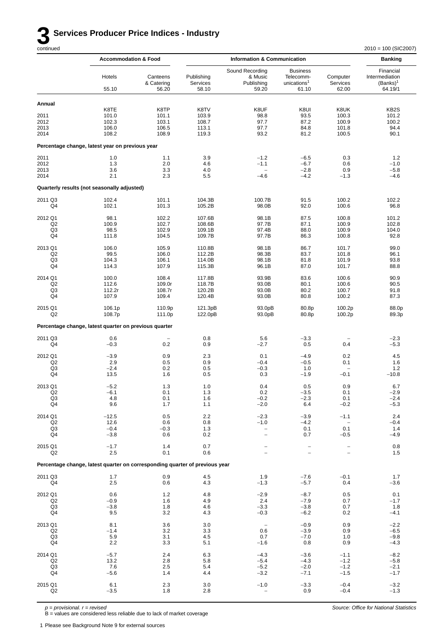# **3 Services Producer Price Indices - Industry** continued

 $2010 = 100$  (SIC2007)

|                                                   | <b>Accommodation &amp; Food</b>                                             |                                          | <b>Information &amp; Communication</b>   |                                                                            |                                                                  |                                          | <b>Banking</b>                                        |
|---------------------------------------------------|-----------------------------------------------------------------------------|------------------------------------------|------------------------------------------|----------------------------------------------------------------------------|------------------------------------------------------------------|------------------------------------------|-------------------------------------------------------|
|                                                   | Hotels<br>55.10                                                             | Canteens<br>& Catering<br>56.20          | Publishing<br>Services<br>58.10          | Sound Recording<br>& Music<br>Publishing<br>59.20                          | <b>Business</b><br>Telecomm-<br>unications <sup>1</sup><br>61.10 | Computer<br>Services<br>62.00            | Financial<br>Intermediation<br>$(Banks)^1$<br>64.19/1 |
| Annual                                            |                                                                             |                                          |                                          |                                                                            |                                                                  |                                          |                                                       |
| 2011<br>2012<br>2013<br>2014                      | K8TE<br>101.0<br>102.3<br>106.0<br>108.2                                    | K8TP<br>101.1<br>103.1<br>106.5<br>108.9 | K8TV<br>103.9<br>108.7<br>113.1<br>119.3 | K8UF<br>98.8<br>97.7<br>97.7<br>93.2                                       | K8UI<br>93.5<br>87.2<br>84.8<br>81.2                             | K8UK<br>100.3<br>100.9<br>101.8<br>100.5 | KB <sub>2</sub> S<br>101.2<br>100.2<br>94.4<br>90.1   |
|                                                   | Percentage change, latest year on previous year                             |                                          |                                          |                                                                            |                                                                  |                                          |                                                       |
| 2011<br>2012<br>2013                              | 1.0<br>1.3<br>3.6                                                           | 1.1<br>2.0<br>3.3                        | 3.9<br>4.6<br>4.0                        | $-1.2$<br>$-1.1$<br>$\overline{\phantom{a}}$                               | $-6.5$<br>$-6.7$<br>$-2.8$                                       | 0.3<br>0.6<br>0.9                        | 1.2<br>$-1.0$<br>$-5.8$                               |
| 2014                                              | 2.1                                                                         | 2.3                                      | 5.5                                      | $-4.6$                                                                     | $-4.2$                                                           | $-1.3$                                   | $-4.6$                                                |
|                                                   | Quarterly results (not seasonally adjusted)                                 |                                          |                                          |                                                                            |                                                                  |                                          |                                                       |
| 2011 Q3<br>Q4                                     | 102.4<br>102.1                                                              | 101.1<br>101.3                           | 104.3B<br>105.2B                         | 100.7B<br>98.0B                                                            | 91.5<br>92.0                                                     | 100.2<br>100.6                           | 102.2<br>96.8                                         |
| 2012 Q1<br>Q <sub>2</sub><br>Q3<br>Q4             | 98.1<br>100.9<br>98.5<br>111.8                                              | 102.2<br>102.7<br>102.9<br>104.5         | 107.6B<br>108.6B<br>109.1B<br>109.7B     | 98.1B<br>97.7B<br>97.4B<br>97.7B                                           | 87.5<br>87.1<br>88.0<br>86.3                                     | 100.8<br>100.9<br>100.9<br>100.8         | 101.2<br>102.8<br>104.0<br>92.8                       |
| 2013 Q1<br>Q2<br>Q3<br>Q <sub>4</sub>             | 106.0<br>99.5<br>104.3<br>114.3                                             | 105.9<br>106.0<br>106.1<br>107.9         | 110.8B<br>112.2B<br>114.0B<br>115.3B     | 98.1B<br>98.3B<br>98.1B<br>96.1B                                           | 86.7<br>83.7<br>81.8<br>87.0                                     | 101.7<br>101.8<br>101.9<br>101.7         | 99.0<br>96.1<br>93.8<br>88.8                          |
| 2014 Q1<br>Q <sub>2</sub><br>Q3<br>Q <sub>4</sub> | 100.0<br>112.6<br>112.2r<br>107.9                                           | 108.4<br>109.0r<br>108.7r<br>109.4       | 117.8B<br>118.7B<br>120.2B<br>120.4B     | 93.9B<br>93.0B<br>93.0B<br>93.0B                                           | 83.6<br>80.1<br>80.2<br>80.8                                     | 100.6<br>100.6<br>100.7<br>100.2         | 90.9<br>90.5<br>91.8<br>87.3                          |
| 2015 Q1<br>Q2                                     | 106.1p<br>108.7p                                                            | 110.9p<br>111.0p                         | 121.3pB<br>122.0pB                       | 93.0pB<br>93.0pB                                                           | 80.8p<br>80.8p                                                   | 100.2p<br>100.2p                         | 88.0p<br>89.3p                                        |
|                                                   | Percentage change, latest quarter on previous quarter                       |                                          |                                          |                                                                            |                                                                  |                                          |                                                       |
| 2011 Q3<br>Q4                                     | 0.6<br>$-0.3$                                                               | 0.2                                      | 0.8<br>0.9                               | 5.6<br>$-2.7$                                                              | $-3.3$<br>0.5                                                    | 0.4                                      | $-2.3$<br>$-5.3$                                      |
| 2012 Q1<br>Q2<br>Q3<br>Q4                         | $-3.9$<br>2.9<br>$-2.4$<br>13.5                                             | 0.9<br>0.5<br>0.2<br>1.6                 | 2.3<br>0.9<br>0.5<br>0.5                 | 0.1<br>$-0.4$<br>$-0.3$<br>0.3                                             | $-4.9$<br>$-0.5$<br>1.0<br>$-1.9$                                | 0.2<br>0.1<br>$-0.1$                     | 4.5<br>1.6<br>$1.2$<br>$-10.8$                        |
| 2013 Q1<br>Q2<br>Q3<br>Q4                         | $-5.2$<br>-6.1<br>4.8<br>9.6                                                | 1.3<br>0.1<br>0.1<br>1.7                 | 1.0<br>1.3<br>1.6<br>1.1                 | 0.4<br>0.2<br>$-0.2$<br>$-2.0$                                             | 0.5<br>-3.5<br>$-2.3$<br>6.4                                     | 0.9<br>0.1<br>0.1<br>$-0.2$              | 6.7<br>-2.9<br>$-2.4$<br>$-5.3$                       |
| 2014 Q1<br>Q <sub>2</sub><br>Q3<br>Q4             | $-12.5$<br>12.6<br>$-0.4$<br>$-3.8$                                         | 0.5<br>0.6<br>$-0.3$<br>0.6              | 2.2<br>0.8<br>1.3<br>0.2                 | $-2.3$<br>$-1.0$<br>$\hspace{1.0cm} - \hspace{1.0cm}$<br>$\qquad \qquad -$ | $-3.9$<br>$-4.2$<br>0.1<br>0.7                                   | $-1.1$<br>0.1<br>$-0.5$                  | 2.4<br>$-0.4$<br>1.4<br>$-4.9$                        |
| 2015 Q1<br>Q <sub>2</sub>                         | $-1.7$<br>2.5                                                               | 1.4<br>0.1                               | 0.7<br>0.6                               | $\overline{\phantom{0}}$                                                   |                                                                  |                                          | 0.8<br>1.5                                            |
|                                                   | Percentage change, latest quarter on corresponding quarter of previous year |                                          |                                          |                                                                            |                                                                  |                                          |                                                       |
| 2011 Q3<br>Q4                                     | 1.7<br>2.5                                                                  | 0.9<br>0.6                               | 4.5<br>4.3                               | 1.9<br>$-1.3$                                                              | $-7.6$<br>$-5.7$                                                 | $-0.1$<br>0.4                            | 1.7<br>$-3.6$                                         |
| 2012 Q1<br>Q <sub>2</sub><br>Q <sub>3</sub><br>Q4 | 0.6<br>$-0.9$<br>$-3.8$<br>9.5                                              | 1.2<br>1.6<br>1.8<br>3.2                 | 4.8<br>4.9<br>4.6<br>4.3                 | $-2.9$<br>2.4<br>$-3.3$<br>$-0.3$                                          | $-8.7$<br>$-7.9$<br>$-3.8$<br>$-6.2$                             | 0.5<br>0.7<br>0.7<br>0.2                 | 0.1<br>$-1.7$<br>1.8<br>$-4.1$                        |
| 2013 Q1<br>Q2<br>Q3<br>Q4                         | 8.1<br>$-1.4$<br>5.9<br>$2.2\,$                                             | 3.6<br>3.2<br>3.1<br>3.3                 | 3.0<br>3.3<br>4.5<br>5.1                 | $\overline{\phantom{a}}$<br>0.6<br>0.7<br>$-1.6$                           | $-0.9$<br>$-3.9$<br>$-7.0$<br>0.8                                | 0.9<br>0.9<br>1.0<br>0.9                 | $-2.2$<br>$-6.5$<br>$-9.8$<br>$-4.3$                  |
| 2014 Q1<br>Q <sub>2</sub><br>Q <sub>3</sub><br>Q4 | $-5.7$<br>13.2<br>7.6<br>$-5.6$                                             | 2.4<br>2.8<br>2.5<br>1.4                 | 6.3<br>5.8<br>5.4<br>4.4                 | $-4.3$<br>$-5.4$<br>$-5.2$<br>$-3.2$                                       | $-3.6$<br>$-4.3$<br>$-2.0$<br>$-7.1$                             | $-1.1$<br>$-1.2$<br>$-1.2$<br>$-1.5$     | $-8.2$<br>$-5.8$<br>$-2.1$<br>$-1.7$                  |
| 2015 Q1<br>Q <sub>2</sub>                         | 6.1<br>$-3.5$                                                               | 2.3<br>1.8                               | 3.0<br>2.8                               | $-1.0$                                                                     | $-3.3$<br>0.9                                                    | $-0.4$<br>$-0.4$                         | $-3.2$<br>$-1.3$                                      |

*p = provisional. r = revised* B = values are considered less reliable due to lack of market coverage

1 Please see Background Note 9 for external sources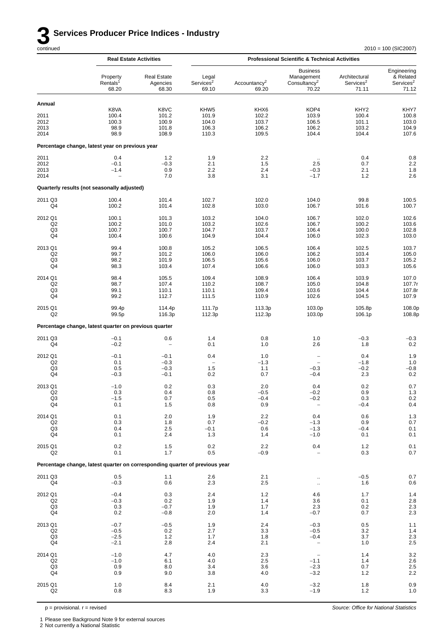*Source: Office for National Statistics*

|                                                   |                                                                             | <b>Real Estate Activities</b>            |                                                      |                                          | <b>Professional Scientific &amp; Technical Activities</b>                |                                                      |                                                            |
|---------------------------------------------------|-----------------------------------------------------------------------------|------------------------------------------|------------------------------------------------------|------------------------------------------|--------------------------------------------------------------------------|------------------------------------------------------|------------------------------------------------------------|
|                                                   | Property<br>Rentals <sup>1</sup><br>68.20                                   | <b>Real Estate</b><br>Agencies<br>68.30  | Legal<br>Services <sup>2</sup><br>69.10              | Accountancy <sup>2</sup><br>69.20        | <b>Business</b><br>Management<br>Consultancy <sup>2</sup><br>70.22       | Architectural<br>Services <sup>2</sup><br>71.11      | Engineering<br>& Related<br>Services <sup>2</sup><br>71.12 |
| Annual                                            |                                                                             |                                          |                                                      |                                          |                                                                          |                                                      |                                                            |
| 2011<br>2012<br>2013<br>2014                      | K8VA<br>100.4<br>100.3<br>98.9<br>98.9                                      | K8VC<br>101.2<br>100.9<br>101.8<br>108.9 | KHW <sub>5</sub><br>101.9<br>104.0<br>106.3<br>110.3 | KHX6<br>102.2<br>103.7<br>106.2<br>109.5 | KOP4<br>103.9<br>106.5<br>106.2<br>104.4                                 | KHY <sub>2</sub><br>100.4<br>101.1<br>103.2<br>104.4 | KHY7<br>100.8<br>103.0<br>104.9<br>107.6                   |
|                                                   | Percentage change, latest year on previous year                             |                                          |                                                      |                                          |                                                                          |                                                      |                                                            |
| 2011                                              | 0.4                                                                         | 1.2                                      | 1.9                                                  | 2.2                                      |                                                                          | 0.4                                                  | 0.8                                                        |
| 2012<br>2013<br>2014                              | $-0.1$<br>$-1.4$                                                            | $-0.3$<br>0.9<br>7.0                     | 2.1<br>2.2<br>3.8                                    | 1.5<br>2.4<br>3.1                        | 2.5<br>$-0.3$<br>$-1.7$                                                  | 0.7<br>2.1<br>1.2                                    | $2.2\,$<br>1.8<br>2.6                                      |
|                                                   | Quarterly results (not seasonally adjusted)                                 |                                          |                                                      |                                          |                                                                          |                                                      |                                                            |
| 2011 Q3<br>Q4                                     | 100.4<br>100.2                                                              | 101.4<br>101.4                           | 102.7<br>102.8                                       | 102.0<br>103.0                           | 104.0<br>106.7                                                           | 99.8<br>101.6                                        | 100.5<br>100.7                                             |
| 2012 Q1<br>Q <sub>2</sub><br>Q3<br>Q4             | 100.1<br>100.2<br>100.7<br>100.4                                            | 101.3<br>101.0<br>100.7<br>100.6         | 103.2<br>103.2<br>104.7<br>104.9                     | 104.0<br>102.6<br>103.7<br>104.4         | 106.7<br>106.7<br>106.4<br>106.0                                         | 102.0<br>100.2<br>100.0<br>102.3                     | 102.6<br>103.6<br>102.8<br>103.0                           |
| 2013 Q1<br>Q <sub>2</sub><br>Q3                   | 99.4<br>99.7<br>98.2                                                        | 100.8<br>101.2<br>101.9                  | 105.2<br>106.0<br>106.5                              | 106.5<br>106.0<br>105.6                  | 106.4<br>106.2<br>106.0                                                  | 102.5<br>103.4<br>103.7                              | 103.7<br>105.0<br>105.2                                    |
| Q4<br>2014 Q1<br>Q <sub>2</sub>                   | 98.3<br>98.4<br>98.7                                                        | 103.4<br>105.5<br>107.4                  | 107.4<br>109.4<br>110.2                              | 106.6<br>108.9<br>108.7                  | 106.0<br>106.4<br>105.0                                                  | 103.3<br>103.9<br>104.8                              | 105.6<br>107.0<br>107.7r                                   |
| Q3<br>Q4                                          | 99.1<br>99.2                                                                | 110.1<br>112.7                           | 110.1<br>111.5                                       | 109.4<br>110.9                           | 103.6<br>102.6                                                           | 104.4<br>104.5                                       | 107.8r<br>107.9                                            |
| 2015 Q1<br>Q <sub>2</sub>                         | 99.4p<br>99.5p                                                              | 114.4p<br>116.3p                         | 111.7p<br>112.3p                                     | 113.3p<br>112.3p                         | 103.0p<br>103.0p                                                         | 105.8p<br>106.1p                                     | 108.0p<br>108.8p                                           |
|                                                   | Percentage change, latest quarter on previous quarter                       |                                          |                                                      |                                          |                                                                          |                                                      |                                                            |
| 2011 Q3<br>Q4                                     | $-0.1$<br>$-0.2$                                                            | 0.6<br>$\overline{\phantom{a}}$          | 1.4<br>0.1                                           | 0.8<br>1.0                               | 1.0<br>2.6                                                               | $-0.3$<br>1.8                                        | $-0.3$<br>0.2                                              |
| 2012 Q1<br>Q <sub>2</sub><br>Q3<br>Q4             | $-0.1$<br>0.1<br>0.5<br>$-0.3$                                              | $-0.1$<br>$-0.3$<br>$-0.3$<br>$-0.1$     | 0.4<br>$\overline{\phantom{0}}$<br>1.5<br>0.2        | 1.0<br>$-1.3$<br>1.1<br>0.7              | $\overline{\phantom{a}}$<br>$\overline{\phantom{m}}$<br>$-0.3$<br>$-0.4$ | 0.4<br>$-1.8$<br>$-0.2$<br>2.3                       | 1.9<br>1.0<br>$-0.8$<br>0.2                                |
| 2013 Q1<br>Q2<br>Q3<br>Q4                         | $-1.0$<br>0.3<br>$-1.5$<br>0.1                                              | 0.2<br>0.4<br>0.7<br>1.5                 | 0.3<br>0.8<br>0.5<br>0.8                             | 2.0<br>$-0.5$<br>$-0.4$<br>0.9           | 0.4<br>$-0.2$<br>$-0.2$<br>$\overline{\phantom{a}}$                      | 0.2<br>0.9<br>0.3<br>$-0.4$                          | 0.7<br>$1.3$<br>$\begin{array}{c} 0.2 \\ 0.4 \end{array}$  |
| 2014 Q1<br>Q2<br>Q3<br>Q4                         | 0.1<br>0.3<br>0.4<br>0.1                                                    | $2.0\,$<br>1.8<br>2.5<br>2.4             | 1.9<br>0.7<br>$-0.1$<br>1.3                          | $2.2\,$<br>$-0.2$<br>0.6<br>1.4          | 0.4<br>$-1.3$<br>$-1.3$<br>$-1.0$                                        | 0.6<br>0.9<br>$-0.4$<br>0.1                          | $\frac{1.3}{0.7}$<br>0.1<br>0.1                            |
| 2015 Q1<br>Q2                                     | 0.2<br>0.1                                                                  | 1.5<br>1.7                               | 0.2<br>0.5                                           | 2.2<br>$-0.9$                            | 0.4                                                                      | 1.2<br>0.3                                           | 0.1<br>0.7                                                 |
|                                                   | Percentage change, latest quarter on corresponding quarter of previous year |                                          |                                                      |                                          |                                                                          |                                                      |                                                            |
| 2011 Q3<br>Q4                                     | 0.5<br>$-0.3$                                                               | 1.1<br>0.6                               | 2.6<br>2.3                                           | 2.1<br>2.5                               | $\cdot$ .<br>$\ddotsc$                                                   | $-0.5$<br>1.6                                        | 0.7<br>0.6                                                 |
| 2012 Q1<br>Q2<br>Q3<br>Q4                         | $-0.4$<br>$-0.3$<br>0.3<br>0.2                                              | 0.3<br>0.2<br>$-0.7$<br>$-0.8$           | 2.4<br>1.9<br>1.9<br>2.0                             | 1.2<br>1.4<br>1.7<br>1.4                 | 4.6<br>3.6<br>2.3<br>$-0.7$                                              | 1.7<br>0.1<br>0.2<br>0.7                             | $1.4$<br>2.8<br>$\begin{array}{c} 2.3 \\ 2.3 \end{array}$  |
| 2013 Q1<br>Q2<br>Q <sub>3</sub><br>Q4             | $-0.7$<br>$-0.5$<br>$-2.5$<br>$-2.1$                                        | $-0.5$<br>0.2<br>1.2<br>2.8              | 1.9<br>2.7<br>1.7<br>2.4                             | 2.4<br>3.3<br>1.8<br>2.1                 | $-0.3$<br>$-0.5$<br>$-0.4$<br>$\overline{\phantom{0}}$                   | 0.5<br>3.2<br>3.7<br>1.0                             | 1.1<br>1.4<br>$2.3\,$<br>$2.5\,$                           |
| 2014 Q1<br>Q <sub>2</sub><br>Q <sub>3</sub><br>Q4 | $-1.0$<br>$-1.0$<br>0.9<br>0.9                                              | 4.7<br>6.1<br>8.0<br>9.0                 | 4.0<br>4.0<br>3.4<br>3.8                             | 2.3<br>2.5<br>3.6<br>4.0                 | $\overline{\phantom{a}}$<br>$-1.1$<br>$-2.3$<br>$-3.2$                   | 1.4<br>1.4<br>0.7<br>1.2                             | 3.2<br>$2.6$<br>$2.5$<br>2.2                               |
| 2015 Q1<br>Q2                                     | 1.0<br>0.8                                                                  | 8.4<br>8.3                               | 2.1<br>1.9                                           | 4.0<br>3.3                               | $-3.2$<br>$-1.9$                                                         | 1.8<br>1.2                                           | 0.9<br>$1.0\,$                                             |

 $p =$  provisional.  $r =$  revised

2 Not currently a National Statistic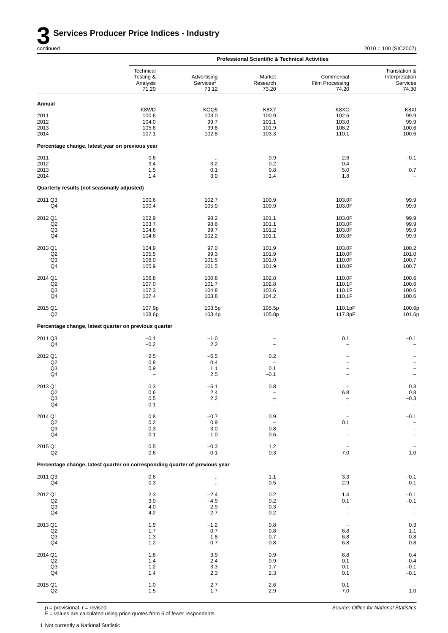|                                                         |                                                                             |                                                  | <b>Professional Scientific &amp; Technical Activities</b> |                                                      |                                                                          |
|---------------------------------------------------------|-----------------------------------------------------------------------------|--------------------------------------------------|-----------------------------------------------------------|------------------------------------------------------|--------------------------------------------------------------------------|
|                                                         | Technical<br>Testing &<br>Analysis<br>71.20                                 | Advertising<br>Services <sup>1</sup><br>73.12    | Market<br>Research<br>73.20                               | Commercial<br>Film Processing<br>74.20               | Translation &<br>Interpretation<br>Services<br>74.30                     |
| Annual                                                  |                                                                             |                                                  |                                                           |                                                      |                                                                          |
| 2011<br>2012<br>2013                                    | K8WD<br>100.6<br>104.0<br>105.6                                             | KOQ5<br>103.0<br>99.7<br>99.8                    | K8X7<br>100.9<br>101.1<br>101.9                           | K8XC<br>102.6<br>103.0<br>108.2                      | K8XI<br>99.9<br>99.9<br>100.6                                            |
| 2014<br>Percentage change, latest year on previous year | 107.1                                                                       | 102.8                                            | 103.3                                                     | 110.1                                                | 100.6                                                                    |
| 2011                                                    | 0.6                                                                         | $\ddot{\phantom{a}}$                             | 0.9                                                       | 2.6                                                  | $-0.1$                                                                   |
| 2012<br>2013<br>2014                                    | 3.4<br>1.5<br>1.4                                                           | $-3.2$<br>0.1<br>3.0                             | 0.2<br>0.8<br>1.4                                         | 0.4<br>5.0<br>1.8                                    | $0.7\,$                                                                  |
| Quarterly results (not seasonally adjusted)             |                                                                             |                                                  |                                                           |                                                      |                                                                          |
| 2011 Q3<br>Q4                                           | 100.6<br>100.4                                                              | 102.7<br>105.0                                   | 100.9<br>100.9                                            | 103.0F<br>103.0F                                     | 99.9<br>99.9                                                             |
| 2012 Q1<br>Q <sub>2</sub><br>Q3<br>Q4                   | 102.9<br>103.7<br>104.6<br>104.6                                            | 98.2<br>98.6<br>99.7<br>102.2                    | 101.1<br>101.1<br>101.2<br>101.1                          | 103.0F<br>103.0F<br>103.0F<br>103.0F                 | 99.9<br>99.9<br>99.9<br>99.9                                             |
| 2013 Q1<br>Q <sub>2</sub><br>Q <sub>3</sub><br>Q4       | 104.9<br>105.5<br>106.0<br>105.9                                            | 97.0<br>99.3<br>101.5<br>101.5                   | 101.9<br>101.9<br>101.9<br>101.9                          | 103.0F<br>110.0F<br>110.0F<br>110.0F                 | 100.2<br>101.0<br>100.7<br>100.7                                         |
| 2014 Q1<br>Q2<br>Q <sub>3</sub><br>Q4                   | 106.8<br>107.0<br>107.3<br>107.4                                            | 100.8<br>101.7<br>104.8<br>103.8                 | 102.8<br>102.8<br>103.6<br>104.2                          | 110.0F<br>110.1F<br>110.1F<br>110.1F                 | 100.6<br>100.6<br>100.6<br>100.6                                         |
| 2015 Q1<br>Q <sub>2</sub>                               | 107.9p<br>108.6p                                                            | 103.5p<br>103.4p                                 | 105.5p<br>105.8p                                          | 110.1pF<br>117.8pF                                   | 100.6p<br>101.6p                                                         |
|                                                         | Percentage change, latest quarter on previous quarter                       |                                                  |                                                           |                                                      |                                                                          |
| 2011 Q3<br>Q4                                           | $-0.1$<br>$-0.2$                                                            | $-1.0$<br>2.2                                    | $\overline{\phantom{0}}$                                  | 0.1<br>$\overline{\phantom{0}}$                      | $-0.1$<br>$\overline{\phantom{0}}$                                       |
| 2012 Q1<br>Q2<br>Q <sub>3</sub><br>Q4                   | 2.5<br>0.8<br>0.9<br>$\overline{\phantom{a}}$                               | $-6.5$<br>0.4<br>1.1<br>2.5                      | 0.2<br>$\overline{\phantom{a}}$<br>0.1<br>$-0.1$          | $\overline{\phantom{0}}$<br>$\overline{\phantom{0}}$ | $\qquad \qquad -$<br>$\qquad \qquad -$                                   |
| 2013 Q1<br>Q2<br>$_{\mathsf{Q3}}$<br>Q4                 | 0.3<br>0.6<br>0.5<br>$-0.1$                                                 | $-5.1$<br>2.4<br>2.2<br>$\overline{\phantom{a}}$ | 0.8<br>-                                                  | $\overline{a}$<br>6.8                                | 0.3<br>$0.8\,$<br>$-0.3$                                                 |
| 2014 Q1<br>Q2<br>Q <sub>3</sub><br>Q4                   | $0.8\,$<br>0.2<br>0.3<br>0.1                                                | $-0.7$<br>0.9<br>3.0<br>$-1.0$                   | 0.9<br>$\qquad \qquad -$<br>0.8<br>0.6                    | 0.1                                                  | $-0.1$<br>$\qquad \qquad -$                                              |
| 2015 Q1<br>Q2                                           | $0.5\,$<br>0.6                                                              | $-0.3$<br>$-0.1$                                 | $1.2$<br>0.3                                              | $\overline{\phantom{a}}$<br>7.0                      | $1.0$                                                                    |
|                                                         | Percentage change, latest quarter on corresponding quarter of previous year |                                                  |                                                           |                                                      |                                                                          |
| 2011 Q3<br>Q4                                           | 0.6<br>0.3                                                                  | $\cdot$<br>$\ddotsc$                             | 1.1<br>0.5                                                | 3.3<br>2.9                                           | $-0.1$<br>$-0.1$                                                         |
| 2012 Q1<br>Q2<br>Q <sub>3</sub><br>Q4                   | 2.3<br>3.0<br>$4.0$<br>$4.2\,$                                              | $-2.4$<br>$-4.9$<br>$-2.9$<br>$-2.7$             | 0.2<br>0.2<br>0.3<br>0.2                                  | 1.4<br>0.1<br>$\overline{\phantom{0}}$               | $-0.1$<br>$-0.1$<br>$\overline{\phantom{0}}$<br>$\overline{\phantom{0}}$ |
| 2013 Q1<br>Q2<br>Q <sub>3</sub><br>Q4                   | 1.9<br>1.7<br>1.3<br>$1.2$                                                  | $-1.2$<br>0.7<br>1.8<br>$-0.7$                   | 0.8<br>0.8<br>0.7<br>0.8                                  | $\qquad \qquad -$<br>6.8<br>6.8<br>6.8               | $0.3\,$<br>1.1<br>$0.8\,$<br>0.8                                         |
| 2014 Q1<br>Q2<br>Q3<br>Q4                               | 1.8<br>1.4<br>1.2<br>1.4                                                    | 3.9<br>2.4<br>3.3<br>2.3                         | 0.9<br>0.9<br>1.7<br>2.3                                  | 6.8<br>0.1<br>0.1<br>0.1                             | 0.4<br>$-0.4$<br>$-0.1$<br>$-0.1$                                        |
| 2015 Q1<br>$_{\mathsf{Q2}}$                             | $1.0$<br>1.5                                                                | 2.7<br>1.7                                       | 2.6<br>2.9                                                | 0.1<br>$7.0\,$                                       | $1.0\,$                                                                  |

p = provisional. r = revised

F = values are calculated using price quotes from 5 of fewer respondents

1 Not currently a National Statistic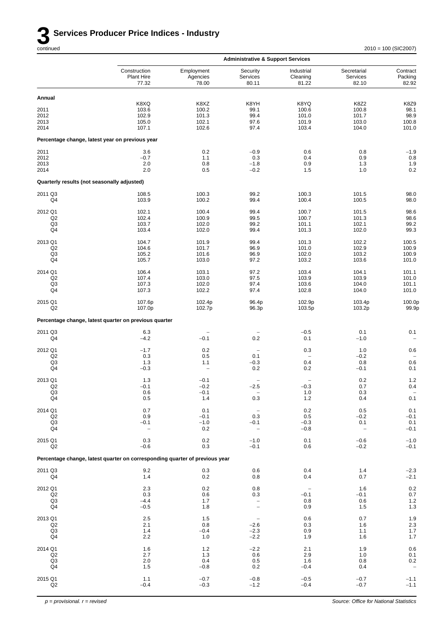

|                                             |                                                                             |                                 | <b>Administrative &amp; Support Services</b> |                                    |                                  |                                           |
|---------------------------------------------|-----------------------------------------------------------------------------|---------------------------------|----------------------------------------------|------------------------------------|----------------------------------|-------------------------------------------|
|                                             | Construction<br>Plant Hire<br>77.32                                         | Employment<br>Agencies<br>78.00 | Security<br>Services<br>80.11                | Industrial<br>Cleaning<br>81.22    | Secretarial<br>Services<br>82.10 | Contract<br>Packing<br>82.92              |
| Annual                                      |                                                                             |                                 |                                              |                                    |                                  |                                           |
|                                             | K8XQ                                                                        | K8XZ                            | K8YH                                         | K8YQ                               | <b>K8Z2</b>                      | K8Z9                                      |
| 2011<br>2012                                | 103.6<br>102.9                                                              | 100.2<br>101.3                  | 99.1<br>99.4                                 | 100.6<br>101.0                     | 100.8<br>101.7                   | 98.1<br>98.9                              |
| 2013<br>2014                                | 105.0<br>107.1                                                              | 102.1<br>102.6                  | 97.6<br>97.4                                 | 101.9<br>103.4                     | 103.0<br>104.0                   | 100.8<br>101.0                            |
|                                             | Percentage change, latest year on previous year                             |                                 |                                              |                                    |                                  |                                           |
| 2011                                        | 3.6                                                                         | 0.2                             | $-0.9$                                       | 0.6                                | 0.8                              | $-1.9$                                    |
| 2012                                        | $-0.7$                                                                      | 1.1                             | 0.3                                          | 0.4                                | 0.9                              | 0.8                                       |
| 2013<br>2014                                | 2.0<br>2.0                                                                  | 0.8<br>0.5                      | $-1.8$<br>$-0.2$                             | 0.9<br>1.5                         | 1.3<br>1.0                       | 1.9<br>0.2                                |
| Quarterly results (not seasonally adjusted) |                                                                             |                                 |                                              |                                    |                                  |                                           |
| 2011 Q3<br>Q4                               | 108.5<br>103.9                                                              | 100.3<br>100.2                  | 99.2<br>99.4                                 | 100.3<br>100.4                     | 101.5<br>100.5                   | 98.0<br>98.0                              |
|                                             |                                                                             |                                 |                                              |                                    |                                  |                                           |
| 2012 Q1<br>Q <sub>2</sub>                   | 102.1<br>102.4                                                              | 100.4<br>100.9                  | 99.4<br>99.5                                 | 100.7<br>100.7                     | 101.5<br>101.3                   | 98.6<br>98.6                              |
| Q3                                          | 103.7                                                                       | 102.0                           | 99.2                                         | 101.1                              | 102.1                            | 99.2                                      |
| Q4                                          | 103.4                                                                       | 102.0                           | 99.4                                         | 101.3                              | 102.0                            | 99.3                                      |
| 2013 Q1                                     | 104.7                                                                       | 101.9                           | 99.4                                         | 101.3                              | 102.2                            | 100.5                                     |
| Q <sub>2</sub><br>Q3                        | 104.6<br>105.2                                                              | 101.7<br>101.6                  | 96.9<br>96.9                                 | 101.0<br>102.0                     | 102.9<br>103.2                   | 100.9<br>100.9                            |
| Q4                                          | 105.7                                                                       | 103.0                           | 97.2                                         | 103.2                              | 103.6                            | 101.0                                     |
| 2014 Q1                                     | 106.4                                                                       | 103.1                           | 97.2                                         | 103.4                              | 104.1                            | 101.1                                     |
| Q2<br>Q3                                    | 107.4<br>107.3                                                              | 103.0<br>102.0                  | 97.5<br>97.4                                 | 103.9<br>103.6                     | 103.9<br>104.0                   | 101.0<br>101.1                            |
| Q4                                          | 107.3                                                                       | 102.2                           | 97.4                                         | 102.8                              | 104.0                            | 101.0                                     |
| 2015 Q1<br>Q <sub>2</sub>                   | 107.6p<br>107.0p                                                            | 102.4p<br>102.7p                | 96.4p<br>96.3p                               | 102.9p<br>103.5p                   | 103.4p<br>103.2p                 | 100.0p<br>99.9p                           |
|                                             | Percentage change, latest quarter on previous quarter                       |                                 |                                              |                                    |                                  |                                           |
| 2011 Q3<br>Q4                               | 6.3<br>$-4.2$                                                               | $-0.1$                          | $\overline{\phantom{0}}$<br>0.2              | $-0.5$<br>0.1                      | 0.1<br>$-1.0$                    | 0.1                                       |
| 2012 Q1                                     | $-1.7$                                                                      | 0.2                             | $\overline{\phantom{0}}$                     | 0.3                                | 1.0                              | 0.6                                       |
| Q <sub>2</sub><br>Q3                        | 0.3<br>1.3                                                                  | 0.5<br>1.1                      | 0.1<br>$-0.3$                                | $\overline{\phantom{0}}$<br>0.4    | $-0.2$<br>0.8                    | 0.6                                       |
| Q4                                          | $-0.3$                                                                      | $\qquad \qquad -$               | 0.2                                          | 0.2                                | $-0.1$                           | 0.1                                       |
| 2013 Q1                                     | 1.3                                                                         | $-0.1$                          |                                              |                                    | 0.2                              | $1.2$                                     |
| Q <sub>2</sub><br>Q3                        | $-0.1$<br>0.6                                                               | $-0.2$<br>$-0.1$                | $-2.5$<br>$\overline{\phantom{0}}$           | $-0.3$<br>1.0                      | 0.7<br>0.3                       | 0.4<br>$\qquad \qquad -$                  |
| Q4                                          | $0.5\,$                                                                     | 1.4                             | 0.3                                          | $1.2$                              | 0.4                              | 0.1                                       |
| 2014 Q1                                     | $0.7\,$                                                                     | 0.1                             | $\overline{\phantom{a}}$                     | $0.2\,$                            | $0.5\,$                          | $0.1\,$                                   |
| Q <sub>2</sub><br>Q <sub>3</sub>            | 0.9                                                                         | $-0.1$<br>$-1.0$                | 0.3                                          | 0.5<br>$-0.3$                      | $-0.2$                           | $-0.1$<br>$0.1\,$                         |
| Q4                                          | $-0.1$<br>$\qquad \qquad -$                                                 | 0.2                             | $-0.1$<br>$\overline{\phantom{m}}$           | $-0.8$                             | 0.1<br>$\overline{\phantom{m}}$  | $-0.1$                                    |
| 2015 Q1<br>Q2                               | 0.3<br>$-0.6$                                                               | 0.2<br>0.3                      | $-1.0$<br>$-0.1$                             | 0.1<br>0.6                         | $-0.6$<br>$-0.2$                 | $-1.0$<br>$-0.1$                          |
|                                             | Percentage change, latest quarter on corresponding quarter of previous year |                                 |                                              |                                    |                                  |                                           |
| 2011 Q3                                     | 9.2                                                                         | 0.3                             | 0.6                                          | 0.4                                | $1.4$                            | $-2.3$                                    |
| Q4                                          | 1.4                                                                         | 0.2                             | 0.8                                          | 0.4                                | 0.7                              | $-2.1$                                    |
| 2012 Q1<br>Q2                               | 2.3<br>0.3                                                                  | 0.2<br>0.6                      | 0.8<br>0.3                                   | $\overline{\phantom{a}}$<br>$-0.1$ | 1.6<br>$-0.1$                    | $\begin{array}{c} 0.2 \\ 0.7 \end{array}$ |
| Q <sub>3</sub>                              | $-4.4$                                                                      | 1.7                             | $\overline{\phantom{a}}$                     | 0.8                                | 0.6                              | $1.2\,$                                   |
| Q4                                          | $-0.5$                                                                      | 1.8                             | $\overline{\phantom{0}}$                     | 0.9                                | 1.5                              | $1.3$                                     |
| 2013 Q1                                     | $2.5\,$                                                                     | 1.5                             | $\overline{\phantom{a}}$                     | 0.6                                | $0.7\,$                          | $1.9$                                     |
| Q2<br>Q <sub>3</sub>                        | 2.1<br>1.4                                                                  | 0.8<br>$-0.4$                   | $-2.6$<br>$-2.3$                             | 0.3<br>0.9                         | 1.6<br>1.1                       | $2.3\,$<br>$1.7$                          |
| Q4                                          | 2.2                                                                         | 1.0                             | $-2.2$                                       | 1.9                                | 1.6                              | $1.7$                                     |
| 2014 Q1                                     | 1.6                                                                         | 1.2                             | $-2.2$                                       | 2.1                                | 1.9                              | $0.6\,$                                   |
| Q2<br>Q <sub>3</sub>                        | 2.7<br>2.0                                                                  | 1.3<br>0.4                      | 0.6<br>0.5                                   | 2.9<br>1.6                         | 1.0<br>0.8                       | 0.1<br>$0.2\,$                            |
| Q4                                          | 1.5                                                                         | $-0.8$                          | 0.2                                          | $-0.4$                             | 0.4                              | $\overline{\phantom{a}}$                  |
| 2015 Q1                                     | 1.1                                                                         | $-0.7$                          | $-0.8$                                       | $-0.5$                             | $-0.7$                           | $-1.1$                                    |
| Q2                                          | $-0.4$                                                                      | $-0.3$                          | $-1.2$                                       | $-0.4$                             | $-0.7$                           | $-1.1$                                    |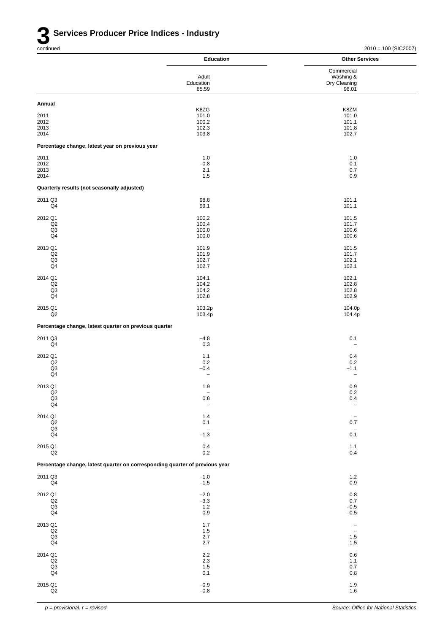|                                                                             | <b>Education</b>                    | <b>Other Services</b>           |
|-----------------------------------------------------------------------------|-------------------------------------|---------------------------------|
|                                                                             |                                     | Commercial                      |
|                                                                             | Adult<br>Education                  | Washing &<br>Dry Cleaning       |
|                                                                             | 85.59                               | 96.01                           |
| Annual                                                                      |                                     |                                 |
| 2011                                                                        | K8ZG<br>101.0                       | K8ZM<br>101.0                   |
| 2012                                                                        | 100.2                               | 101.1                           |
| 2013<br>2014                                                                | 102.3<br>103.8                      | 101.8<br>102.7                  |
| Percentage change, latest year on previous year                             |                                     |                                 |
| 2011                                                                        | 1.0                                 | 1.0                             |
| 2012<br>2013                                                                | $-0.8$<br>2.1                       | 0.1<br>0.7                      |
| 2014                                                                        | 1.5                                 | 0.9                             |
| Quarterly results (not seasonally adjusted)                                 |                                     |                                 |
| 2011 Q3                                                                     | 98.8                                | 101.1                           |
| Q4                                                                          | 99.1                                | 101.1                           |
| 2012 Q1                                                                     | 100.2                               | 101.5                           |
| Q2<br>Q <sub>3</sub>                                                        | 100.4<br>100.0                      | 101.7<br>100.6                  |
| Q <sub>4</sub>                                                              | 100.0                               | 100.6                           |
| 2013 Q1                                                                     | 101.9                               | 101.5<br>101.7                  |
| Q2<br>Q <sub>3</sub>                                                        | 101.9<br>102.7                      | 102.1                           |
| Q4                                                                          | 102.7                               | 102.1                           |
| 2014 Q1                                                                     | 104.1                               | 102.1                           |
| Q2<br>Q <sub>3</sub>                                                        | 104.2<br>104.2                      | 102.8<br>102.8                  |
| Q4                                                                          | 102.8                               | 102.9                           |
| 2015 Q1<br>Q2                                                               | 103.2p<br>103.4p                    | 104.0p<br>104.4p                |
| Percentage change, latest quarter on previous quarter                       |                                     |                                 |
| 2011 Q3                                                                     | $-4.8$                              | 0.1                             |
| Q <sub>4</sub>                                                              | 0.3                                 | $\overline{\phantom{a}}$        |
| 2012 Q1                                                                     | 1.1                                 | 0.4                             |
| Q2<br>Q <sub>3</sub>                                                        | 0.2<br>$-0.4$                       | 0.2<br>$-1.1$                   |
| Q4                                                                          | $\qquad \qquad -$                   | $\overline{\phantom{0}}$        |
| 2013 Q1                                                                     | 1.9                                 | 0.9                             |
| Q2<br>$_{\mathsf{Q4}}^{\mathsf{Q3}}$                                        | $\overline{\phantom{a}}$<br>$0.8\,$ | 0.2<br>0.4                      |
|                                                                             | $\overline{\phantom{0}}$            |                                 |
| 2014 Q1<br>$_{\mathsf{Q2}}$                                                 | 1.4<br>0.1                          | $\overline{\phantom{a}}$<br>0.7 |
| Q3                                                                          | $\overline{\phantom{a}}$            | $\overline{\phantom{a}}$        |
| Q4                                                                          | $-1.3$                              | 0.1                             |
| 2015 Q1<br>Q2                                                               | 0.4<br>0.2                          | $1.1$<br>0.4                    |
| Percentage change, latest quarter on corresponding quarter of previous year |                                     |                                 |
|                                                                             |                                     |                                 |
| 2011 Q3<br>Q4                                                               | $-1.0$<br>$-1.5$                    | $1.2\,$<br>0.9                  |
| 2012 Q1                                                                     | $-2.0$                              | 0.8                             |
| Q2<br>Q3                                                                    | $-3.3$                              | 0.7                             |
| Q4                                                                          | 1.2<br>0.9                          | $-0.5$<br>$-0.5$                |
| 2013 Q1                                                                     | 1.7                                 | $\overline{\phantom{0}}$        |
| Q2                                                                          | 1.5                                 | $\overline{\phantom{a}}$        |
| $_{\mathsf{Q3}}$<br>Q4                                                      | 2.7<br>2.7                          | 1.5<br>1.5                      |
| 2014 Q1                                                                     | $2.2\,$                             | $0.6\,$                         |
| Q2<br>$_{\mathsf{Q3}}$                                                      | $2.3\,$<br>1.5                      | 1.1<br>0.7                      |
| Q <sub>4</sub>                                                              | 0.1                                 | 0.8                             |
| 2015 Q1                                                                     | $-0.9$                              | 1.9                             |
| $_{\mathsf{Q2}}$                                                            | $-0.8$                              | 1.6                             |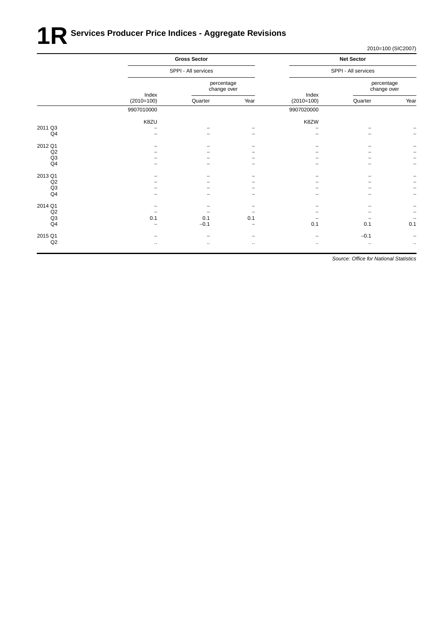# **1R** Services Producer Price Indices - Aggregate Revisions

2010=100 (SIC2007)

|                |              | <b>Gross Sector</b><br>SPPI - All services |             |              | <b>Net Sector</b><br>SPPI - All services |                          |  |
|----------------|--------------|--------------------------------------------|-------------|--------------|------------------------------------------|--------------------------|--|
|                |              |                                            |             |              |                                          |                          |  |
|                | Index        | percentage<br>change over                  |             | Index        | percentage<br>change over                |                          |  |
|                | $(2010=100)$ | Quarter                                    | Year        | $(2010=100)$ | Quarter                                  | Year                     |  |
|                | 9907010000   |                                            |             | 9907020000   |                                          |                          |  |
|                | K8ZU         |                                            |             | K8ZW         |                                          |                          |  |
| 2011 Q3        |              |                                            |             |              |                                          |                          |  |
| Q4             |              |                                            |             |              |                                          | $\overline{\phantom{0}}$ |  |
| 2012 Q1        |              |                                            |             |              |                                          |                          |  |
| Q2             |              |                                            |             |              |                                          |                          |  |
| Q3             |              |                                            |             |              |                                          | $\overline{\phantom{0}}$ |  |
| Q4             |              |                                            |             |              |                                          | $\overline{\phantom{0}}$ |  |
| 2013 Q1        |              |                                            |             |              |                                          | -                        |  |
| Q2             |              |                                            |             |              |                                          | <b>-</b>                 |  |
| Q3             |              |                                            |             |              |                                          | $\overline{\phantom{0}}$ |  |
| Q <sub>4</sub> |              |                                            |             |              |                                          | $\overline{a}$           |  |
| 2014 Q1        |              |                                            |             |              |                                          |                          |  |
| Q2             |              |                                            |             |              |                                          | $\qquad \qquad -$        |  |
| Q3             | 0.1          | 0.1                                        | 0.1         |              |                                          | $\overline{\phantom{0}}$ |  |
| Q <sub>4</sub> |              | $-0.1$                                     |             | 0.1          | 0.1                                      | 0.1                      |  |
| 2015 Q1        |              |                                            |             |              | $-0.1$                                   | -                        |  |
| Q2             | $\ddotsc$    | $\cdots$                                   | $\bullet$ . | $\bullet$ .  | $\ddotsc$                                | $\ldots$                 |  |
|                |              |                                            |             |              |                                          |                          |  |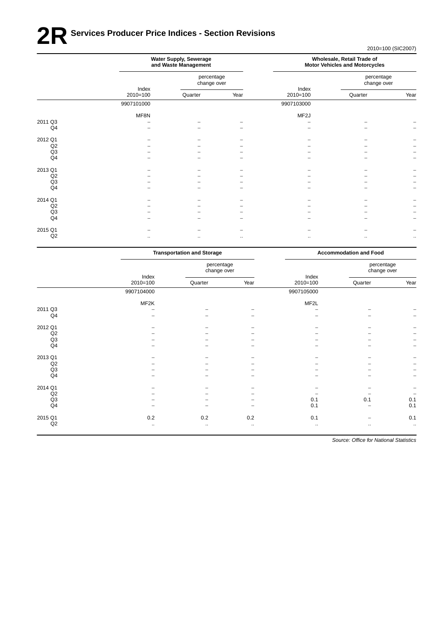# **2R** Services Producer Price Indices - Section Revisions

2010=100 (SIC2007)

|                | Water Supply, Sewerage<br>and Waste Management |                           |          |                     | Wholesale, Retail Trade of<br><b>Motor Vehicles and Motorcycles</b> |          |
|----------------|------------------------------------------------|---------------------------|----------|---------------------|---------------------------------------------------------------------|----------|
|                |                                                | percentage<br>change over |          |                     | percentage<br>change over                                           |          |
|                | Index<br>$2010=100$                            | Quarter                   | Year     | Index<br>$2010=100$ | Quarter                                                             | Year     |
|                | 9907101000                                     |                           |          | 9907103000          |                                                                     |          |
|                | MF8N                                           |                           |          | MF <sub>2</sub> J   |                                                                     |          |
| 2011 Q3        |                                                |                           |          |                     |                                                                     |          |
| Q <sub>4</sub> |                                                |                           |          |                     |                                                                     |          |
| 2012 Q1        |                                                |                           |          |                     |                                                                     |          |
| Q2             |                                                |                           |          |                     |                                                                     |          |
| Q3             |                                                |                           |          |                     |                                                                     |          |
| Q4             |                                                |                           |          |                     |                                                                     |          |
| 2013 Q1        |                                                |                           |          |                     |                                                                     |          |
| Q2             |                                                |                           |          |                     |                                                                     |          |
| Q <sub>3</sub> |                                                |                           |          |                     |                                                                     |          |
| Q <sub>4</sub> |                                                |                           |          |                     |                                                                     |          |
| 2014 Q1        |                                                |                           |          |                     |                                                                     |          |
| Q2             |                                                |                           |          |                     |                                                                     |          |
| Q3             |                                                |                           |          |                     |                                                                     |          |
| Q4             |                                                |                           |          |                     |                                                                     |          |
| 2015 Q1        |                                                |                           |          |                     |                                                                     |          |
| Q2             | $\cdots$                                       |                           | $\ldots$ | $\ldots$            | ٠.                                                                  | $\ldots$ |

|                |                          | <b>Transportation and Storage</b> |          |            | <b>Accommodation and Food</b> |                          |
|----------------|--------------------------|-----------------------------------|----------|------------|-------------------------------|--------------------------|
|                | Index                    | percentage<br>change over         |          | Index      | percentage<br>change over     |                          |
|                | $2010=100$               | Quarter                           | Year     | $2010=100$ | Quarter                       | Year                     |
|                | 9907104000               |                                   |          | 9907105000 |                               |                          |
|                | MF2K                     |                                   |          | MF2L       |                               |                          |
| 2011 Q3        |                          |                                   |          |            |                               | $\overline{\phantom{0}}$ |
| Q4             | $\overline{\phantom{0}}$ |                                   |          |            |                               | $\overline{a}$           |
| 2012 Q1        |                          |                                   |          |            |                               |                          |
| Q2             |                          |                                   |          |            |                               | -                        |
| Q3             |                          |                                   |          |            |                               | $\qquad \qquad -$        |
| Q4             | -                        | -                                 | -        |            | -                             | $\qquad \qquad -$        |
| 2013 Q1        | -                        | ۰                                 | -        |            | $\overline{\phantom{0}}$      | -                        |
| Q2             |                          |                                   |          |            |                               | <b>-</b>                 |
| Q3             |                          |                                   |          |            |                               | $\overline{\phantom{0}}$ |
| Q <sub>4</sub> |                          |                                   |          |            |                               | $\overline{\phantom{0}}$ |
| 2014 Q1        |                          |                                   |          |            |                               |                          |
| Q2             |                          |                                   |          |            |                               | $\qquad \qquad -$        |
| Q3             |                          |                                   |          | 0.1        | 0.1                           | 0.1                      |
| Q <sub>4</sub> |                          |                                   |          | 0.1        |                               | 0.1                      |
| 2015 Q1        | 0.2                      | 0.2                               | 0.2      | 0.1        | -                             | 0.1                      |
| Q2             | $\ldots$                 | $\ddotsc$                         | $\ldots$ | $\ddotsc$  | $\bullet$ .                   | $\ddotsc$                |
|                |                          |                                   |          |            |                               |                          |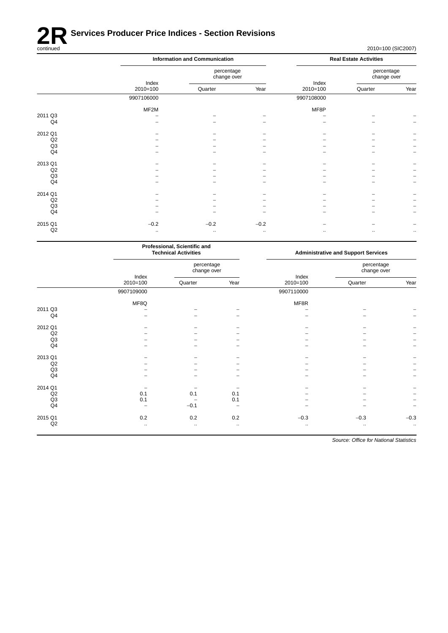

|         |                     | <b>Information and Communication</b> |          |                     | <b>Real Estate Activities</b> |          |  |
|---------|---------------------|--------------------------------------|----------|---------------------|-------------------------------|----------|--|
|         |                     | percentage<br>change over            |          |                     | percentage<br>change over     |          |  |
|         | Index<br>$2010=100$ | Quarter                              | Year     | Index<br>$2010=100$ | Quarter                       | Year     |  |
|         | 9907106000          |                                      |          | 9907108000          |                               |          |  |
|         | MF2M                |                                      |          | MF8P                |                               |          |  |
| 2011 Q3 |                     |                                      |          |                     |                               |          |  |
| Q4      |                     |                                      |          |                     |                               |          |  |
| 2012 Q1 |                     |                                      |          |                     |                               |          |  |
| Q2      |                     |                                      |          |                     |                               |          |  |
| Q3      |                     |                                      |          |                     |                               |          |  |
| Q4      |                     |                                      |          |                     |                               |          |  |
| 2013 Q1 |                     |                                      |          |                     |                               |          |  |
| Q2      |                     |                                      |          |                     |                               |          |  |
| Q3      |                     |                                      |          |                     |                               |          |  |
| Q4      |                     |                                      |          |                     |                               |          |  |
| 2014 Q1 |                     |                                      |          |                     |                               |          |  |
| Q2      |                     |                                      |          |                     |                               |          |  |
| Q3      |                     |                                      |          |                     |                               |          |  |
| Q4      |                     |                                      |          |                     |                               |          |  |
| 2015 Q1 | $-0.2$              | $-0.2$                               | $-0.2$   |                     |                               |          |  |
| Q2      | $\ldots$            | $\ldots$                             | $\ldots$ | $\ldots$            | $\ldots$                      | $\ldots$ |  |
|         |                     |                                      |          |                     |                               |          |  |

|                | Professional, Scientific and<br><b>Technical Activities</b> |                           |          |                      | <b>Administrative and Support Services</b> |                          |  |
|----------------|-------------------------------------------------------------|---------------------------|----------|----------------------|--------------------------------------------|--------------------------|--|
|                | Index                                                       | percentage<br>change over |          | Index                | percentage<br>change over                  |                          |  |
|                | $2010 = 100$                                                | Quarter                   | Year     | $2010=100$           | Quarter                                    | Year                     |  |
|                | 9907109000                                                  |                           |          | 9907110000           |                                            |                          |  |
|                | MF8Q                                                        |                           |          | MF8R                 |                                            |                          |  |
| 2011 Q3        |                                                             |                           |          |                      |                                            |                          |  |
| Q <sub>4</sub> |                                                             |                           |          |                      |                                            |                          |  |
| 2012 Q1        |                                                             |                           |          |                      |                                            |                          |  |
| Q2             |                                                             |                           |          |                      |                                            |                          |  |
| Q3             |                                                             |                           |          |                      |                                            |                          |  |
| Q <sub>4</sub> |                                                             |                           |          |                      |                                            | $\overline{\phantom{0}}$ |  |
| 2013 Q1        |                                                             |                           |          |                      |                                            |                          |  |
| Q2             |                                                             |                           |          |                      |                                            |                          |  |
| Q3             |                                                             |                           |          |                      |                                            |                          |  |
| Q <sub>4</sub> |                                                             |                           |          |                      |                                            | -                        |  |
| 2014 Q1        |                                                             |                           |          |                      |                                            |                          |  |
| Q2             | 0.1                                                         | 0.1                       | 0.1      |                      |                                            | $\qquad \qquad -$        |  |
| Q3             | 0.1                                                         |                           | 0.1      |                      |                                            |                          |  |
| Q <sub>4</sub> |                                                             | $-0.1$                    |          |                      |                                            |                          |  |
| 2015 Q1        | 0.2                                                         | 0.2                       | 0.2      | $-0.3$               | $-0.3$                                     | $-0.3$                   |  |
| Q2             | $\ddot{\phantom{1}}$                                        | $\ldots$                  | $\ldots$ | $\ddot{\phantom{1}}$ | $\ddotsc$                                  | $\ddotsc$                |  |
|                |                                                             |                           |          |                      |                                            |                          |  |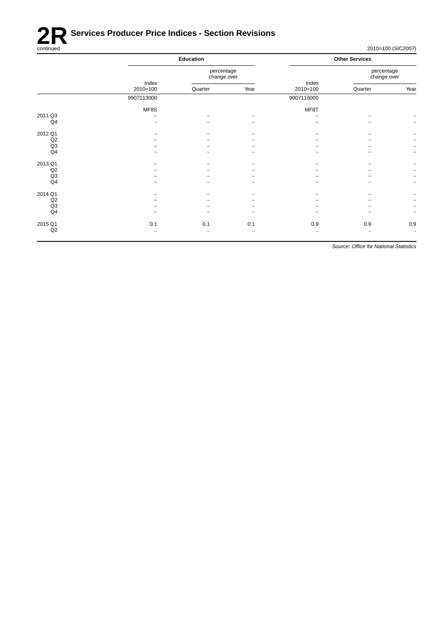

|         |              | Education                 |          |              | <b>Other Services</b>     |                          |  |  |
|---------|--------------|---------------------------|----------|--------------|---------------------------|--------------------------|--|--|
|         | Index        | percentage<br>change over |          | Index        | percentage<br>change over |                          |  |  |
|         | $2010=100$   | Quarter                   | Year     | $2010=100$   | Quarter                   | Year                     |  |  |
|         | 9907113000   |                           |          | 9907116000   |                           |                          |  |  |
|         | MF8S         |                           |          | MF8T         |                           |                          |  |  |
| 2011 Q3 | ۰            |                           |          | -            |                           |                          |  |  |
| Q4      |              |                           |          |              |                           | $\overline{\phantom{a}}$ |  |  |
| 2012 Q1 |              |                           |          |              |                           |                          |  |  |
| Q2      |              |                           |          |              |                           | $\overline{\phantom{m}}$ |  |  |
| Q3      |              |                           |          |              |                           | $\overline{\phantom{a}}$ |  |  |
| Q4      |              |                           |          |              |                           | $\overline{\phantom{a}}$ |  |  |
| 2013 Q1 |              |                           |          |              |                           | $\overline{\phantom{m}}$ |  |  |
| Q2      |              |                           |          |              |                           | $\overline{\phantom{a}}$ |  |  |
| Q3      |              |                           |          |              |                           | $\overline{\phantom{a}}$ |  |  |
| Q4      |              |                           |          |              |                           | $\overline{\phantom{a}}$ |  |  |
| 2014 Q1 |              |                           |          |              |                           |                          |  |  |
| Q2      |              |                           |          |              |                           | $\overline{\phantom{a}}$ |  |  |
| Q3      |              |                           |          |              |                           | $\overline{\phantom{m}}$ |  |  |
| Q4      |              |                           |          |              |                           | $\overline{\phantom{m}}$ |  |  |
| 2015 Q1 | 0.1          | 0.1                       | 0.1      | 0.9          | 0.9                       | 0.9                      |  |  |
| Q2      | $\cdot\cdot$ | $\bullet$ .               | $\cdots$ | $\cdot\cdot$ | $\cdot\cdot$              | $\ldots$                 |  |  |
|         |              |                           |          |              |                           |                          |  |  |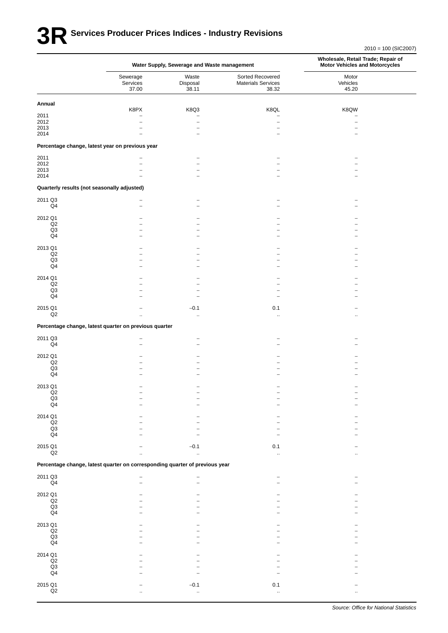# **3R** Services Producer Prices Indices - Industry Revisions

|                                                       |                                                                             | Water Supply, Sewerage and Waste management | Wholesale, Retail Trade; Repair of<br><b>Motor Vehicles and Motorcycles</b> |                            |
|-------------------------------------------------------|-----------------------------------------------------------------------------|---------------------------------------------|-----------------------------------------------------------------------------|----------------------------|
|                                                       | Sewerage<br>Services<br>37.00                                               | Waste<br>Disposal<br>38.11                  | Sorted Recovered<br><b>Materials Services</b><br>38.32                      | Motor<br>Vehicles<br>45.20 |
| Annual                                                |                                                                             |                                             |                                                                             |                            |
| 2011                                                  | K8PX<br>$\overline{\phantom{0}}$                                            | K8Q3<br>$\overline{\phantom{0}}$            | K8QL<br>$\overline{\phantom{0}}$                                            | K8QW                       |
| 2012                                                  |                                                                             | $\overline{\phantom{0}}$                    | $\overline{\phantom{0}}$                                                    |                            |
| 2013                                                  |                                                                             |                                             |                                                                             |                            |
| 2014                                                  |                                                                             | ۳                                           |                                                                             |                            |
|                                                       | Percentage change, latest year on previous year                             |                                             |                                                                             |                            |
| 2011<br>2012                                          |                                                                             |                                             |                                                                             |                            |
| 2013                                                  |                                                                             |                                             |                                                                             |                            |
| 2014                                                  |                                                                             |                                             |                                                                             |                            |
|                                                       | Quarterly results (not seasonally adjusted)                                 |                                             |                                                                             |                            |
| 2011 Q3                                               |                                                                             |                                             |                                                                             |                            |
| Q4                                                    |                                                                             |                                             |                                                                             |                            |
| 2012 Q1                                               |                                                                             |                                             |                                                                             |                            |
| Q2                                                    |                                                                             |                                             |                                                                             |                            |
| Q3                                                    |                                                                             |                                             |                                                                             |                            |
| Q4                                                    |                                                                             |                                             |                                                                             |                            |
| 2013 Q1                                               |                                                                             |                                             |                                                                             |                            |
| Q2                                                    |                                                                             |                                             |                                                                             |                            |
| Q <sub>3</sub>                                        |                                                                             |                                             |                                                                             |                            |
| Q4                                                    |                                                                             |                                             |                                                                             |                            |
| 2014 Q1                                               |                                                                             |                                             |                                                                             |                            |
| Q2                                                    |                                                                             |                                             |                                                                             |                            |
| Q3<br>Q4                                              |                                                                             |                                             |                                                                             |                            |
|                                                       |                                                                             |                                             |                                                                             |                            |
| 2015 Q1<br>Q2                                         |                                                                             | $-0.1$                                      | 0.1                                                                         |                            |
|                                                       |                                                                             | $\ddotsc$                                   | $\ddot{\phantom{a}}$                                                        |                            |
|                                                       | Percentage change, latest quarter on previous quarter                       |                                             |                                                                             |                            |
| 2011 Q3<br>Q4                                         |                                                                             |                                             |                                                                             |                            |
|                                                       |                                                                             |                                             |                                                                             |                            |
| 2012 Q1                                               |                                                                             |                                             |                                                                             |                            |
| Q2                                                    |                                                                             |                                             |                                                                             |                            |
| Q3<br>$\mathsf{Q}4$                                   |                                                                             |                                             |                                                                             |                            |
|                                                       |                                                                             |                                             |                                                                             |                            |
| 2013 Q1                                               |                                                                             |                                             |                                                                             |                            |
| $_{\mathsf{Q2}}$                                      |                                                                             |                                             |                                                                             |                            |
| $\begin{array}{c} \text{Q3} \\ \text{Q4} \end{array}$ |                                                                             |                                             |                                                                             |                            |
|                                                       |                                                                             |                                             |                                                                             |                            |
| 2014 Q1                                               |                                                                             |                                             |                                                                             |                            |
| $\mathsf{Q2}$<br>Q3                                   |                                                                             |                                             |                                                                             |                            |
| Q <sub>4</sub>                                        |                                                                             |                                             |                                                                             |                            |
| 2015 Q1                                               |                                                                             |                                             |                                                                             |                            |
| Q2                                                    | ä.                                                                          | $-0.1$<br>$\bar{\mathbf{a}}$                | 0.1<br>ä.                                                                   |                            |
|                                                       | Percentage change, latest quarter on corresponding quarter of previous year |                                             |                                                                             |                            |
|                                                       |                                                                             |                                             |                                                                             |                            |
| 2011 Q3<br>$\mathsf{Q}4$                              |                                                                             |                                             | $\overline{\phantom{0}}$                                                    |                            |
|                                                       |                                                                             |                                             |                                                                             |                            |
| 2012 Q1                                               |                                                                             |                                             |                                                                             |                            |
| $_{\mathsf{Q2}}$<br>Q3                                |                                                                             |                                             |                                                                             |                            |
| $\mathsf{Q}4$                                         |                                                                             |                                             |                                                                             |                            |
|                                                       |                                                                             |                                             |                                                                             |                            |
| 2013 Q1<br>$\mathsf{Q2}$                              |                                                                             |                                             |                                                                             |                            |
| Q3                                                    |                                                                             |                                             |                                                                             |                            |
| Q <sub>4</sub>                                        |                                                                             |                                             |                                                                             |                            |
| 2014 Q1                                               |                                                                             |                                             |                                                                             |                            |
| Q2                                                    |                                                                             |                                             |                                                                             |                            |
| $_{\mathsf{Q3}}$                                      |                                                                             |                                             |                                                                             |                            |
| $\mathsf{Q}4$                                         |                                                                             |                                             |                                                                             |                            |
| 2015 Q1                                               |                                                                             | $-0.1$                                      | 0.1                                                                         |                            |
| $_{\mathsf{Q2}}$                                      |                                                                             |                                             |                                                                             |                            |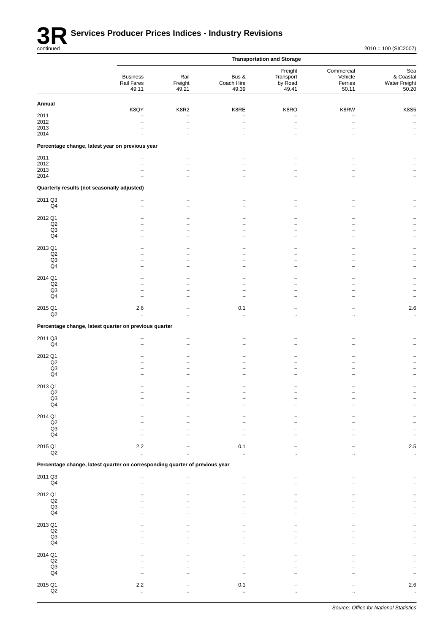

|                                    |                                                                             |                               |                              | <b>Transportation and Storage</b>        |                                           |                                            |
|------------------------------------|-----------------------------------------------------------------------------|-------------------------------|------------------------------|------------------------------------------|-------------------------------------------|--------------------------------------------|
|                                    | <b>Business</b><br>Rail Fares<br>49.11                                      | Rail<br>Freight<br>49.21      | Bus &<br>Coach Hire<br>49.39 | Freight<br>Transport<br>by Road<br>49.41 | Commercial<br>Vehicle<br>Ferries<br>50.11 | Sea<br>& Coastal<br>Water Freight<br>50.20 |
| Annual                             |                                                                             |                               |                              |                                          |                                           |                                            |
| 2011<br>2012<br>2013               | K8QY<br>-                                                                   | K8R2<br>-                     | K8RE                         | K8RO<br>$\overline{\phantom{0}}$         | K8RW<br>$\overline{\phantom{0}}$          | <b>K8S5</b><br>$\qquad \qquad -$           |
| 2014                               | Percentage change, latest year on previous year                             |                               |                              |                                          |                                           | $\overline{\phantom{0}}$                   |
| 2011                               |                                                                             | -                             |                              |                                          |                                           |                                            |
| 2012<br>2013                       |                                                                             | $\overline{\phantom{0}}$<br>- |                              |                                          |                                           |                                            |
| 2014                               |                                                                             | -                             |                              |                                          |                                           |                                            |
|                                    | Quarterly results (not seasonally adjusted)                                 |                               |                              |                                          |                                           |                                            |
| 2011 Q3<br>Q <sub>4</sub>          |                                                                             | -                             |                              |                                          |                                           |                                            |
| 2012 Q1                            |                                                                             |                               |                              |                                          |                                           |                                            |
| $_{\mathsf{Q2}}$<br>Q <sub>3</sub> |                                                                             |                               |                              |                                          |                                           |                                            |
| Q <sub>4</sub>                     |                                                                             |                               |                              |                                          |                                           |                                            |
| 2013 Q1<br>$_{\mathsf{Q2}}$        |                                                                             |                               |                              |                                          |                                           |                                            |
| Q3<br>Q4                           |                                                                             |                               |                              |                                          |                                           |                                            |
| 2014 Q1                            |                                                                             |                               |                              |                                          |                                           |                                            |
| Q2                                 |                                                                             |                               |                              |                                          |                                           |                                            |
| $\mathsf{Q3}$<br>Q <sub>4</sub>    |                                                                             |                               |                              |                                          |                                           |                                            |
| 2015 Q1<br>Q2                      | 2.6<br>$\ddot{\phantom{a}}$                                                 |                               | 0.1<br>ä.                    | μ.                                       | $\ddot{\phantom{a}}$                      | 2.6<br>$\ddot{\phantom{1}}$                |
|                                    | Percentage change, latest quarter on previous quarter                       |                               |                              |                                          |                                           |                                            |
| 2011 Q3                            |                                                                             |                               |                              |                                          |                                           |                                            |
| Q <sub>4</sub>                     |                                                                             |                               |                              |                                          |                                           |                                            |
| 2012 Q1<br>Q2                      |                                                                             |                               |                              |                                          |                                           |                                            |
| Q <sub>3</sub>                     |                                                                             |                               |                              |                                          |                                           |                                            |
| Q <sub>4</sub>                     |                                                                             |                               |                              |                                          |                                           |                                            |
| 2013 Q1<br>Q <sub>2</sub>          |                                                                             |                               |                              |                                          |                                           |                                            |
| Q3<br>Q <sub>4</sub>               |                                                                             |                               |                              |                                          |                                           |                                            |
| 2014 Q1                            |                                                                             |                               |                              |                                          |                                           |                                            |
| $_{\mathsf{Q2}}$<br>$\mathsf{Q3}$  |                                                                             |                               |                              |                                          |                                           |                                            |
| $\mathsf{Q}4$                      |                                                                             |                               |                              |                                          |                                           |                                            |
| 2015 Q1<br>$_{\mathsf{Q2}}$        | 2.2                                                                         |                               | 0.1                          |                                          |                                           | $2.5\,$                                    |
|                                    | Percentage change, latest quarter on corresponding quarter of previous year |                               | $\bar{\Omega}$               |                                          |                                           | $\ddot{\phantom{1}}$                       |
|                                    |                                                                             |                               |                              |                                          |                                           |                                            |
| 2011 Q3<br>$\mathsf{Q4}$           |                                                                             |                               |                              |                                          |                                           |                                            |
| 2012 Q1                            |                                                                             |                               |                              |                                          |                                           |                                            |
| Q2<br>$\mathsf{Q3}$                |                                                                             |                               |                              |                                          |                                           |                                            |
| Q <sub>4</sub>                     |                                                                             |                               |                              |                                          |                                           |                                            |
| 2013 Q1<br>$_{\mathsf{Q2}}$        |                                                                             |                               |                              |                                          |                                           |                                            |
| $\mathsf{Q3}$                      |                                                                             |                               |                              |                                          |                                           |                                            |
| $\mathsf{Q}4$                      |                                                                             |                               |                              |                                          |                                           |                                            |
| 2014 Q1<br>$\mathsf{Q2}$           |                                                                             |                               |                              |                                          |                                           |                                            |
| $\mathsf{Q3}$<br>$\mathsf{Q}4$     |                                                                             |                               |                              |                                          |                                           |                                            |
| 2015 Q1                            | $2.2\,$                                                                     |                               | 0.1                          |                                          |                                           | $2.6\,$                                    |
| $\mathsf{Q2}$                      |                                                                             |                               |                              |                                          |                                           |                                            |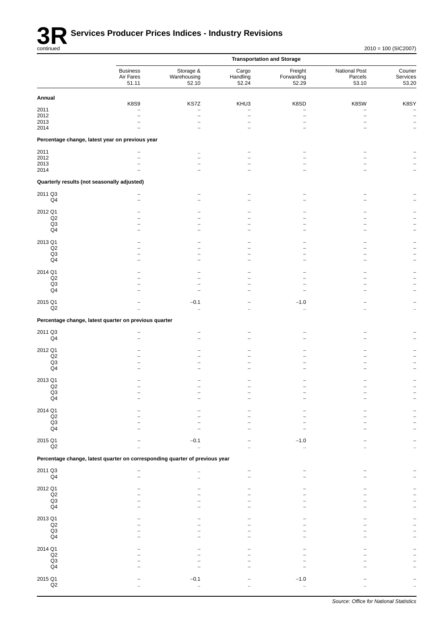

|                                             |                                                                             |                                      |                               | <b>Transportation and Storage</b> |                                   |                                               |
|---------------------------------------------|-----------------------------------------------------------------------------|--------------------------------------|-------------------------------|-----------------------------------|-----------------------------------|-----------------------------------------------|
|                                             | <b>Business</b><br>Air Fares<br>51.11                                       | Storage &<br>Warehousing<br>52.10    | Cargo<br>Handling<br>52.24    | Freight<br>Forwarding<br>52.29    | National Post<br>Parcels<br>53.10 | Courier<br>Services<br>53.20                  |
| Annual                                      |                                                                             |                                      |                               |                                   |                                   |                                               |
|                                             | <b>K8S9</b>                                                                 | KS7Z                                 | KHU3                          | K8SD                              | K8SW                              | K8SY                                          |
| 2011<br>2012                                | -                                                                           | $\equiv$<br>$\overline{\phantom{0}}$ | ۰<br>$\overline{\phantom{0}}$ | $\overline{\phantom{0}}$          | ۰                                 | $\overline{\phantom{0}}$<br>$\qquad \qquad -$ |
| 2013                                        |                                                                             |                                      |                               |                                   |                                   |                                               |
| 2014                                        |                                                                             |                                      |                               |                                   |                                   |                                               |
|                                             | Percentage change, latest year on previous year                             |                                      |                               |                                   |                                   |                                               |
| 2011                                        |                                                                             |                                      |                               |                                   |                                   |                                               |
| 2012                                        |                                                                             | -                                    |                               |                                   |                                   |                                               |
| 2013                                        |                                                                             |                                      |                               |                                   |                                   |                                               |
| 2014                                        |                                                                             |                                      |                               |                                   |                                   |                                               |
| Quarterly results (not seasonally adjusted) |                                                                             |                                      |                               |                                   |                                   |                                               |
| 2011 Q3                                     |                                                                             |                                      |                               |                                   |                                   |                                               |
| Q4                                          |                                                                             |                                      |                               |                                   |                                   |                                               |
| 2012 Q1                                     |                                                                             |                                      |                               |                                   |                                   |                                               |
| $_{\mathsf{Q2}}$                            |                                                                             |                                      |                               |                                   |                                   |                                               |
| Q3                                          |                                                                             |                                      |                               |                                   |                                   |                                               |
| Q4                                          |                                                                             |                                      |                               |                                   |                                   |                                               |
| 2013 Q1                                     |                                                                             |                                      |                               |                                   |                                   |                                               |
| Q2                                          |                                                                             |                                      |                               |                                   |                                   |                                               |
| Q3                                          |                                                                             |                                      |                               |                                   |                                   |                                               |
| $\mathsf{Q}4$                               |                                                                             |                                      |                               |                                   |                                   |                                               |
| 2014 Q1                                     |                                                                             |                                      |                               |                                   |                                   |                                               |
| $_{\mathsf{Q2}}$                            |                                                                             |                                      |                               |                                   |                                   |                                               |
| Q3                                          |                                                                             |                                      |                               |                                   |                                   |                                               |
| $\mathsf{Q}4$                               |                                                                             |                                      |                               |                                   |                                   |                                               |
| 2015 Q1                                     |                                                                             | $-0.1$                               |                               | $-1.0$                            |                                   |                                               |
| $_{\mathsf{Q2}}$                            |                                                                             | $\ldots$                             |                               |                                   |                                   |                                               |
|                                             | Percentage change, latest quarter on previous quarter                       |                                      |                               |                                   |                                   |                                               |
| 2011 Q3                                     |                                                                             |                                      |                               |                                   |                                   |                                               |
| Q <sub>4</sub>                              |                                                                             |                                      |                               |                                   |                                   |                                               |
|                                             |                                                                             |                                      |                               |                                   |                                   |                                               |
| 2012 Q1<br>Q2                               |                                                                             |                                      |                               |                                   |                                   |                                               |
| Q3                                          |                                                                             |                                      |                               |                                   |                                   |                                               |
| $\mathsf{Q}4$                               |                                                                             |                                      |                               |                                   |                                   |                                               |
|                                             |                                                                             |                                      |                               |                                   |                                   |                                               |
| 2013 Q1<br>Q2                               |                                                                             |                                      |                               |                                   |                                   |                                               |
| Q <sub>3</sub>                              |                                                                             |                                      |                               |                                   |                                   |                                               |
| Q4                                          |                                                                             |                                      |                               |                                   |                                   |                                               |
| 2014 Q1                                     |                                                                             |                                      |                               |                                   |                                   |                                               |
| $_{\mathsf{Q2}}$                            |                                                                             |                                      |                               |                                   |                                   |                                               |
| Q3                                          |                                                                             |                                      |                               |                                   |                                   |                                               |
| Q4                                          |                                                                             |                                      |                               |                                   |                                   |                                               |
| 2015 Q1                                     |                                                                             | $-0.1$                               |                               | $-1.0$                            |                                   |                                               |
| Q2                                          | $\ddot{\phantom{a}}$                                                        | à.                                   |                               | ä,                                |                                   |                                               |
|                                             | Percentage change, latest quarter on corresponding quarter of previous year |                                      |                               |                                   |                                   |                                               |
| 2011 Q3                                     |                                                                             |                                      |                               |                                   |                                   |                                               |
| $\mathsf{Q}4$                               |                                                                             | $\ldots$                             |                               |                                   |                                   |                                               |
|                                             |                                                                             |                                      |                               |                                   |                                   |                                               |
| 2012 Q1                                     |                                                                             |                                      |                               |                                   |                                   |                                               |
| $_{\mathsf{Q2}}$<br>Q3                      |                                                                             |                                      |                               |                                   |                                   |                                               |
| Q4                                          |                                                                             |                                      |                               |                                   |                                   |                                               |
|                                             |                                                                             |                                      |                               |                                   |                                   |                                               |
| 2013 Q1<br>$\mathsf{Q2}$                    |                                                                             |                                      |                               |                                   |                                   |                                               |
| Q3                                          |                                                                             |                                      |                               |                                   |                                   |                                               |
| Q <sub>4</sub>                              |                                                                             |                                      |                               |                                   |                                   |                                               |
|                                             |                                                                             |                                      |                               |                                   |                                   |                                               |
| 2014 Q1<br>Q2                               |                                                                             |                                      |                               |                                   |                                   |                                               |
| $_{\mathsf{Q3}}$                            |                                                                             |                                      |                               |                                   |                                   |                                               |
| $\mathsf{Q}4$                               |                                                                             |                                      |                               |                                   |                                   |                                               |
|                                             |                                                                             |                                      |                               |                                   |                                   |                                               |
| 2015 Q1<br>Q2                               |                                                                             | $-0.1$                               |                               | $-1.0$                            |                                   |                                               |
|                                             |                                                                             |                                      |                               |                                   |                                   |                                               |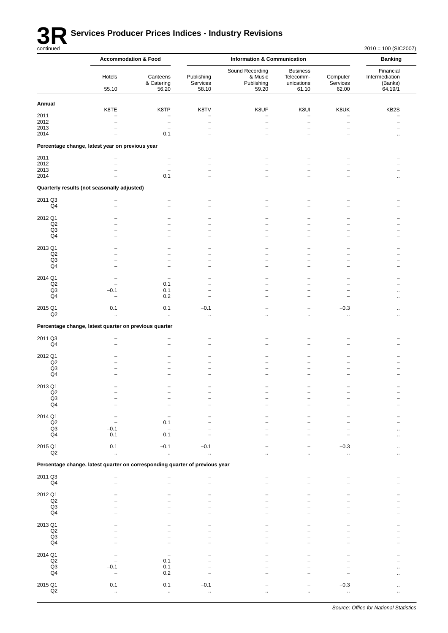

# **3R** Services Producer Prices Indices - Industry Revisions

|                                 | <b>Accommodation &amp; Food</b>                                             |                                                      |                                  | <b>Banking</b>                                    |                                                      |                                  |                                                   |
|---------------------------------|-----------------------------------------------------------------------------|------------------------------------------------------|----------------------------------|---------------------------------------------------|------------------------------------------------------|----------------------------------|---------------------------------------------------|
|                                 | Hotels<br>55.10                                                             | Canteens<br>& Catering<br>56.20                      | Publishing<br>Services<br>58.10  | Sound Recording<br>& Music<br>Publishing<br>59.20 | <b>Business</b><br>Telecomm-<br>unications<br>61.10  | Computer<br>Services<br>62.00    | Financial<br>Intermediation<br>(Banks)<br>64.19/1 |
| Annual                          |                                                                             |                                                      |                                  |                                                   |                                                      |                                  |                                                   |
| 2011                            | K8TE                                                                        | K8TP<br>$\overline{\phantom{0}}$                     | K8TV<br>$\overline{\phantom{0}}$ | K8UF<br>$\overline{\phantom{0}}$                  | K8UI<br>$\overline{\phantom{0}}$                     | K8UK<br>$\overline{\phantom{0}}$ | KB2S                                              |
| 2012                            |                                                                             | $\qquad \qquad -$                                    | $\overline{a}$                   | $\overline{\phantom{0}}$                          | $\overline{a}$                                       | -                                |                                                   |
| 2013<br>2014                    |                                                                             | $\overline{\phantom{0}}$<br>0.1                      | $\overline{\phantom{a}}$         |                                                   | $\overline{\phantom{0}}$<br>$\overline{\phantom{a}}$ | -                                |                                                   |
|                                 | Percentage change, latest year on previous year                             |                                                      |                                  |                                                   |                                                      |                                  |                                                   |
|                                 |                                                                             |                                                      |                                  |                                                   |                                                      |                                  |                                                   |
| 2011<br>2012                    |                                                                             | $\overline{\phantom{0}}$<br>$\overline{\phantom{0}}$ |                                  |                                                   |                                                      |                                  |                                                   |
| 2013                            |                                                                             | $\overline{\phantom{0}}$                             |                                  |                                                   |                                                      |                                  |                                                   |
| 2014                            |                                                                             | 0.1                                                  |                                  |                                                   |                                                      |                                  |                                                   |
|                                 | Quarterly results (not seasonally adjusted)                                 |                                                      |                                  |                                                   |                                                      |                                  |                                                   |
| 2011 Q3                         |                                                                             |                                                      |                                  |                                                   |                                                      |                                  |                                                   |
| Q4                              |                                                                             |                                                      |                                  |                                                   |                                                      |                                  |                                                   |
| 2012 Q1                         |                                                                             |                                                      |                                  |                                                   |                                                      |                                  |                                                   |
| Q2<br>Q <sub>3</sub>            |                                                                             |                                                      |                                  |                                                   |                                                      |                                  |                                                   |
| Q4                              |                                                                             |                                                      |                                  |                                                   |                                                      | -                                |                                                   |
| 2013 Q1                         |                                                                             |                                                      |                                  |                                                   |                                                      |                                  |                                                   |
| Q2                              |                                                                             |                                                      |                                  |                                                   |                                                      |                                  |                                                   |
| Q <sub>3</sub><br>Q4            |                                                                             |                                                      |                                  |                                                   |                                                      |                                  |                                                   |
| 2014 Q1                         |                                                                             |                                                      |                                  |                                                   |                                                      |                                  |                                                   |
| Q2                              |                                                                             | 0.1                                                  |                                  |                                                   |                                                      |                                  |                                                   |
| Q <sub>3</sub><br>Q4            | $-0.1$                                                                      | 0.1<br>0.2                                           |                                  |                                                   |                                                      |                                  |                                                   |
|                                 |                                                                             |                                                      |                                  |                                                   |                                                      |                                  |                                                   |
| 2015 Q1<br>Q2                   | 0.1<br>$\mathbf{r}$                                                         | 0.1<br>$\ddotsc$                                     | $-0.1$<br>$\ddot{\phantom{a}}$   |                                                   |                                                      | $-0.3$<br>$\ldots$               |                                                   |
|                                 | Percentage change, latest quarter on previous quarter                       |                                                      |                                  |                                                   |                                                      |                                  |                                                   |
|                                 |                                                                             |                                                      |                                  |                                                   |                                                      |                                  |                                                   |
| 2011 Q3<br>Q4                   |                                                                             |                                                      |                                  |                                                   |                                                      |                                  |                                                   |
| 2012 Q1                         |                                                                             |                                                      |                                  |                                                   |                                                      |                                  |                                                   |
| Q2                              |                                                                             |                                                      |                                  |                                                   |                                                      |                                  |                                                   |
| Q3<br>Q4                        |                                                                             |                                                      |                                  |                                                   |                                                      |                                  |                                                   |
|                                 |                                                                             |                                                      |                                  |                                                   |                                                      |                                  |                                                   |
| 2013 Q1<br>Q2                   |                                                                             |                                                      |                                  |                                                   |                                                      |                                  |                                                   |
| $_{\mathsf{Q4}}^{\mathsf{Q3}}$  |                                                                             |                                                      |                                  |                                                   |                                                      |                                  |                                                   |
|                                 |                                                                             |                                                      |                                  |                                                   |                                                      |                                  |                                                   |
| 2014 Q1                         |                                                                             |                                                      |                                  |                                                   |                                                      |                                  |                                                   |
| $\mathsf{Q2}$<br>Q <sub>3</sub> | $-0.1$                                                                      | 0.1                                                  |                                  |                                                   |                                                      |                                  |                                                   |
| Q4                              | 0.1                                                                         | 0.1                                                  |                                  |                                                   |                                                      |                                  |                                                   |
| 2015 Q1                         | 0.1                                                                         | $-0.1$                                               | $-0.1$                           |                                                   |                                                      | $-0.3$                           |                                                   |
| $_{\mathsf{Q2}}$                | $\bar{\mathbf{a}}$                                                          | $\ddot{\phantom{1}}$                                 | $\bar{\mathbf{a}}$               | $\ddot{\phantom{a}}$                              | $\ddot{\phantom{a}}$                                 | ä.                               | ٠.                                                |
|                                 | Percentage change, latest quarter on corresponding quarter of previous year |                                                      |                                  |                                                   |                                                      |                                  |                                                   |
| 2011 Q3<br>Q4                   |                                                                             |                                                      |                                  |                                                   |                                                      |                                  |                                                   |
| 2012 Q1                         |                                                                             |                                                      |                                  |                                                   |                                                      |                                  |                                                   |
| $_{\mathsf{Q2}}$<br>Q3          |                                                                             |                                                      |                                  |                                                   |                                                      |                                  |                                                   |
| Q4                              |                                                                             |                                                      |                                  |                                                   |                                                      |                                  |                                                   |
| 2013 Q1                         |                                                                             |                                                      |                                  |                                                   |                                                      |                                  |                                                   |
| $\mathsf{Q2}$                   |                                                                             |                                                      |                                  |                                                   |                                                      |                                  |                                                   |
| $_{\rm Q3}$<br>Q4               |                                                                             |                                                      |                                  |                                                   |                                                      |                                  |                                                   |
|                                 |                                                                             |                                                      |                                  |                                                   |                                                      |                                  |                                                   |
| 2014 Q1<br>Q2                   |                                                                             | 0.1                                                  |                                  |                                                   |                                                      |                                  |                                                   |
| Q3                              | $-0.1$                                                                      | 0.1                                                  |                                  |                                                   |                                                      |                                  |                                                   |
| Q4                              | $\overline{\phantom{0}}$                                                    | 0.2                                                  |                                  |                                                   |                                                      |                                  |                                                   |
| 2015 Q1                         | 0.1                                                                         | 0.1                                                  | $-0.1$                           |                                                   |                                                      | $-0.3$                           |                                                   |
| $_{\mathsf{Q2}}$                |                                                                             | $\ddot{\phantom{1}}$                                 | $\ddot{\phantom{1}}$             |                                                   |                                                      | .,                               |                                                   |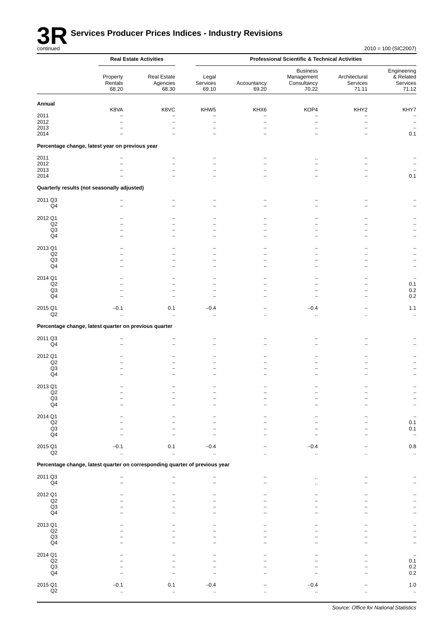

|                                   | <b>Real Estate Activities</b>                                               |                                  |                                  | <b>Professional Scientific &amp; Technical Activities</b> |                                                       |                                    |                                               |
|-----------------------------------|-----------------------------------------------------------------------------|----------------------------------|----------------------------------|-----------------------------------------------------------|-------------------------------------------------------|------------------------------------|-----------------------------------------------|
|                                   | Property<br>Rentals<br>68.20                                                | Real Estate<br>Agencies<br>68.30 | Legal<br>Services<br>69.10       | Accountancy<br>69.20                                      | <b>Business</b><br>Management<br>Consultancy<br>70.22 | Architectural<br>Services<br>71.11 | Engineering<br>& Related<br>Services<br>71.12 |
| Annual                            |                                                                             |                                  |                                  |                                                           |                                                       |                                    |                                               |
| 2011                              | K8VA<br>$\overline{\phantom{0}}$                                            | K8VC<br>$\overline{\phantom{0}}$ | KHW5<br>$\overline{\phantom{0}}$ | KHX6<br>$\overline{\phantom{0}}$                          | KOP4<br>$\overline{\phantom{0}}$                      | KHY2<br>$\overline{\phantom{0}}$   | KHY7<br>$\overline{\phantom{0}}$              |
| 2012                              |                                                                             | -                                | $\qquad \qquad -$                | -                                                         | $\qquad \qquad -$                                     | $\overline{\phantom{0}}$           | $\overline{\phantom{a}}$                      |
| 2013<br>2014                      |                                                                             | $\overline{\phantom{0}}$         | $\overline{\phantom{0}}$         |                                                           | $\overline{\phantom{0}}$                              |                                    | 0.1                                           |
|                                   | Percentage change, latest year on previous year                             |                                  |                                  |                                                           |                                                       |                                    |                                               |
|                                   |                                                                             |                                  |                                  |                                                           |                                                       |                                    |                                               |
| 2011<br>2012                      |                                                                             | $\overline{\phantom{0}}$         | $\overline{\phantom{0}}$         |                                                           |                                                       |                                    |                                               |
| 2013                              |                                                                             | -                                | -                                |                                                           |                                                       |                                    |                                               |
| 2014                              |                                                                             |                                  |                                  |                                                           |                                                       |                                    | 0.1                                           |
|                                   | Quarterly results (not seasonally adjusted)                                 |                                  |                                  |                                                           |                                                       |                                    |                                               |
| 2011 Q3<br>Q <sub>4</sub>         |                                                                             |                                  |                                  |                                                           |                                                       |                                    |                                               |
|                                   |                                                                             |                                  |                                  |                                                           |                                                       |                                    |                                               |
| 2012 Q1<br>Q2                     |                                                                             |                                  |                                  |                                                           |                                                       |                                    |                                               |
| Q3                                |                                                                             |                                  | -                                |                                                           |                                                       |                                    |                                               |
| Q4                                |                                                                             |                                  | $\overline{\phantom{0}}$         |                                                           |                                                       |                                    |                                               |
| 2013 Q1                           |                                                                             |                                  |                                  |                                                           |                                                       |                                    |                                               |
| Q2<br>Q <sub>3</sub>              |                                                                             | -<br>-                           | -<br>$\overline{\phantom{0}}$    |                                                           |                                                       |                                    |                                               |
| Q4                                |                                                                             |                                  | -                                |                                                           |                                                       |                                    | $\qquad \qquad -$                             |
| 2014 Q1                           |                                                                             |                                  |                                  |                                                           |                                                       |                                    |                                               |
| Q2                                |                                                                             |                                  | $\overline{\phantom{0}}$         |                                                           |                                                       |                                    | 0.1                                           |
| Q3<br>Q <sub>4</sub>              |                                                                             | -                                | -<br>۳                           |                                                           |                                                       |                                    | $0.2\,$<br>$0.2\,$                            |
| 2015 Q1                           | $-0.1$                                                                      | 0.1                              | $-0.4$                           |                                                           | $-0.4$                                                |                                    | 1.1                                           |
| Q2                                | ä.                                                                          | $\ddot{\phantom{1}}$             | $\ddot{\phantom{1}}$             |                                                           | $\ddot{\phantom{1}}$                                  |                                    | $\ddotsc$                                     |
|                                   | Percentage change, latest quarter on previous quarter                       |                                  |                                  |                                                           |                                                       |                                    |                                               |
| 2011 Q3                           |                                                                             |                                  |                                  |                                                           |                                                       |                                    |                                               |
| Q <sub>4</sub>                    |                                                                             | -                                | -                                |                                                           |                                                       |                                    |                                               |
| 2012 Q1                           |                                                                             |                                  |                                  |                                                           |                                                       |                                    |                                               |
| Q2                                |                                                                             |                                  |                                  |                                                           |                                                       |                                    |                                               |
| Q3<br>Q4                          |                                                                             |                                  |                                  |                                                           |                                                       |                                    |                                               |
|                                   |                                                                             |                                  |                                  |                                                           |                                                       |                                    |                                               |
| 2013 Q1<br>$_{\mathsf{Q2}}$       |                                                                             |                                  |                                  |                                                           |                                                       |                                    |                                               |
| $_{\mathsf{Q4}}^{\mathsf{Q3}}$    |                                                                             |                                  |                                  |                                                           |                                                       |                                    |                                               |
|                                   |                                                                             |                                  |                                  |                                                           |                                                       |                                    |                                               |
| 2014 Q1                           |                                                                             |                                  |                                  |                                                           |                                                       |                                    | $\overline{\phantom{0}}$                      |
| $_{\mathsf{Q2}}$<br>$\mathsf{Q3}$ |                                                                             |                                  |                                  |                                                           |                                                       |                                    | 0.1<br>0.1                                    |
| $\mathsf{Q4}$                     |                                                                             |                                  |                                  |                                                           |                                                       |                                    | $\qquad \qquad -$                             |
| 2015 Q1                           | $-0.1$                                                                      | 0.1                              | $-0.4$                           |                                                           | $-0.4$                                                |                                    | $0.8\,$                                       |
| $\mathsf{Q2}$                     | à.                                                                          | à.                               | ä,                               | ä,                                                        | ä.                                                    | $\ddot{\phantom{a}}$               | $\ddot{\phantom{1}}$                          |
|                                   | Percentage change, latest quarter on corresponding quarter of previous year |                                  |                                  |                                                           |                                                       |                                    |                                               |
| 2011 Q3<br>$\mathsf{Q4}$          |                                                                             |                                  | $\overline{\phantom{0}}$         |                                                           | $\ddotsc$<br>ä.                                       |                                    |                                               |
| 2012 Q1                           |                                                                             |                                  |                                  |                                                           |                                                       |                                    |                                               |
| $_{\mathsf{Q2}}$                  |                                                                             |                                  |                                  |                                                           |                                                       |                                    |                                               |
| Q3<br>Q4                          |                                                                             |                                  |                                  |                                                           |                                                       |                                    |                                               |
|                                   |                                                                             |                                  |                                  |                                                           |                                                       |                                    |                                               |
| 2013 Q1<br>$_{\mathsf{Q2}}$       |                                                                             |                                  |                                  |                                                           |                                                       |                                    |                                               |
| $\mathsf{Q3}$                     |                                                                             |                                  |                                  |                                                           |                                                       |                                    |                                               |
| $\mathsf{Q}4$                     |                                                                             |                                  |                                  |                                                           |                                                       |                                    | $\overline{\phantom{0}}$                      |
| 2014 Q1                           |                                                                             |                                  |                                  |                                                           |                                                       |                                    |                                               |
| $\mathsf{Q2}$<br>Q3               |                                                                             |                                  |                                  |                                                           |                                                       |                                    | $\begin{array}{c} 0.1 \\ 0.2 \end{array}$     |
| $\mathsf{Q4}$                     |                                                                             |                                  |                                  |                                                           |                                                       |                                    | $0.2\,$                                       |
| 2015 Q1                           | $-0.1$                                                                      | 0.1                              | $-0.4$                           |                                                           | $-0.4$                                                |                                    | $1.0$                                         |
| $\mathsf{Q2}$                     |                                                                             | μ,                               | .,                               |                                                           | μ,                                                    |                                    | $\alpha$                                      |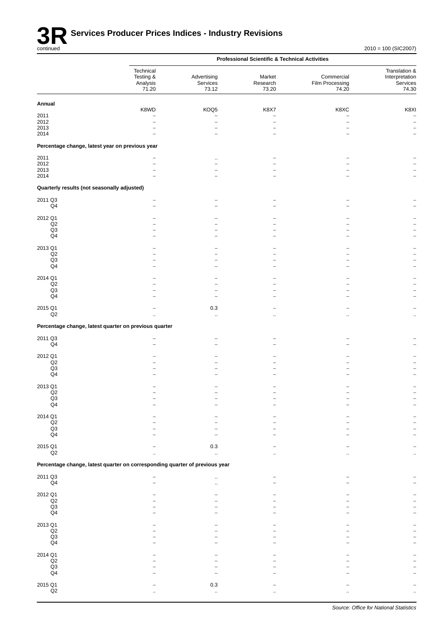|                                                         |                                                                             |                                  | <b>Professional Scientific &amp; Technical Activities</b> |                                        |                                                      |
|---------------------------------------------------------|-----------------------------------------------------------------------------|----------------------------------|-----------------------------------------------------------|----------------------------------------|------------------------------------------------------|
|                                                         | Technical<br>Testing &<br>Analysis<br>71.20                                 | Advertising<br>Services<br>73.12 | Market<br>Research<br>73.20                               | Commercial<br>Film Processing<br>74.20 | Translation &<br>Interpretation<br>Services<br>74.30 |
| Annual                                                  |                                                                             |                                  |                                                           |                                        |                                                      |
| 2011                                                    | K8WD                                                                        | KOQ5                             | K8X7                                                      | K8XC                                   | K8XI                                                 |
| 2012                                                    |                                                                             | $\overline{\phantom{0}}$         | $\overline{\phantom{0}}$                                  | $\overline{\phantom{0}}$               |                                                      |
| 2013                                                    |                                                                             | ۳                                |                                                           | $\overline{\phantom{0}}$               |                                                      |
| 2014<br>Percentage change, latest year on previous year |                                                                             |                                  |                                                           |                                        |                                                      |
|                                                         |                                                                             |                                  |                                                           |                                        |                                                      |
| 2011<br>2012                                            |                                                                             | $\ddotsc$                        |                                                           |                                        |                                                      |
| 2013                                                    |                                                                             |                                  |                                                           |                                        |                                                      |
| 2014                                                    |                                                                             |                                  |                                                           |                                        |                                                      |
| Quarterly results (not seasonally adjusted)             |                                                                             |                                  |                                                           |                                        |                                                      |
| 2011 Q3                                                 |                                                                             |                                  |                                                           |                                        |                                                      |
| Q4                                                      | $\overline{\phantom{0}}$                                                    |                                  |                                                           |                                        |                                                      |
| 2012 Q1                                                 |                                                                             |                                  |                                                           |                                        |                                                      |
| Q2<br>Q3                                                |                                                                             |                                  |                                                           |                                        |                                                      |
| Q4                                                      |                                                                             |                                  |                                                           |                                        |                                                      |
| 2013 Q1                                                 |                                                                             |                                  |                                                           |                                        |                                                      |
| Q2                                                      |                                                                             |                                  |                                                           |                                        |                                                      |
| Q3<br>Q <sub>4</sub>                                    |                                                                             |                                  |                                                           |                                        |                                                      |
|                                                         |                                                                             |                                  |                                                           |                                        |                                                      |
| 2014 Q1<br>Q2                                           |                                                                             |                                  |                                                           |                                        |                                                      |
| Q <sub>3</sub>                                          |                                                                             |                                  |                                                           |                                        |                                                      |
| Q4                                                      |                                                                             |                                  |                                                           |                                        |                                                      |
| 2015 Q1                                                 |                                                                             | 0.3                              |                                                           |                                        |                                                      |
| Q2                                                      | ä.                                                                          | Ω,                               | $\ddotsc$                                                 |                                        | $\ddot{\phantom{a}}$                                 |
|                                                         | Percentage change, latest quarter on previous quarter                       |                                  |                                                           |                                        |                                                      |
| 2011 Q3                                                 | $\overline{\phantom{0}}$                                                    |                                  |                                                           |                                        |                                                      |
| Q4                                                      |                                                                             |                                  |                                                           |                                        |                                                      |
| 2012 Q1                                                 |                                                                             |                                  |                                                           |                                        |                                                      |
| $_{\mathsf{Q2}}$<br>Q <sub>3</sub>                      |                                                                             |                                  |                                                           |                                        |                                                      |
| Q4                                                      |                                                                             |                                  |                                                           |                                        |                                                      |
| 2013 Q1                                                 |                                                                             |                                  |                                                           |                                        |                                                      |
| Q2                                                      |                                                                             |                                  |                                                           |                                        |                                                      |
| $_{\rm Q3}$<br>Q <sub>4</sub>                           |                                                                             |                                  |                                                           |                                        |                                                      |
|                                                         |                                                                             |                                  |                                                           |                                        |                                                      |
| 2014 Q1<br>$_{\mathsf{Q2}}$                             |                                                                             |                                  |                                                           |                                        |                                                      |
| Q3                                                      |                                                                             |                                  |                                                           |                                        |                                                      |
| Q4                                                      |                                                                             |                                  |                                                           |                                        |                                                      |
| 2015 Q1                                                 |                                                                             | 0.3                              |                                                           |                                        |                                                      |
| $_{\mathsf{Q2}}$                                        |                                                                             | $\ldots$                         |                                                           |                                        |                                                      |
|                                                         | Percentage change, latest quarter on corresponding quarter of previous year |                                  |                                                           |                                        |                                                      |
| 2011 Q3<br>Q <sub>4</sub>                               |                                                                             | ä.<br>$\ddotsc$                  |                                                           |                                        |                                                      |
|                                                         |                                                                             |                                  |                                                           |                                        |                                                      |
| 2012 Q1<br>Q2                                           |                                                                             |                                  |                                                           |                                        |                                                      |
| Q3                                                      |                                                                             |                                  |                                                           |                                        |                                                      |
| Q4                                                      |                                                                             |                                  |                                                           |                                        |                                                      |
| 2013 Q1                                                 |                                                                             |                                  |                                                           |                                        |                                                      |
| $_{\mathsf{Q2}}$<br>Q3                                  |                                                                             |                                  |                                                           |                                        |                                                      |
| Q4                                                      |                                                                             |                                  |                                                           |                                        |                                                      |
| 2014 Q1                                                 |                                                                             |                                  |                                                           |                                        |                                                      |
| $_{\mathsf{Q2}}$                                        |                                                                             |                                  |                                                           |                                        |                                                      |
| Q <sub>3</sub>                                          |                                                                             |                                  |                                                           |                                        |                                                      |
| Q4                                                      |                                                                             |                                  |                                                           |                                        |                                                      |
| 2015 Q1                                                 |                                                                             | 0.3                              |                                                           |                                        |                                                      |
| $_{\mathsf{Q2}}$                                        |                                                                             | $\ddot{\phantom{1}}$             |                                                           |                                        |                                                      |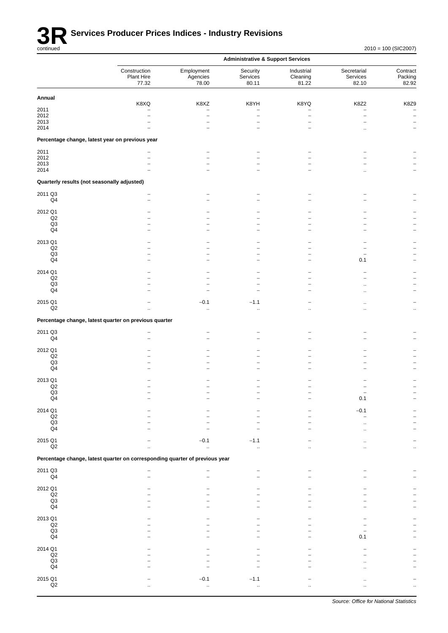

|                                             |                                                                             |                                                         | <b>Administrative &amp; Support Services</b>                 |                                                         |                                  |                                  |
|---------------------------------------------|-----------------------------------------------------------------------------|---------------------------------------------------------|--------------------------------------------------------------|---------------------------------------------------------|----------------------------------|----------------------------------|
|                                             | Construction<br>Plant Hire<br>77.32                                         | Employment<br>Agencies<br>78.00                         | Security<br>Services<br>80.11                                | Industrial<br>Cleaning<br>81.22                         | Secretarial<br>Services<br>82.10 | Contract<br>Packing<br>82.92     |
| Annual                                      |                                                                             |                                                         |                                                              |                                                         |                                  |                                  |
| 2011<br>2012<br>2013<br>2014                | K8XQ<br>$\overline{\phantom{0}}$                                            | K8XZ<br>$\overline{\phantom{0}}$<br>$\overline{a}$<br>۳ | K8YH<br>$\overline{\phantom{0}}$<br>$\overline{\phantom{0}}$ | K8YQ<br>$\overline{a}$<br>$\overline{\phantom{0}}$<br>- | K8Z2<br>$\overline{a}$           | K8Z9<br>$\overline{\phantom{m}}$ |
|                                             | Percentage change, latest year on previous year                             |                                                         |                                                              |                                                         |                                  |                                  |
| 2011                                        |                                                                             |                                                         |                                                              |                                                         |                                  |                                  |
| 2012<br>2013                                |                                                                             |                                                         |                                                              |                                                         |                                  |                                  |
| 2014                                        |                                                                             |                                                         |                                                              |                                                         |                                  |                                  |
| Quarterly results (not seasonally adjusted) |                                                                             |                                                         |                                                              |                                                         |                                  |                                  |
| 2011 Q3<br>$\mathsf{Q}4$                    |                                                                             |                                                         |                                                              |                                                         |                                  |                                  |
| 2012 Q1                                     |                                                                             |                                                         |                                                              |                                                         |                                  |                                  |
| Q2                                          |                                                                             |                                                         |                                                              |                                                         |                                  |                                  |
| Q3<br>Q4                                    |                                                                             |                                                         |                                                              |                                                         |                                  |                                  |
|                                             |                                                                             |                                                         |                                                              |                                                         |                                  |                                  |
| 2013 Q1                                     |                                                                             |                                                         |                                                              |                                                         |                                  |                                  |
| Q2<br>Q3                                    |                                                                             |                                                         |                                                              |                                                         |                                  |                                  |
| Q4                                          |                                                                             |                                                         |                                                              | -                                                       | 0.1                              |                                  |
| 2014 Q1                                     |                                                                             |                                                         |                                                              |                                                         |                                  |                                  |
| Q2<br>Q <sub>3</sub>                        |                                                                             |                                                         |                                                              |                                                         |                                  |                                  |
| $\mathsf{Q}4$                               |                                                                             |                                                         |                                                              |                                                         |                                  |                                  |
| 2015 Q1<br>Q2                               |                                                                             | $-0.1$                                                  | $-1.1$                                                       |                                                         |                                  |                                  |
|                                             | Percentage change, latest quarter on previous quarter                       | $\ddotsc$                                               | $\ddotsc$                                                    |                                                         |                                  | $\ddotsc$                        |
|                                             |                                                                             |                                                         |                                                              |                                                         |                                  |                                  |
| 2011 Q3<br>Q4                               |                                                                             |                                                         |                                                              |                                                         |                                  |                                  |
| 2012 Q1                                     |                                                                             |                                                         |                                                              |                                                         |                                  |                                  |
| Q2                                          |                                                                             |                                                         |                                                              |                                                         |                                  |                                  |
| Q3<br>Q4                                    |                                                                             |                                                         |                                                              |                                                         |                                  |                                  |
|                                             |                                                                             |                                                         |                                                              |                                                         |                                  |                                  |
| 2013 Q1<br>Q <sub>2</sub>                   |                                                                             |                                                         |                                                              |                                                         |                                  |                                  |
| Q3                                          |                                                                             |                                                         |                                                              |                                                         |                                  |                                  |
| $\mathsf{Q}4$                               |                                                                             |                                                         |                                                              |                                                         | 0.1                              |                                  |
| 2014 Q1                                     |                                                                             |                                                         |                                                              |                                                         | $-0.1$                           |                                  |
| $_{\mathsf{Q2}}$<br>$_{\mathsf{Q3}}$        |                                                                             |                                                         |                                                              |                                                         |                                  |                                  |
| $\mathsf{Q}4$                               |                                                                             |                                                         |                                                              |                                                         |                                  |                                  |
| 2015 Q1                                     |                                                                             | $-0.1$                                                  | $-1.1$                                                       |                                                         |                                  |                                  |
| Q2                                          |                                                                             | $\ddotsc$                                               | $\ddot{\phantom{a}}$                                         |                                                         |                                  |                                  |
|                                             | Percentage change, latest quarter on corresponding quarter of previous year |                                                         |                                                              |                                                         |                                  |                                  |
| 2011 Q3<br>Q4                               |                                                                             |                                                         |                                                              |                                                         |                                  |                                  |
| 2012 Q1                                     |                                                                             |                                                         |                                                              |                                                         |                                  |                                  |
| $_{\mathsf{Q2}}$<br>$\mathsf{Q3}$           |                                                                             |                                                         |                                                              |                                                         |                                  |                                  |
| Q4                                          |                                                                             |                                                         |                                                              |                                                         |                                  |                                  |
| 2013 Q1                                     |                                                                             |                                                         |                                                              |                                                         |                                  |                                  |
| $_{\mathsf{Q2}}$                            |                                                                             |                                                         |                                                              |                                                         |                                  |                                  |
| $\mathsf{Q3}$                               |                                                                             |                                                         |                                                              |                                                         |                                  |                                  |
| $\mathsf{Q}4$                               |                                                                             |                                                         |                                                              |                                                         | 0.1                              |                                  |
| 2014 Q1                                     |                                                                             |                                                         |                                                              |                                                         |                                  |                                  |
| $_{\mathsf{Q2}}$<br>Q3                      |                                                                             |                                                         |                                                              |                                                         |                                  |                                  |
| $\mathsf{Q}4$                               |                                                                             |                                                         |                                                              |                                                         |                                  |                                  |
| 2015 Q1                                     |                                                                             | $-0.1$                                                  | $-1.1$                                                       |                                                         |                                  |                                  |
| Q2                                          |                                                                             | $\ldots$                                                | $\ddotsc$                                                    |                                                         |                                  |                                  |